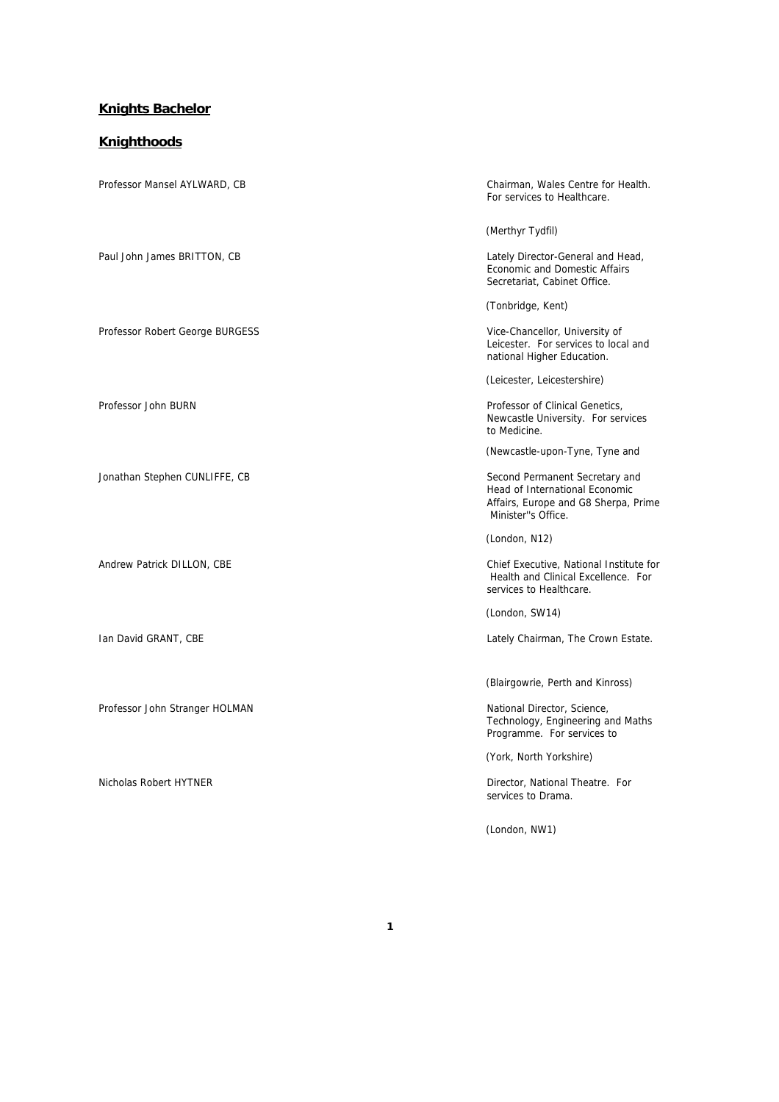#### **Knights Bachelor**

#### **Knighthoods**

Professor Mansel AYLWARD, CB Chairman, Wales Centre for Health. For services to Healthcare. (Merthyr Tydfil) Paul John James BRITTON, CB CHANNEL CONSIDERING CONSIDERING Lately Director-General and Head, Economic and Domestic Affairs Secretariat, Cabinet Office. (Tonbridge, Kent) Professor Robert George BURGESS Vice-Chancellor, University of Leicester. For services to local and national Higher Education. (Leicester, Leicestershire) Professor John BURN **Professor John BURN** Professor of Clinical Genetics, Newcastle University. For services to Medicine. (Newcastle-upon-Tyne, Tyne and Jonathan Stephen CUNLIFFE, CB Second Permanent Secretary and Head of International Economic Affairs, Europe and G8 Sherpa, Prime Minister''s Office. (London, N12) Andrew Patrick DILLON, CBE Chief Executive, National Institute for Health and Clinical Excellence. For services to Healthcare. (London, SW14) Ian David GRANT, CBE **Lately Chairman, The Crown Estate.** Lately Chairman, The Crown Estate. (Blairgowrie, Perth and Kinross) Professor John Stranger HOLMAN National Director, Science, Technology, Engineering and Maths Programme. For services to (York, North Yorkshire) Nicholas Robert HYTNER **Director, National Theatre.** For services to Drama. (London, NW1)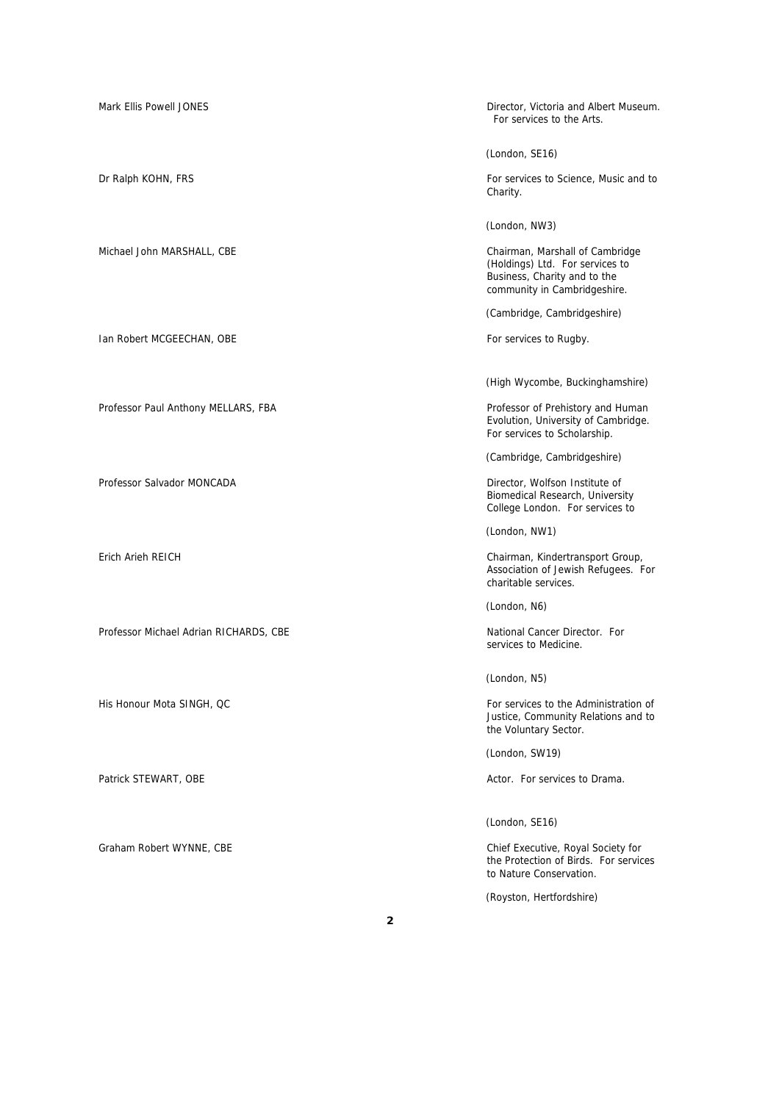Mark Ellis Powell JONES **Director, Victoria and Albert Museum.** Director, Victoria and Albert Museum. For services to the Arts. (London, SE16) Dr Ralph KOHN, FRS For services to Science, Music and to For services to Science, Music and to Charity. (London, NW3) Michael John MARSHALL, CBE Chairman, Marshall of Cambridge (Holdings) Ltd. For services to Business, Charity and to the community in Cambridgeshire. (Cambridge, Cambridgeshire) Ian Robert MCGEECHAN, OBE **For services to Rugby.** For services to Rugby. (High Wycombe, Buckinghamshire) Professor Paul Anthony MELLARS, FBA **Professor of Prehistory and Human** Evolution, University of Cambridge. For services to Scholarship. (Cambridge, Cambridgeshire) Professor Salvador MONCADA **Director, Wolfson Institute of** Director, Wolfson Institute of Biomedical Research, University College London. For services to (London, NW1) Erich Arieh REICH Chairman, Kindertransport Group, Association of Jewish Refugees. For charitable services. (London, N6) Professor Michael Adrian RICHARDS, CBE National Cancer Director. For services to Medicine. (London, N5) His Honour Mota SINGH, QC **For services** to the Administration of Justice, Community Relations and to the Voluntary Sector. (London, SW19) Patrick STEWART, OBE **Actor.** For services to Drama. (London, SE16)

Graham Robert WYNNE, CBE Chief Executive, Royal Society for the Protection of Birds. For services to Nature Conservation.

(Royston, Hertfordshire)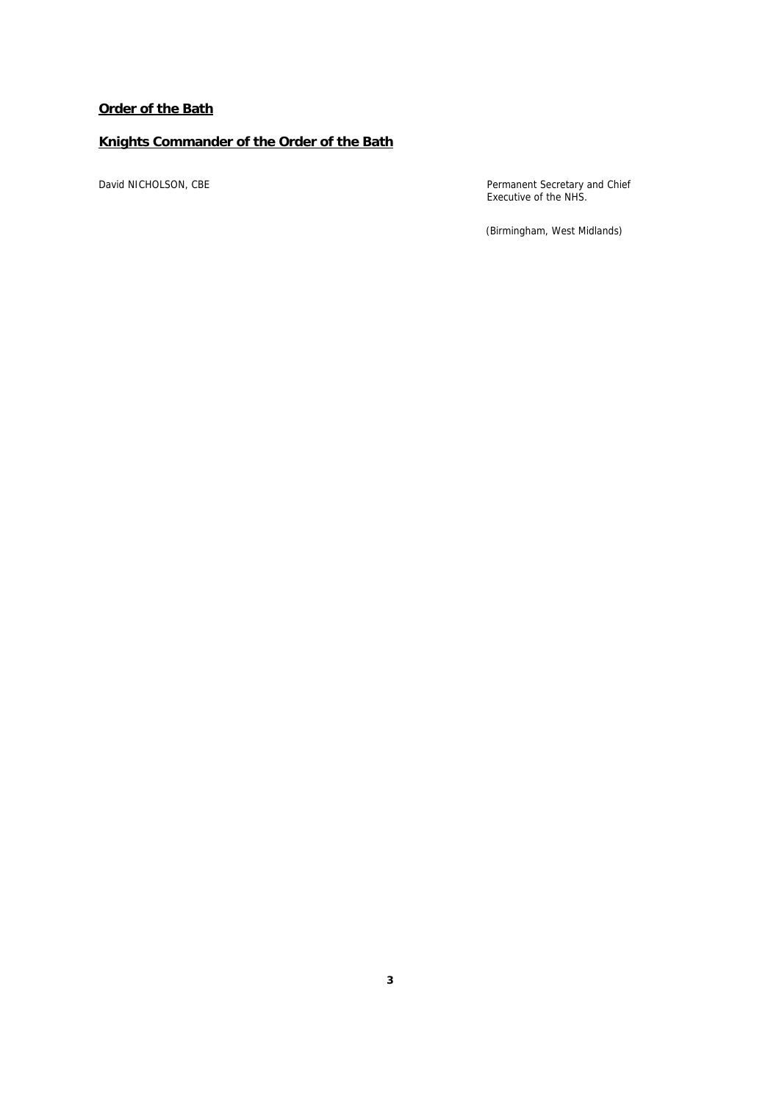## **Order of the Bath**

## **Knights Commander of the Order of the Bath**

David NICHOLSON, CBE **Permanent Secretary and Chief** Executive of the NHS.

(Birmingham, West Midlands)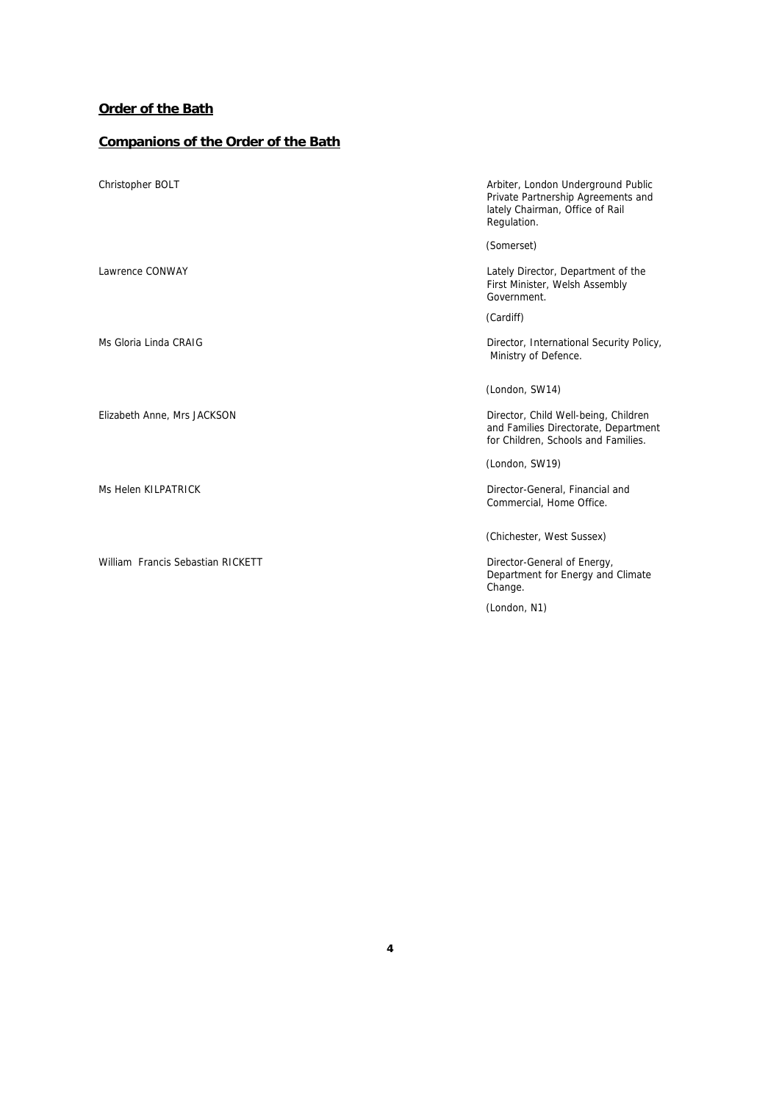## **Order of the Bath**

# **Companions of the Order of the Bath**

| Christopher BOLT                  | Arbiter, London Underground Public<br>Private Partnership Agreements and<br>lately Chairman, Office of Rail<br>Regulation. |
|-----------------------------------|----------------------------------------------------------------------------------------------------------------------------|
| Lawrence CONWAY                   | (Somerset)<br>Lately Director, Department of the<br>First Minister, Welsh Assembly<br>Government                           |
|                                   | (Cardiff)                                                                                                                  |
| Ms Gloria Linda CRAIG             | Director, International Security Policy,<br>Ministry of Defence.                                                           |
|                                   | (London, SW14)                                                                                                             |
| Elizabeth Anne, Mrs JACKSON       | Director, Child Well-being, Children<br>and Families Directorate, Department<br>for Children, Schools and Families.        |
|                                   | (London, SW19)                                                                                                             |
| Ms Helen KILPATRICK               | Director-General, Financial and<br>Commercial, Home Office.                                                                |
|                                   | (Chichester, West Sussex)                                                                                                  |
| William Francis Sebastian RICKETT | Director-General of Energy,<br>Department for Energy and Climate<br>Change.                                                |

(London, N1)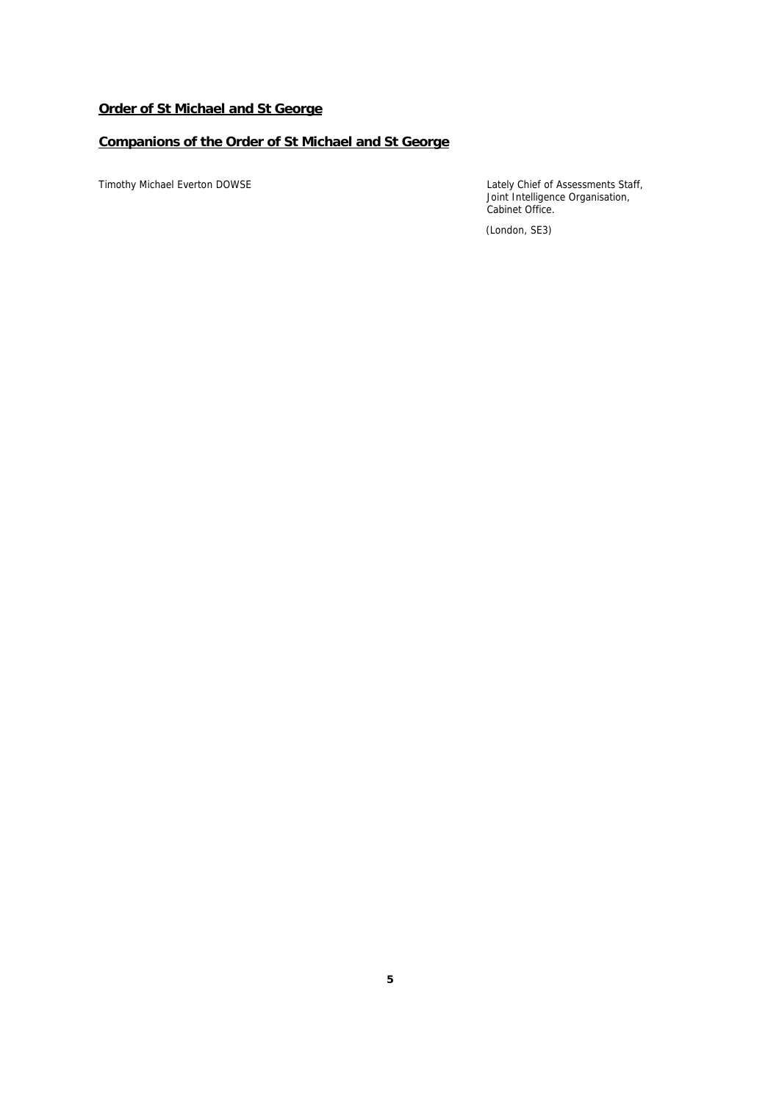## **Order of St Michael and St George**

## **Companions of the Order of St Michael and St George**

Timothy Michael Everton DOWSE Lately Chief of Assessments Staff, Joint Intelligence Organisation, Cabinet Office.

(London, SE3)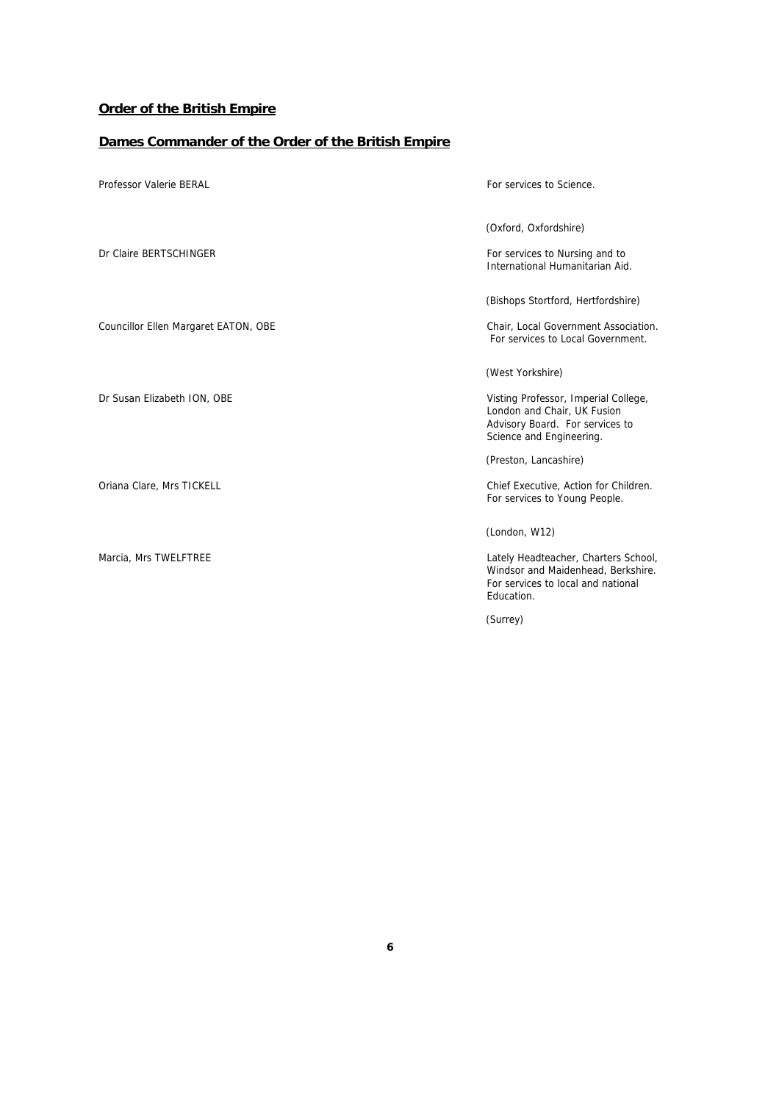## **Order of the British Empire**

# **Dames Commander of the Order of the British Empire**

| Professor Valerie BERAL              | For services to Science.                                                                                                                               |
|--------------------------------------|--------------------------------------------------------------------------------------------------------------------------------------------------------|
| Dr Claire BERTSCHINGER               | (Oxford, Oxfordshire)<br>For services to Nursing and to<br>International Humanitarian Aid.                                                             |
| Councillor Ellen Margaret EATON, OBE | (Bishops Stortford, Hertfordshire)<br>Chair, Local Government Association.<br>For services to Local Government.                                        |
| Dr Susan Elizabeth ION, OBE          | (West Yorkshire)<br>Visting Professor, Imperial College,<br>London and Chair, UK Fusion<br>Advisory Board. For services to<br>Science and Engineering. |
| Oriana Clare, Mrs TICKELL            | (Preston, Lancashire)<br>Chief Executive, Action for Children.<br>For services to Young People.                                                        |
| Marcia, Mrs TWELFTREE                | (London, W12)<br>Lately Headteacher, Charters School,<br>Windsor and Maidenhead, Berkshire.<br>For services to local and national<br>Education.        |

(Surrey)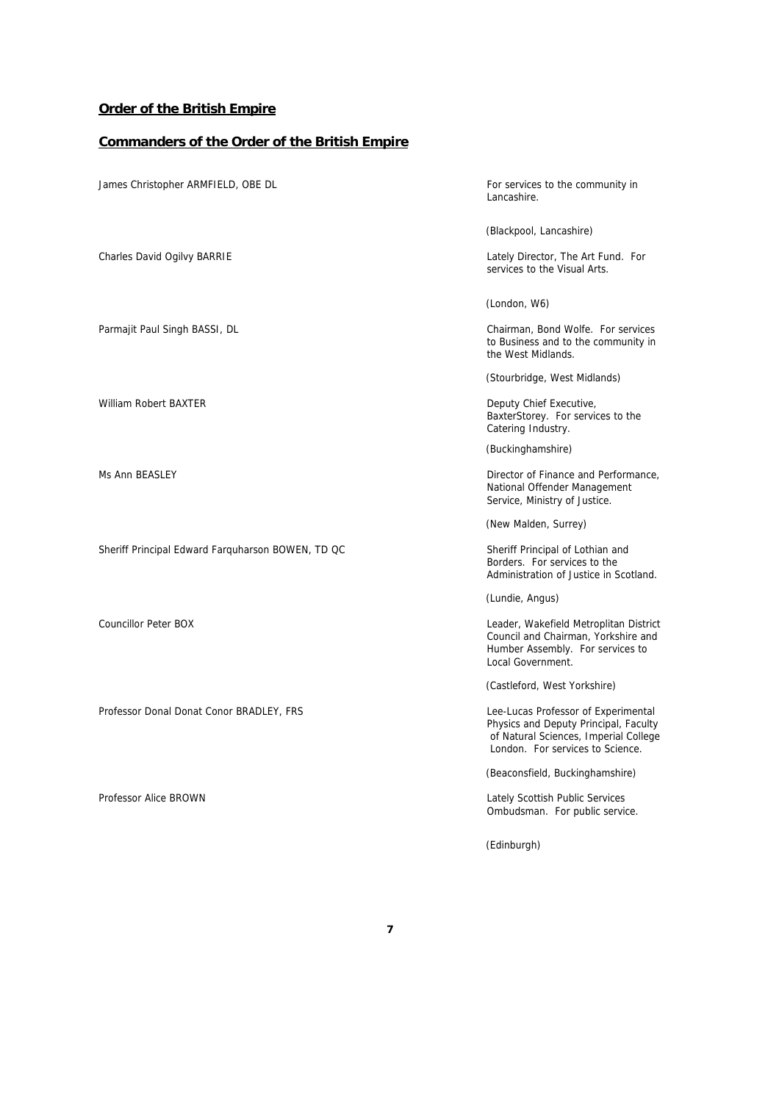## **Order of the British Empire**

# **Commanders of the Order of the British Empire**

| James Christopher ARMFIELD, OBE DL                | For services to the community in<br>Lancashire.                                                                                                           |
|---------------------------------------------------|-----------------------------------------------------------------------------------------------------------------------------------------------------------|
|                                                   | (Blackpool, Lancashire)                                                                                                                                   |
| Charles David Ogilvy BARRIE                       | Lately Director, The Art Fund. For<br>services to the Visual Arts.                                                                                        |
|                                                   | (London, W6)                                                                                                                                              |
| Parmajit Paul Singh BASSI, DL                     | Chairman, Bond Wolfe. For services<br>to Business and to the community in<br>the West Midlands.                                                           |
|                                                   | (Stourbridge, West Midlands)                                                                                                                              |
| William Robert BAXTER                             | Deputy Chief Executive,<br>BaxterStorey. For services to the<br>Catering Industry.                                                                        |
|                                                   | (Buckinghamshire)                                                                                                                                         |
| Ms Ann BEASLEY                                    | Director of Finance and Performance,<br>National Offender Management<br>Service, Ministry of Justice.                                                     |
|                                                   | (New Malden, Surrey)                                                                                                                                      |
| Sheriff Principal Edward Farquharson BOWEN, TD QC | Sheriff Principal of Lothian and<br>Borders. For services to the<br>Administration of Justice in Scotland.                                                |
|                                                   | (Lundie, Angus)                                                                                                                                           |
| <b>Councillor Peter BOX</b>                       | Leader, Wakefield Metroplitan District<br>Council and Chairman, Yorkshire and<br>Humber Assembly. For services to<br>Local Government.                    |
|                                                   | (Castleford, West Yorkshire)                                                                                                                              |
| Professor Donal Donat Conor BRADLEY, FRS          | Lee-Lucas Professor of Experimental<br>Physics and Deputy Principal, Faculty<br>of Natural Sciences, Imperial College<br>London. For services to Science. |
|                                                   | (Beaconsfield, Buckinghamshire)                                                                                                                           |
| Professor Alice BROWN                             | Lately Scottish Public Services<br>Ombudsman. For public service.                                                                                         |

(Edinburgh)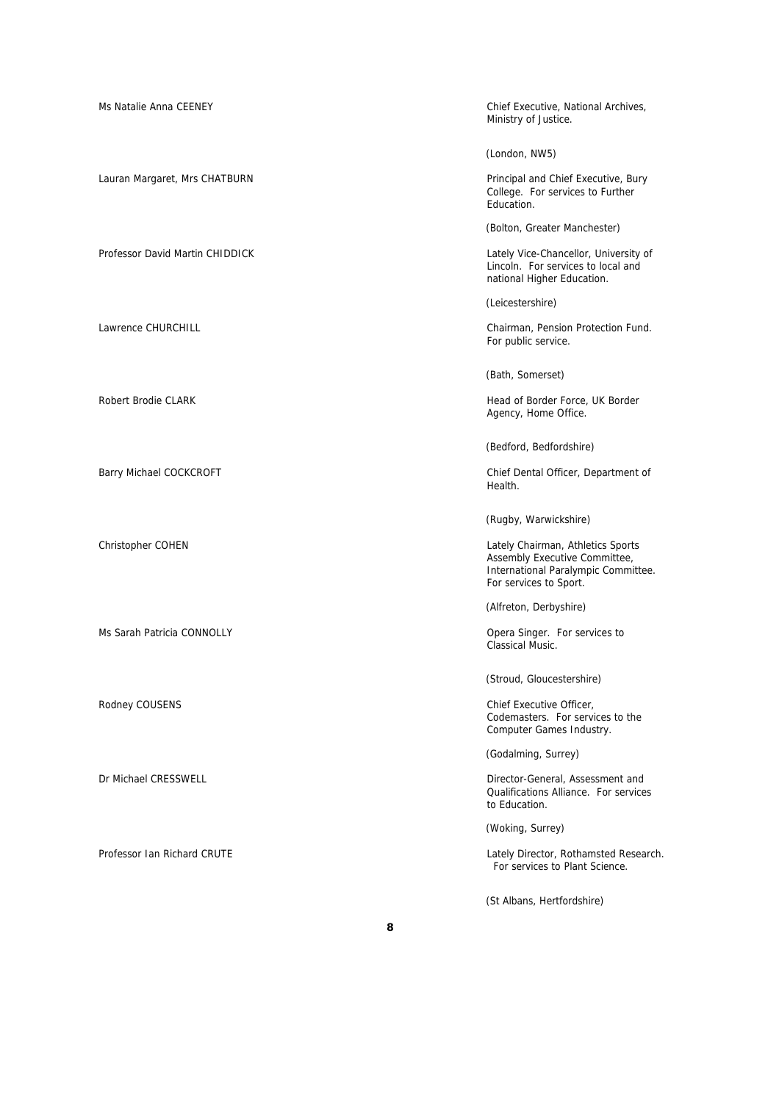| Ms Natalie Anna CEENEY          | Chief Executive, National Archives,<br>Ministry of Justice.                                                                         |
|---------------------------------|-------------------------------------------------------------------------------------------------------------------------------------|
|                                 | (London, NW5)                                                                                                                       |
| Lauran Margaret, Mrs CHATBURN   | Principal and Chief Executive, Bury<br>College. For services to Further<br>Education.                                               |
|                                 | (Bolton, Greater Manchester)                                                                                                        |
| Professor David Martin CHIDDICK | Lately Vice-Chancellor, University of<br>Lincoln. For services to local and<br>national Higher Education.                           |
|                                 | (Leicestershire)                                                                                                                    |
| Lawrence CHURCHILL              | Chairman, Pension Protection Fund.<br>For public service.                                                                           |
|                                 | (Bath, Somerset)                                                                                                                    |
| Robert Brodie CLARK             | Head of Border Force, UK Border<br>Agency, Home Office.                                                                             |
|                                 | (Bedford, Bedfordshire)                                                                                                             |
| Barry Michael COCKCROFT         | Chief Dental Officer, Department of<br>Health.                                                                                      |
|                                 | (Rugby, Warwickshire)                                                                                                               |
| Christopher COHEN               | Lately Chairman, Athletics Sports<br>Assembly Executive Committee,<br>International Paralympic Committee.<br>For services to Sport. |
|                                 | (Alfreton, Derbyshire)                                                                                                              |
| Ms Sarah Patricia CONNOLLY      | Opera Singer. For services to<br>Classical Music.                                                                                   |
|                                 | (Stroud, Gloucestershire)                                                                                                           |
| Rodney COUSENS                  | Chief Executive Officer,<br>Codemasters. For services to the<br>Computer Games Industry.                                            |
|                                 | (Godalming, Surrey)                                                                                                                 |
| Dr Michael CRESSWELL            | Director-General, Assessment and<br>Qualifications Alliance. For services<br>to Education.                                          |
|                                 | (Woking, Surrey)                                                                                                                    |
| Professor Ian Richard CRUTE     | Lately Director, Rothamsted Research.<br>For services to Plant Science.                                                             |
|                                 | (St Albans, Hertfordshire)                                                                                                          |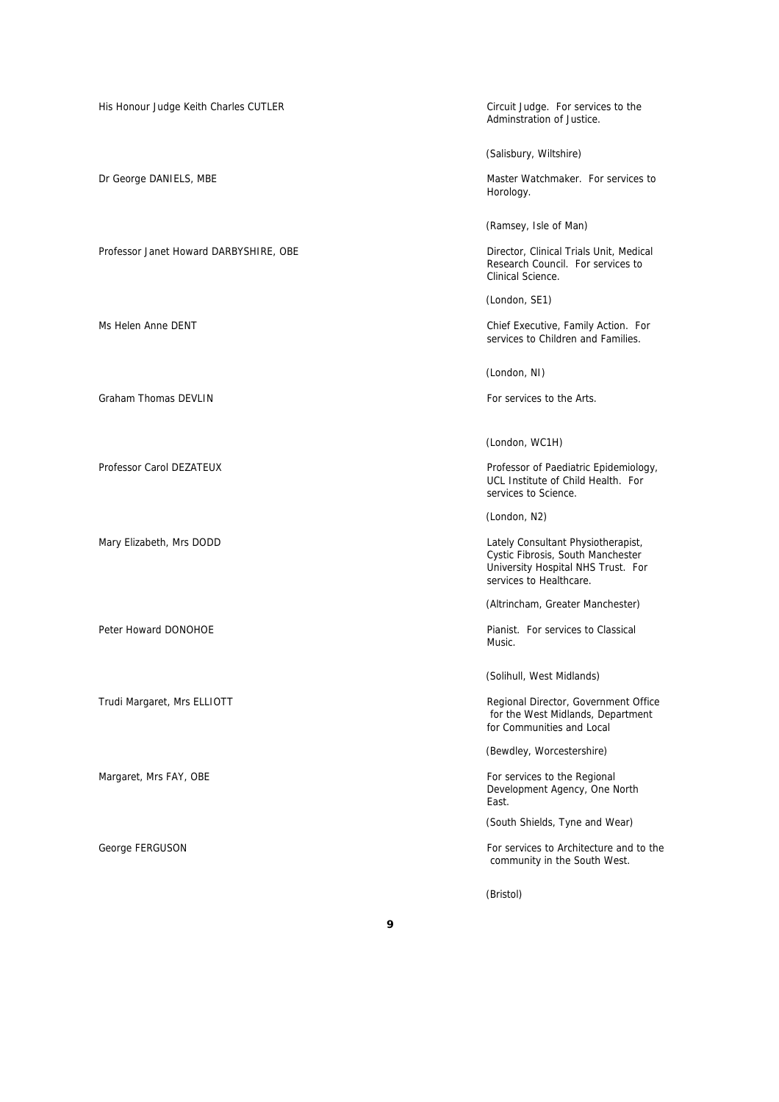Professor Janet Howard DARBYSHIRE, OBE **Director, Clinical Trials Unit, Medical** 

Graham Thomas DEVLIN For services to the Arts.

His Honour Judge Keith Charles CUTLER Circuit Judge. For services to the Adminstration of Justice.

(Salisbury, Wiltshire)

Dr George DANIELS, MBE **Master Watchmaker.** For services to example a master Watchmaker. For services to Horology.

(Ramsey, Isle of Man)

Research Council. For services to Clinical Science.

(London, SE1)

Ms Helen Anne DENT **Chief Executive, Family Action.** For services to Children and Families.

(London, NI)

(London, WC1H)

Professor Carol DEZATEUX **Professor of Paediatric Epidemiology**, UCL Institute of Child Health. For services to Science.

(London, N2)

Mary Elizabeth, Mrs DODD **Consultant Physiotherapist**, Consultant Physiotherapist, Cystic Fibrosis, South Manchester University Hospital NHS Trust. For services to Healthcare.

(Altrincham, Greater Manchester)

Peter Howard DONOHOE **Peter Howard DONOHOE** Peter Howard DONOHOE Music.

(Solihull, West Midlands)

Trudi Margaret, Mrs ELLIOTT **Regional Director, Government Office**  for the West Midlands, Department for Communities and Local

(Bewdley, Worcestershire)

Margaret, Mrs FAY, OBE **For services** to the Regional control of the Regional control of the Regional control of the Regional control of the Regional control of the Regional control of the Regional control of the Regional Development Agency, One North East.

(South Shields, Tyne and Wear)

George FERGUSON FOR SERIES AND THE SERIES OF SERIES SERIES FOR SERIES SERIES SERIES SERIES SERIES SERIES SERIES SERIES SERIES SERIES SERIES SERIES SERIES SERIES SERIES SERIES SERIES SERIES SERIES SERIES SERIES SERIES SERIE community in the South West.

(Bristol)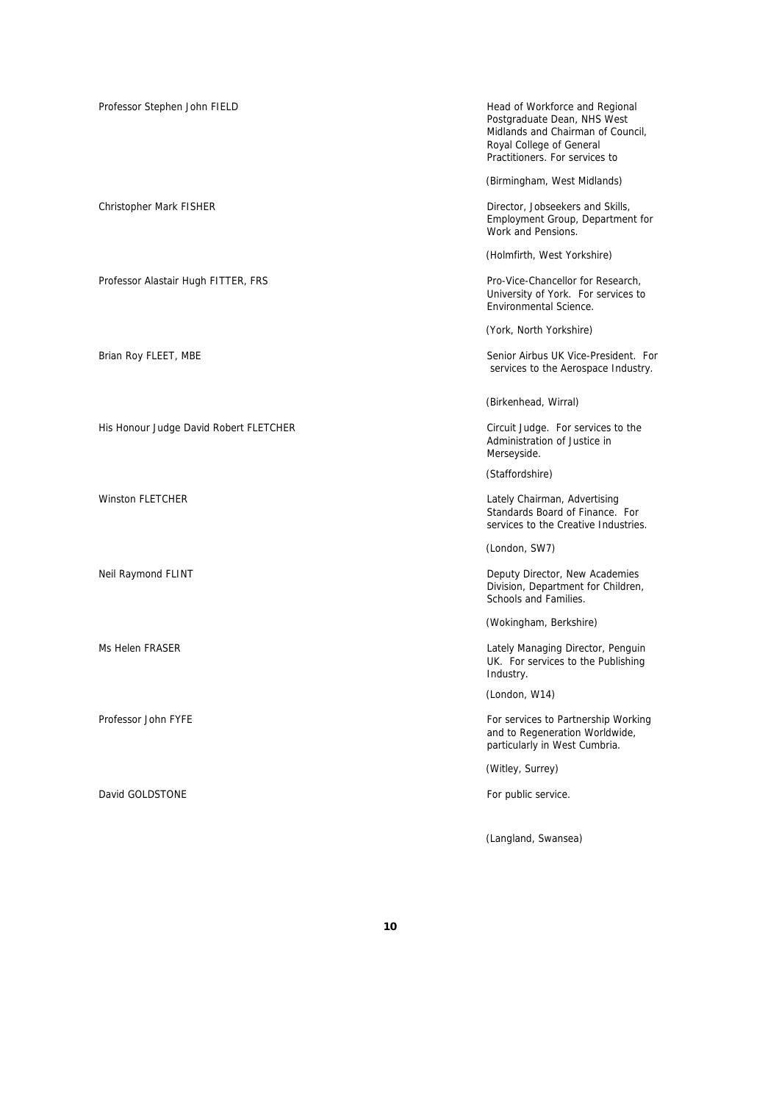| Professor Stephen John FIELD           | Head of Workforce and Regional<br>Postgraduate Dean, NHS West<br>Midlands and Chairman of Council,<br>Royal College of General<br>Practitioners. For services to |
|----------------------------------------|------------------------------------------------------------------------------------------------------------------------------------------------------------------|
|                                        | (Birmingham, West Midlands)                                                                                                                                      |
| Christopher Mark FISHER                | Director, Jobseekers and Skills,<br>Employment Group, Department for<br>Work and Pensions.                                                                       |
|                                        | (Holmfirth, West Yorkshire)                                                                                                                                      |
| Professor Alastair Hugh FITTER, FRS    | Pro-Vice-Chancellor for Research,<br>University of York. For services to<br>Environmental Science.                                                               |
|                                        | (York, North Yorkshire)                                                                                                                                          |
| Brian Roy FLEET, MBE                   | Senior Airbus UK Vice-President. For<br>services to the Aerospace Industry.                                                                                      |
|                                        | (Birkenhead, Wirral)                                                                                                                                             |
| His Honour Judge David Robert FLETCHER | Circuit Judge. For services to the<br>Administration of Justice in<br>Merseyside.                                                                                |
|                                        | (Staffordshire)                                                                                                                                                  |
| <b>Winston FLETCHER</b>                | Lately Chairman, Advertising<br>Standards Board of Finance. For<br>services to the Creative Industries.                                                          |
|                                        | (London, SW7)                                                                                                                                                    |
| Neil Raymond FLINT                     | Deputy Director, New Academies<br>Division, Department for Children,<br>Schools and Families.                                                                    |
|                                        | (Wokingham, Berkshire)                                                                                                                                           |
| Ms Helen FRASER                        | Lately Managing Director, Penguin<br>UK. For services to the Publishing<br>Industry.                                                                             |
|                                        | (London, W14)                                                                                                                                                    |
| Professor John FYFE                    | For services to Partnership Working<br>and to Regeneration Worldwide,<br>particularly in West Cumbria.                                                           |
|                                        | (Witley, Surrey)                                                                                                                                                 |
| David GOLDSTONE                        | For public service.                                                                                                                                              |
|                                        | (Langland, Swansea)                                                                                                                                              |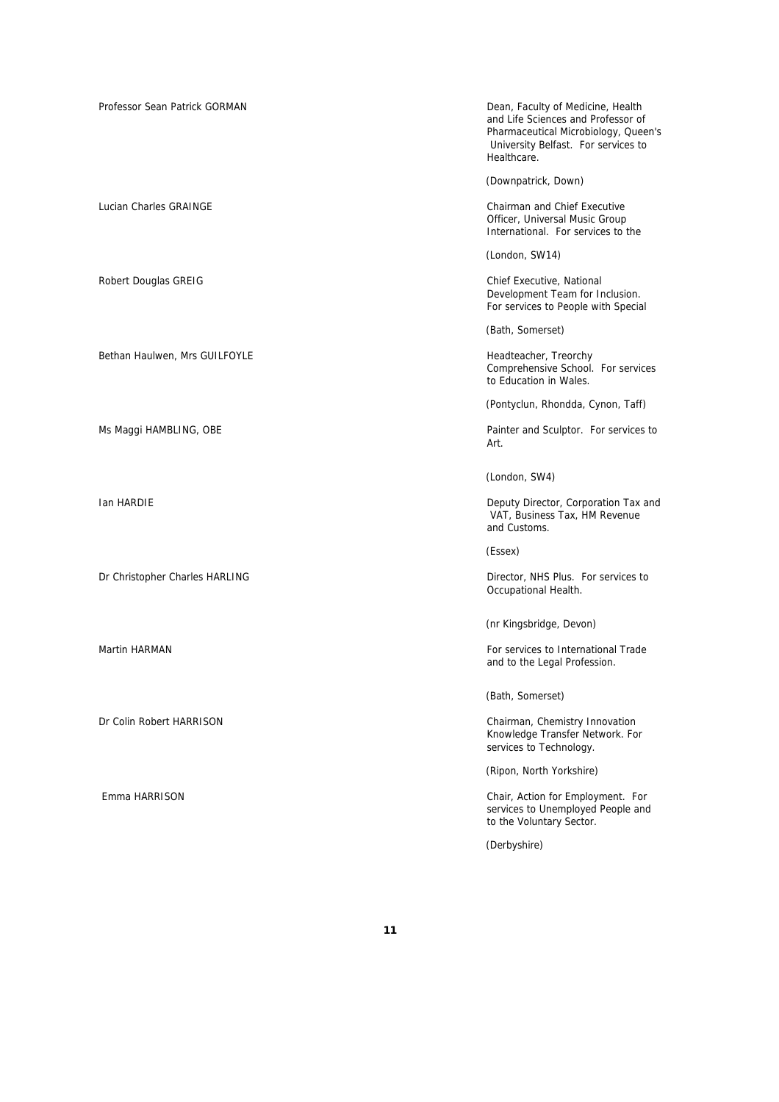Professor Sean Patrick GORMAN **Dean, Faculty of Medicine, Health** Dean, Faculty of Medicine, Health and Life Sciences and Professor of Pharmaceutical Microbiology, Queen's University Belfast. For services to Healthcare. (Downpatrick, Down) Lucian Charles GRAINGE Chairman and Chief Executive Officer, Universal Music Group International. For services to the (London, SW14) Robert Douglas GREIG Chief Executive, National Chief Executive, National Development Team for Inclusion. For services to People with Special (Bath, Somerset) Bethan Haulwen, Mrs GUILFOYLE **Headteacher, Treorchy** Headteacher, Treorchy Comprehensive School. For services to Education in Wales. (Pontyclun, Rhondda, Cynon, Taff) Ms Maggi HAMBLING, OBE **Painter and Sculptor.** For services to Art. (London, SW4) Ian HARDIE **Deputy Director, Corporation Tax and**  VAT, Business Tax, HM Revenue and Customs. (Essex) Dr Christopher Charles HARLING **Director**, NHS Plus. For services to Occupational Health. (nr Kingsbridge, Devon) Martin HARMAN For services to International Trade and to the Legal Profession. (Bath, Somerset) Dr Colin Robert HARRISON Chairman, Chemistry Innovation Knowledge Transfer Network. For services to Technology. (Ripon, North Yorkshire) Emma HARRISON Chair, Action for Employment. For services to Unemployed People and to the Voluntary Sector.

(Derbyshire)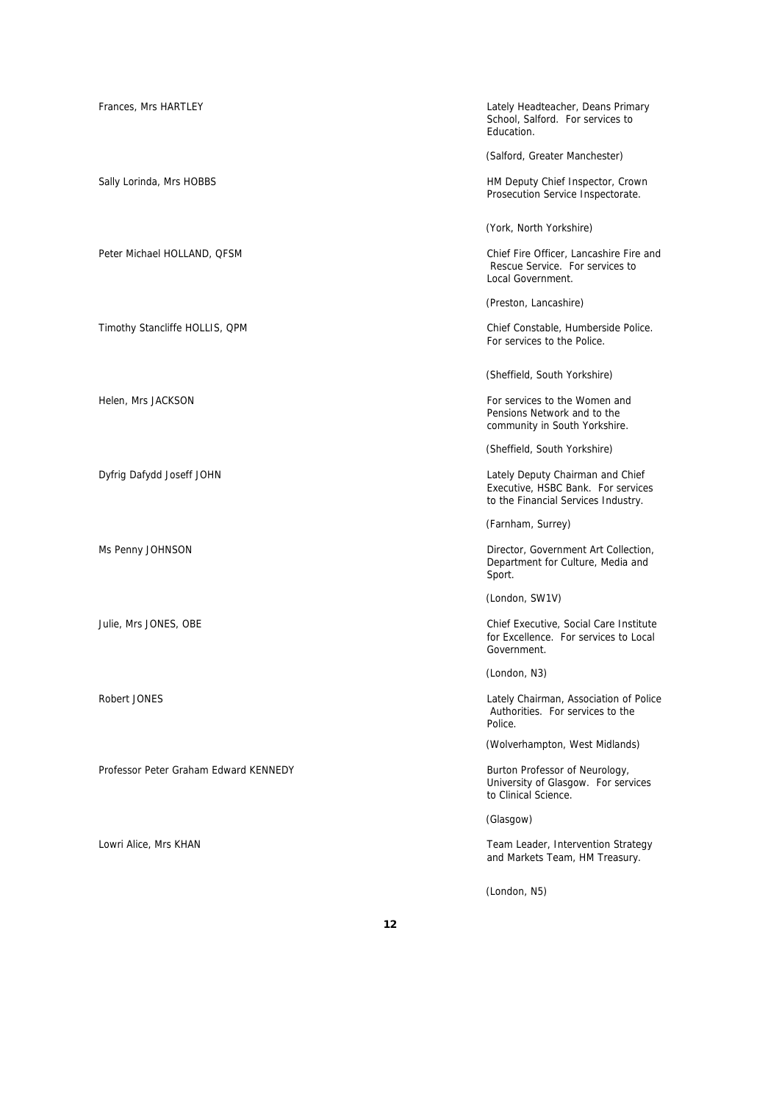| Frances, Mrs HARTLEY                  | Lately Headteacher, Deans Primary<br>School, Salford. For services to<br>Education.                           |
|---------------------------------------|---------------------------------------------------------------------------------------------------------------|
|                                       | (Salford, Greater Manchester)                                                                                 |
| Sally Lorinda, Mrs HOBBS              | HM Deputy Chief Inspector, Crown<br>Prosecution Service Inspectorate.                                         |
|                                       | (York, North Yorkshire)                                                                                       |
| Peter Michael HOLLAND, QFSM           | Chief Fire Officer, Lancashire Fire and<br>Rescue Service. For services to<br>Local Government.               |
|                                       | (Preston, Lancashire)                                                                                         |
| Timothy Stancliffe HOLLIS, QPM        | Chief Constable, Humberside Police.<br>For services to the Police.                                            |
|                                       | (Sheffield, South Yorkshire)                                                                                  |
| Helen, Mrs JACKSON                    | For services to the Women and<br>Pensions Network and to the<br>community in South Yorkshire.                 |
|                                       | (Sheffield, South Yorkshire)                                                                                  |
| Dyfrig Dafydd Joseff JOHN             | Lately Deputy Chairman and Chief<br>Executive, HSBC Bank. For services<br>to the Financial Services Industry. |
|                                       | (Farnham, Surrey)                                                                                             |
| Ms Penny JOHNSON                      | Director, Government Art Collection,<br>Department for Culture, Media and<br>Sport.                           |
|                                       | (London, SW1V)                                                                                                |
| Julie, Mrs JONES, OBE                 | Chief Executive, Social Care Institute<br>for Excellence. For services to Local<br>Government.                |
|                                       | (London, N3)                                                                                                  |
| Robert JONES                          | Lately Chairman, Association of Police<br>Authorities. For services to the<br>Police.                         |
|                                       | (Wolverhampton, West Midlands)                                                                                |
| Professor Peter Graham Edward KENNEDY | Burton Professor of Neurology,<br>University of Glasgow. For services<br>to Clinical Science.                 |
|                                       | (Glasgow)                                                                                                     |
| Lowri Alice, Mrs KHAN                 | Team Leader, Intervention Strategy<br>and Markets Team, HM Treasury.                                          |
|                                       |                                                                                                               |

**12**

(London, N5)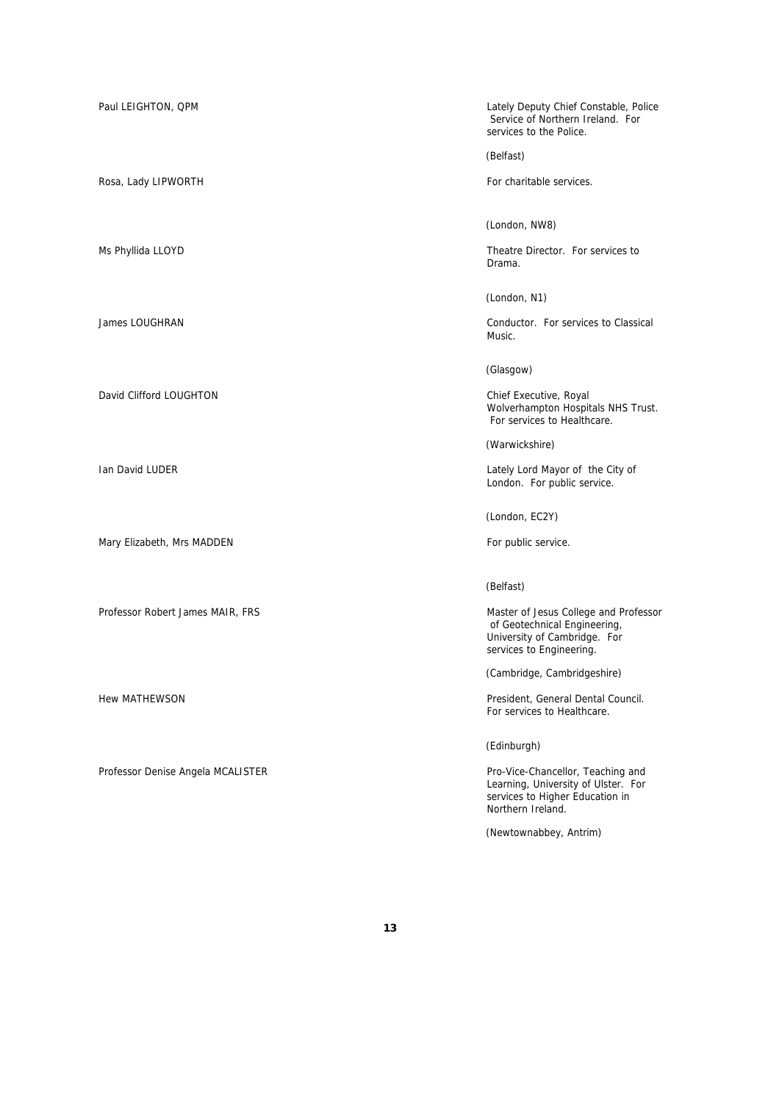Rosa, Lady LIPWORTH For charitable services.

David Clifford LOUGHTON Chief Executive, Royal

Mary Elizabeth, Mrs MADDEN For public service.

Professor Denise Angela MCALISTER **Pro-Vice-Chancellor, Teaching and** 

Paul LEIGHTON, QPM Lately Deputy Chief Constable, Police Service of Northern Ireland. For services to the Police.

(Belfast)

(London, NW8)

Ms Phyllida LLOYD **Theatre Director.** For services to Drama.

(London, N1)

James LOUGHRAN Conductor. For services to Classical Music.

(Glasgow)

Wolverhampton Hospitals NHS Trust. For services to Healthcare.

(Warwickshire)

Ian David LUDER Lately Lord Mayor of the City of London. For public service.

(London, EC2Y)

(Belfast)

Professor Robert James MAIR, FRS Master of Jesus College and Professor Natural Andrew Master of Jesus College and Professor of Geotechnical Engineering, University of Cambridge. For services to Engineering.

(Cambridge, Cambridgeshire)

Hew MATHEWSON President, General Dental Council. For services to Healthcare.

(Edinburgh)

Learning, University of Ulster. For services to Higher Education in Northern Ireland.

(Newtownabbey, Antrim)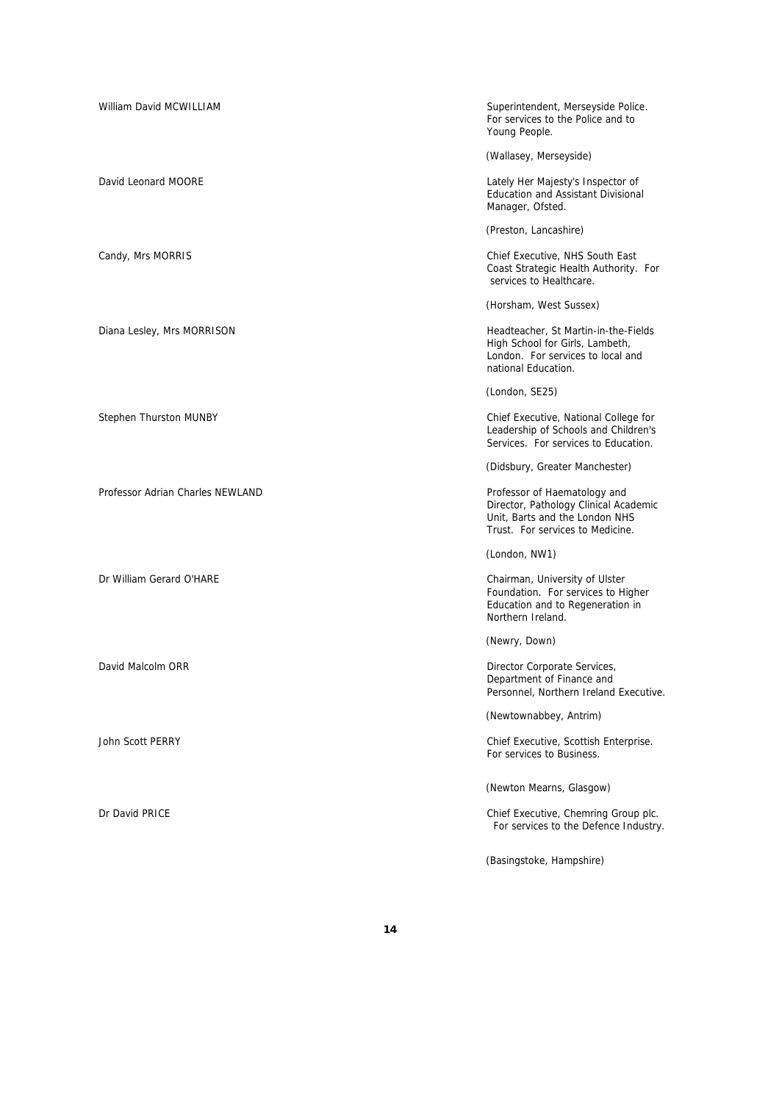| William David MCWILLIAM          | Superintendent, Merseyside Police.<br>For services to the Police and to<br>Young People.                                                    |
|----------------------------------|---------------------------------------------------------------------------------------------------------------------------------------------|
|                                  | (Wallasey, Merseyside)                                                                                                                      |
| David Leonard MOORE              | Lately Her Majesty's Inspector of<br>Education and Assistant Divisional<br>Manager, Ofsted.                                                 |
|                                  | (Preston, Lancashire)                                                                                                                       |
| Candy, Mrs MORRIS                | Chief Executive, NHS South East<br>Coast Strategic Health Authority. For<br>services to Healthcare.                                         |
|                                  | (Horsham, West Sussex)                                                                                                                      |
| Diana Lesley, Mrs MORRISON       | Headteacher, St Martin-in-the-Fields<br>High School for Girls, Lambeth,<br>London. For services to local and<br>national Education.         |
|                                  | (London, SE25)                                                                                                                              |
| Stephen Thurston MUNBY           | Chief Executive, National College for<br>Leadership of Schools and Children's<br>Services. For services to Education.                       |
|                                  | (Didsbury, Greater Manchester)                                                                                                              |
| Professor Adrian Charles NEWLAND | Professor of Haematology and<br>Director, Pathology Clinical Academic<br>Unit, Barts and the London NHS<br>Trust. For services to Medicine. |
|                                  | (London, NW1)                                                                                                                               |
| Dr William Gerard O'HARE         | Chairman, University of Ulster<br>Foundation. For services to Higher<br>Education and to Regeneration in<br>Northern Ireland.               |
|                                  | (Newry, Down)                                                                                                                               |
| David Malcolm ORR                | Director Corporate Services,<br>Department of Finance and<br>Personnel, Northern Ireland Executive.                                         |
|                                  | (Newtownabbey, Antrim)                                                                                                                      |
| John Scott PERRY                 | Chief Executive, Scottish Enterprise.<br>For services to Business.                                                                          |
|                                  | (Newton Mearns, Glasgow)                                                                                                                    |
| Dr David PRICE                   | Chief Executive, Chemring Group plc.<br>For services to the Defence Industry.                                                               |
|                                  | (Basingstoke, Hampshire)                                                                                                                    |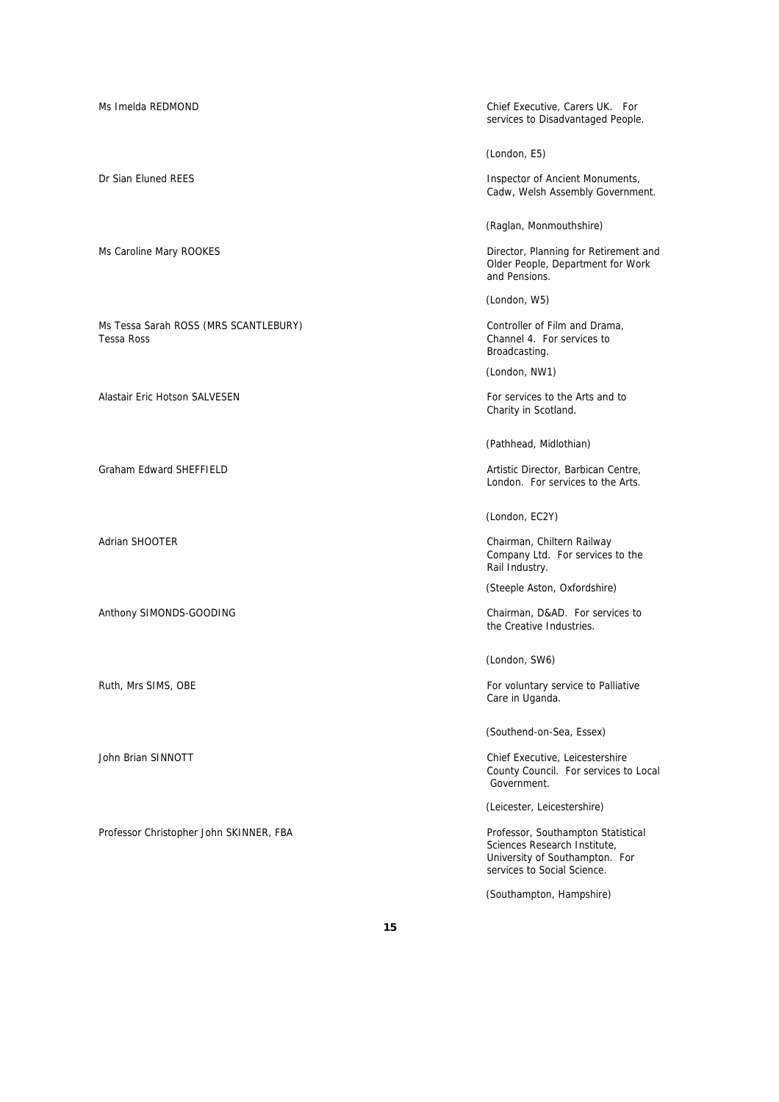Ms Tessa Sarah ROSS (MRS SCANTLEBURY) Controller of Film and Drama, Cost Controller of Film and Drama, Channel 4. For services to

Alastair Eric Hotson SALVESEN For services to the Arts and to have a services to the Arts and to

Anthony SIMONDS-GOODING CHAIRMON CHAIRMON Chairman, D&AD. For services to

Professor Christopher John SKINNER, FBA Professor, Southampton Statistical

Ms Imelda REDMOND Chief Executive, Carers UK. For services to Disadvantaged People.

(London, E5)

Dr Sian Eluned REES **Inspector of Ancient Monuments**, Cadw, Welsh Assembly Government.

(Raglan, Monmouthshire)

Ms Caroline Mary ROOKES **Director, Planning for Retirement and** Older People, Department for Work and Pensions.

(London, W5)

Channel 4. For services to Broadcasting.

(London, NW1)

Charity in Scotland.

(Pathhead, Midlothian)

Graham Edward SHEFFIELD **Artistic Director, Barbican Centre**, **Graham Edward SHEFFIELD** London. For services to the Arts.

(London, EC2Y)

Adrian SHOOTER Chairman, Chiltern Railway Company Ltd. For services to the Rail Industry.

(Steeple Aston, Oxfordshire)

the Creative Industries.

(London, SW6)

Ruth, Mrs SIMS, OBE For voluntary service to Palliative Care in Uganda.

(Southend-on-Sea, Essex)

John Brian SINNOTT **Chief Executive, Leicestershire** County Council. For services to Local Government.

(Leicester, Leicestershire)

Sciences Research Institute, University of Southampton. For services to Social Science.

(Southampton, Hampshire)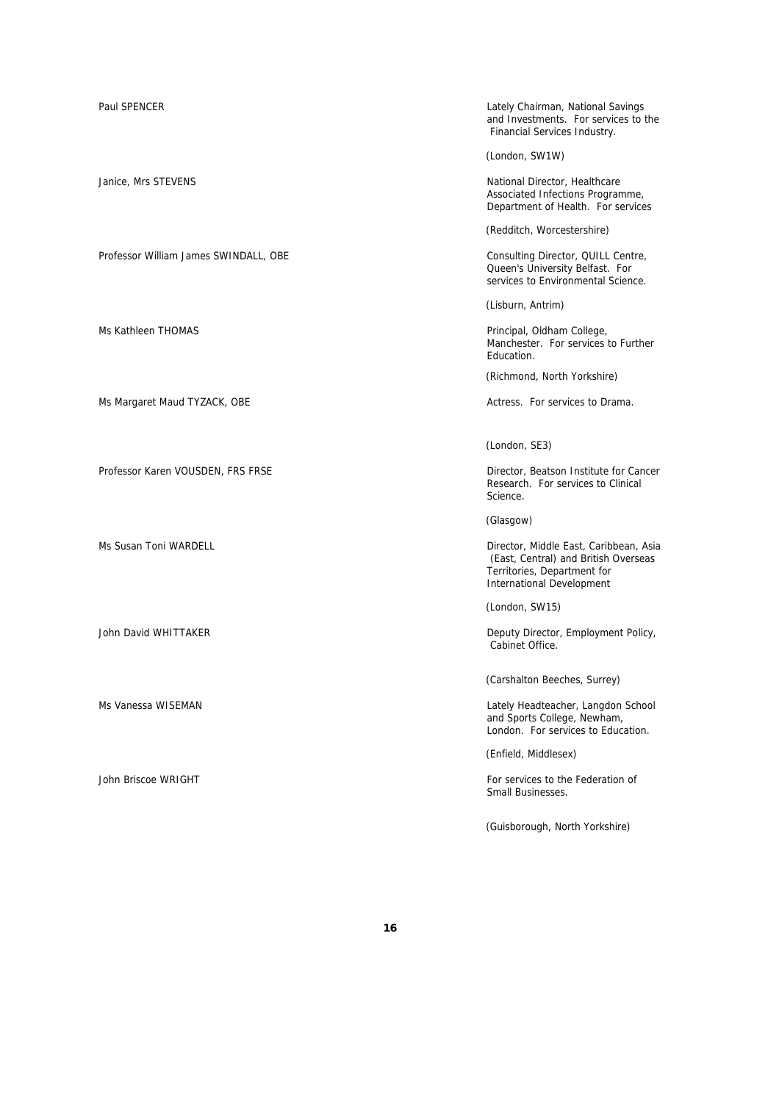Professor William James SWINDALL, OBE Consulting Director, QUILL Centre,

Ms Margaret Maud TYZACK, OBE Actress. For services to Drama.

Professor Karen VOUSDEN, FRS FRSE Director, Beatson Institute for Cancer

Paul SPENCER **CHAIRMON CONTROL** CHAIRMON CHAIRMAN Lately Chairman, National Savings and Investments. For services to the Financial Services Industry.

(London, SW1W)

Janice, Mrs STEVENS National Director, Healthcare Associated Infections Programme, Department of Health. For services

(Redditch, Worcestershire)

Queen's University Belfast. For services to Environmental Science.

(Lisburn, Antrim)

Ms Kathleen THOMAS **Principal**, Oldham College, Manchester. For services to Further Education.

(Richmond, North Yorkshire)

(London, SE3)

Research. For services to Clinical Science.

(Glasgow)

Ms Susan Toni WARDELL **Director, Middle East, Caribbean, Asia** Director, Middle East, Caribbean, Asia (East, Central) and British Overseas Territories, Department for International Development

(London, SW15)

John David WHITTAKER **Deputy Director, Employment Policy**, Cabinet Office.

(Carshalton Beeches, Surrey)

Ms Vanessa WISEMAN Lately Headteacher, Langdon School and Sports College, Newham, London. For services to Education.

(Enfield, Middlesex)

John Briscoe WRIGHT For services to the Federation of Small Businesses.

(Guisborough, North Yorkshire)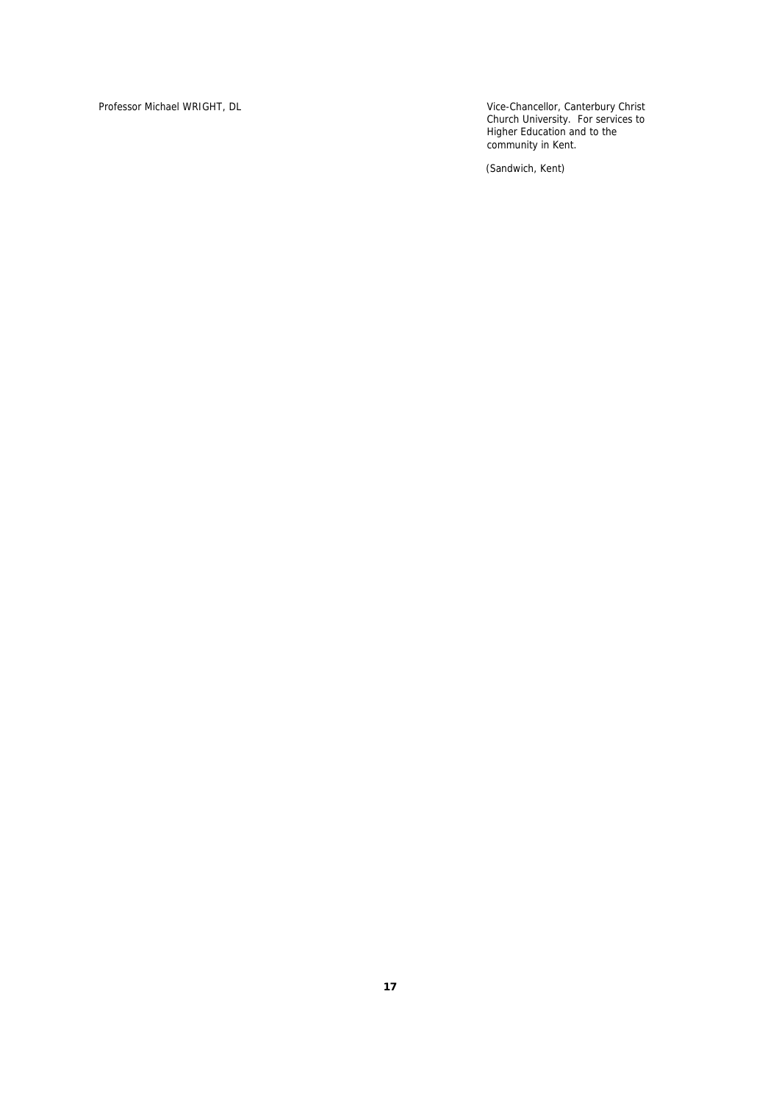Professor Michael WRIGHT, DL Vice-Chancellor, Canterbury Christ Church University. For services to Higher Education and to the community in Kent.

(Sandwich, Kent)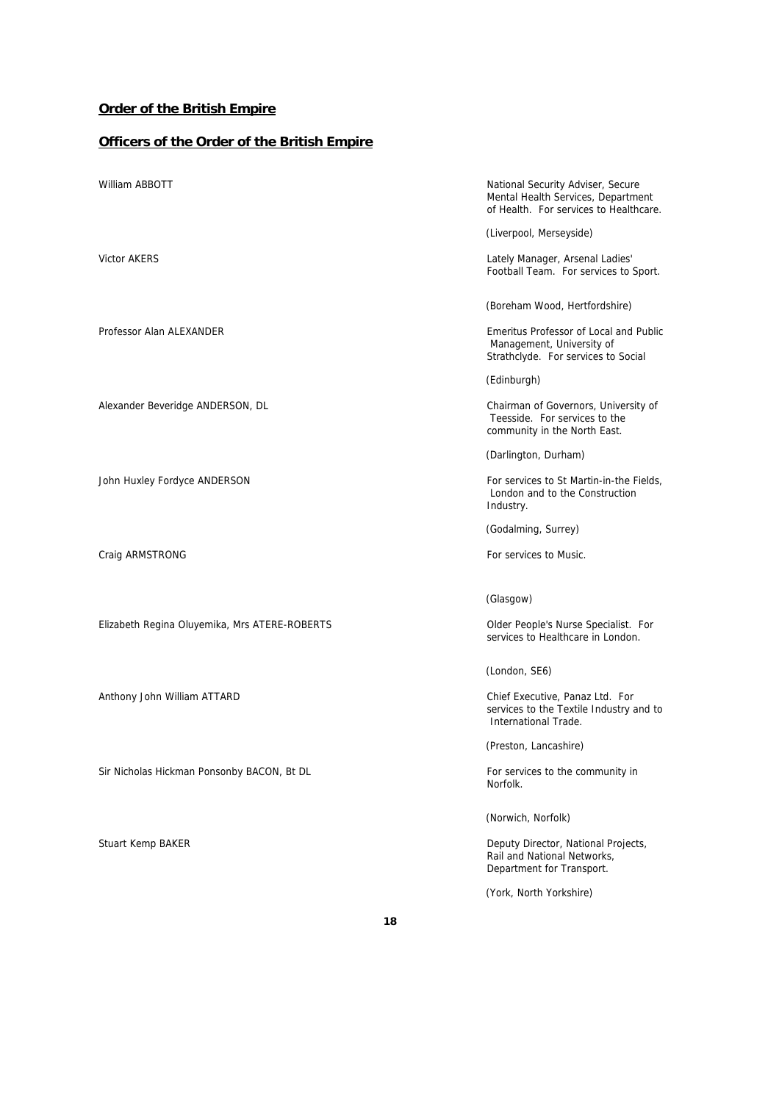## **Order of the British Empire**

## **Officers of the Order of the British Empire**

| William ABBOTT                                | National Security Adviser, Secure<br>Mental Health Services, Department<br>of Health. For services to Healthcare. |
|-----------------------------------------------|-------------------------------------------------------------------------------------------------------------------|
|                                               | (Liverpool, Merseyside)                                                                                           |
| Victor AKERS                                  | Lately Manager, Arsenal Ladies'<br>Football Team. For services to Sport.                                          |
|                                               | (Boreham Wood, Hertfordshire)                                                                                     |
| Professor Alan ALEXANDER                      | Emeritus Professor of Local and Public<br>Management, University of<br>Strathclyde. For services to Social        |
|                                               | (Edinburgh)                                                                                                       |
| Alexander Beveridge ANDERSON, DL              | Chairman of Governors, University of<br>Teesside. For services to the<br>community in the North East.             |
|                                               | (Darlington, Durham)                                                                                              |
| John Huxley Fordyce ANDERSON                  | For services to St Martin-in-the Fields,<br>London and to the Construction<br>Industry.                           |
|                                               | (Godalming, Surrey)                                                                                               |
| Craig ARMSTRONG                               | For services to Music.                                                                                            |
|                                               | (Glasgow)                                                                                                         |
| Elizabeth Regina Oluyemika, Mrs ATERE-ROBERTS | Older People's Nurse Specialist. For<br>services to Healthcare in London.                                         |
|                                               | (London, SE6)                                                                                                     |
| Anthony John William ATTARD                   | Chief Executive, Panaz Ltd. For<br>services to the Textile Industry and to<br>International Trade.                |
|                                               | (Preston, Lancashire)                                                                                             |
| Sir Nicholas Hickman Ponsonby BACON, Bt DL    | For services to the community in<br>Norfolk.                                                                      |
|                                               | (Norwich, Norfolk)                                                                                                |
| <b>Stuart Kemp BAKER</b>                      | Deputy Director, National Projects,<br>Rail and National Networks,<br>Department for Transport.                   |
|                                               | (York, North Yorkshire)                                                                                           |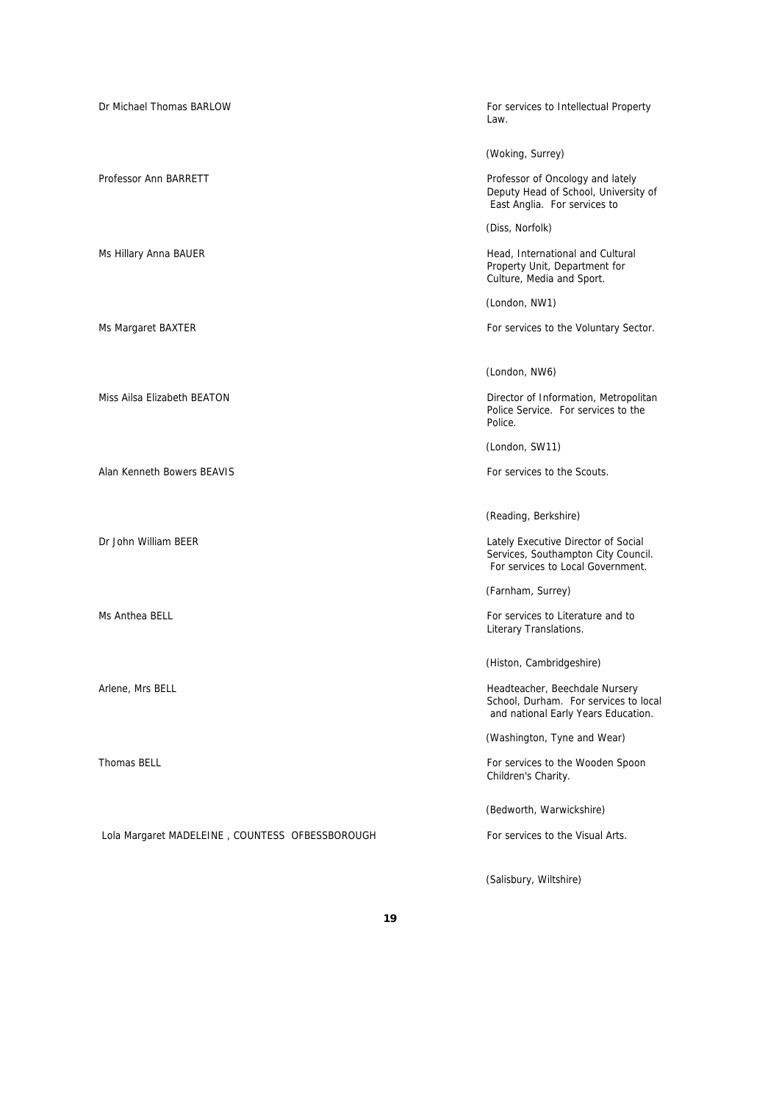| Dr Michael Thomas BARLOW                        | For services to Intellectual Property<br>Law.                                                                   |
|-------------------------------------------------|-----------------------------------------------------------------------------------------------------------------|
|                                                 | (Woking, Surrey)                                                                                                |
| Professor Ann BARRETT                           | Professor of Oncology and lately<br>Deputy Head of School, University of<br>East Anglia. For services to        |
|                                                 | (Diss, Norfolk)                                                                                                 |
| Ms Hillary Anna BAUER                           | Head, International and Cultural<br>Property Unit, Department for<br>Culture, Media and Sport.                  |
|                                                 | (London, NW1)                                                                                                   |
| Ms Margaret BAXTER                              | For services to the Voluntary Sector.                                                                           |
|                                                 | (London, NW6)                                                                                                   |
| Miss Ailsa Elizabeth BEATON                     | Director of Information, Metropolitan<br>Police Service. For services to the<br>Police.                         |
|                                                 | (London, SW11)                                                                                                  |
| Alan Kenneth Bowers BEAVIS                      | For services to the Scouts.                                                                                     |
|                                                 | (Reading, Berkshire)                                                                                            |
| Dr John William BEER                            | Lately Executive Director of Social<br>Services, Southampton City Council.<br>For services to Local Government. |
|                                                 | (Farnham, Surrey)                                                                                               |
| Ms Anthea BELL                                  | For services to Literature and to<br>Literary Translations.                                                     |
|                                                 | (Histon, Cambridgeshire)                                                                                        |
| Arlene, Mrs BELL                                | Headteacher, Beechdale Nursery<br>School, Durham. For services to local<br>and national Early Years Education.  |
|                                                 | (Washington, Tyne and Wear)                                                                                     |
| Thomas BELL                                     | For services to the Wooden Spoon<br>Children's Charity.                                                         |
|                                                 | (Bedworth, Warwickshire)                                                                                        |
| Lola Margaret MADELEINE, COUNTESS OFBESSBOROUGH | For services to the Visual Arts.                                                                                |

(Salisbury, Wiltshire)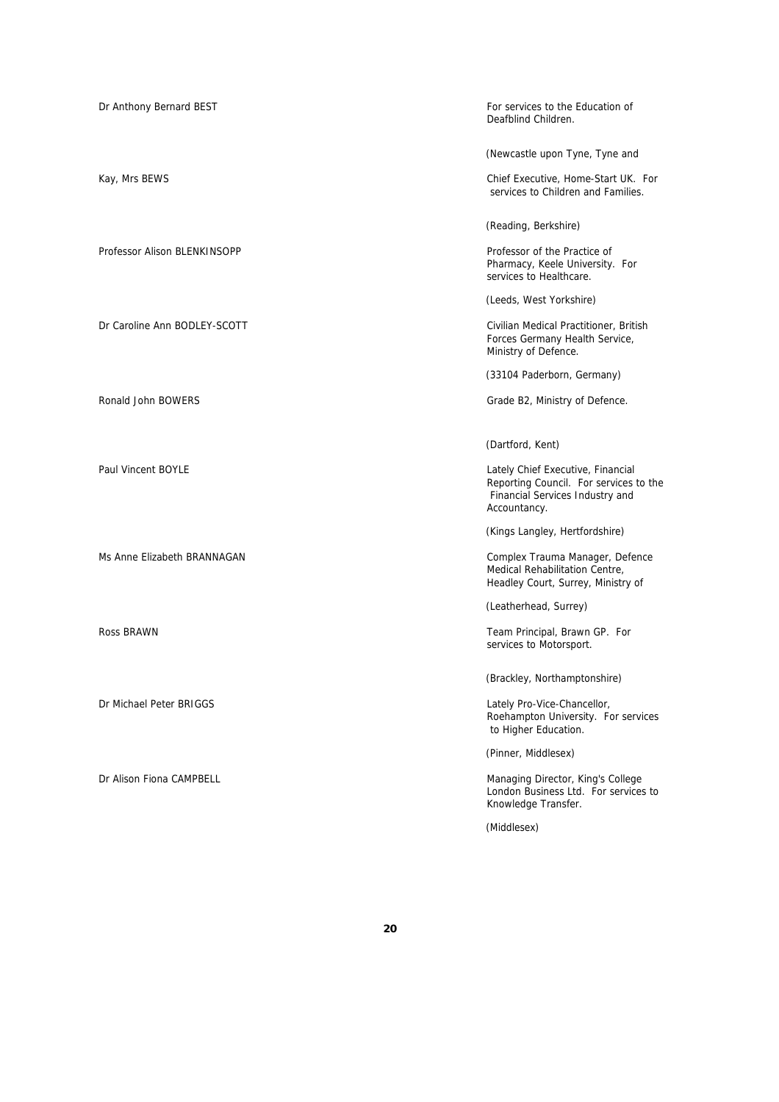| Dr Anthony Bernard BEST      | For services to the Education of<br>Deafblind Children.                                                                        |
|------------------------------|--------------------------------------------------------------------------------------------------------------------------------|
|                              | (Newcastle upon Tyne, Tyne and                                                                                                 |
| Kay, Mrs BEWS                | Chief Executive, Home-Start UK. For<br>services to Children and Families.                                                      |
|                              | (Reading, Berkshire)                                                                                                           |
| Professor Alison BLENKINSOPP | Professor of the Practice of<br>Pharmacy, Keele University. For<br>services to Healthcare.                                     |
|                              | (Leeds, West Yorkshire)                                                                                                        |
| Dr Caroline Ann BODLEY-SCOTT | Civilian Medical Practitioner, British<br>Forces Germany Health Service,<br>Ministry of Defence.                               |
|                              | (33104 Paderborn, Germany)                                                                                                     |
| Ronald John BOWERS           | Grade B2, Ministry of Defence.                                                                                                 |
|                              |                                                                                                                                |
|                              | (Dartford, Kent)                                                                                                               |
| Paul Vincent BOYLE           | Lately Chief Executive, Financial<br>Reporting Council. For services to the<br>Financial Services Industry and<br>Accountancy. |
|                              | (Kings Langley, Hertfordshire)                                                                                                 |
| Ms Anne Elizabeth BRANNAGAN  | Complex Trauma Manager, Defence<br>Medical Rehabilitation Centre,<br>Headley Court, Surrey, Ministry of                        |
|                              | (Leatherhead, Surrey)                                                                                                          |
| Ross BRAWN                   | Team Principal, Brawn GP. For<br>services to Motorsport.                                                                       |
|                              | (Brackley, Northamptonshire)                                                                                                   |
| Dr Michael Peter BRIGGS      | Lately Pro-Vice-Chancellor,<br>Roehampton University. For services<br>to Higher Education.                                     |
|                              | (Pinner, Middlesex)                                                                                                            |
| Dr Alison Fiona CAMPBELL     | Managing Director, King's College<br>London Business Ltd. For services to<br>Knowledge Transfer.                               |
|                              | (Middlesex)                                                                                                                    |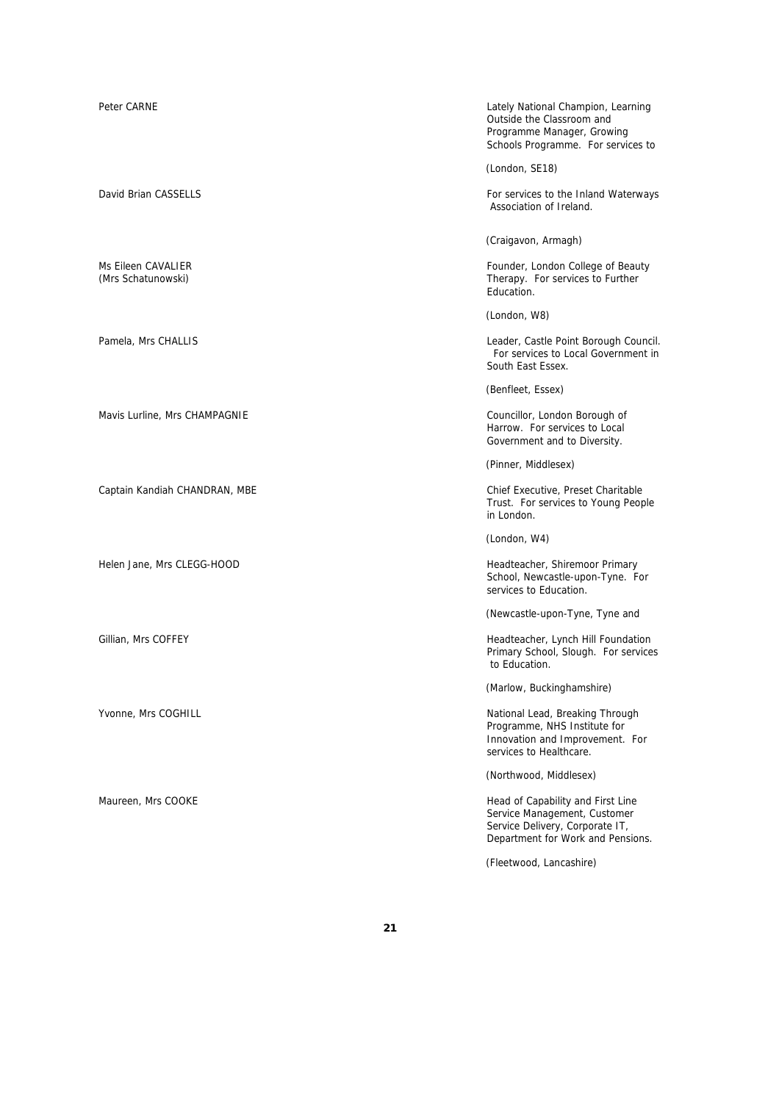Mavis Lurline, Mrs CHAMPAGNIE Councillor, London Borough of

Captain Kandiah CHANDRAN, MBE Chief Executive, Preset Charitable

Peter CARNE **CARNE Lately National Champion, Learning** Outside the Classroom and Programme Manager, Growing Schools Programme. For services to

(London, SE18)

David Brian CASSELLS **For services to the Inland Waterways** For services to the Inland Waterways Association of Ireland.

(Craigavon, Armagh)

Ms Eileen CAVALIER **Founder, London College of Beauty**<br>
(Mrs Schatunowski) **Founder, London College of Beauty**<br>
Therapy. For services to Further Therapy. For services to Further Education.

(London, W8)

Pamela, Mrs CHALLIS **CHALLIS** Leader, Castle Point Borough Council. For services to Local Government in South East Essex.

(Benfleet, Essex)

Harrow. For services to Local Government and to Diversity.

(Pinner, Middlesex)

Trust. For services to Young People in London.

(London, W4)

Helen Jane, Mrs CLEGG-HOOD Headteacher, Shiremoor Primary School, Newcastle-upon-Tyne. For services to Education.

(Newcastle-upon-Tyne, Tyne and

Gillian, Mrs COFFEY **Headteacher, Lynch Hill Foundation** Primary School, Slough. For services to Education.

(Marlow, Buckinghamshire)

Yvonne, Mrs COGHILL **National Lead, Breaking Through** National Lead, Breaking Through Programme, NHS Institute for Innovation and Improvement. For services to Healthcare.

(Northwood, Middlesex)

Maureen, Mrs COOKE **Head of Capability and First Line** Service Management, Customer Service Delivery, Corporate IT, Department for Work and Pensions.

(Fleetwood, Lancashire)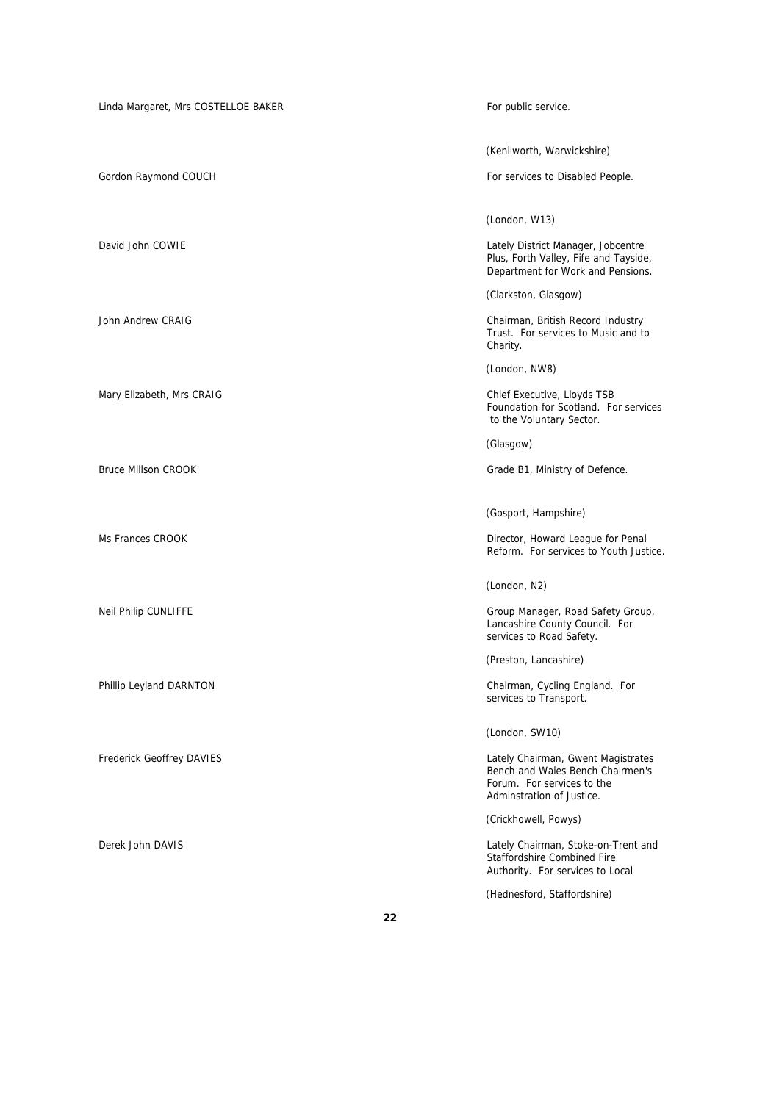| Linda Margaret, Mrs COSTELLOE BAKER | For public service.                                                                                                               |
|-------------------------------------|-----------------------------------------------------------------------------------------------------------------------------------|
|                                     | (Kenilworth, Warwickshire)                                                                                                        |
|                                     |                                                                                                                                   |
| Gordon Raymond COUCH                | For services to Disabled People.                                                                                                  |
|                                     | (London, W13)                                                                                                                     |
| David John COWIE                    | Lately District Manager, Jobcentre<br>Plus, Forth Valley, Fife and Tayside,<br>Department for Work and Pensions.                  |
|                                     | (Clarkston, Glasgow)                                                                                                              |
| John Andrew CRAIG                   | Chairman, British Record Industry<br>Trust. For services to Music and to<br>Charity.                                              |
|                                     | (London, NW8)                                                                                                                     |
| Mary Elizabeth, Mrs CRAIG           | Chief Executive, Lloyds TSB<br>Foundation for Scotland. For services<br>to the Voluntary Sector.                                  |
|                                     | (Glasgow)                                                                                                                         |
| <b>Bruce Millson CROOK</b>          | Grade B1, Ministry of Defence.                                                                                                    |
|                                     |                                                                                                                                   |
|                                     | (Gosport, Hampshire)                                                                                                              |
| Ms Frances CROOK                    | Director, Howard League for Penal<br>Reform. For services to Youth Justice.                                                       |
|                                     | (London, N2)                                                                                                                      |
| Neil Philip CUNLIFFE                | Group Manager, Road Safety Group,<br>Lancashire County Council. For<br>services to Road Safety.                                   |
|                                     | (Preston, Lancashire)                                                                                                             |
| Phillip Leyland DARNTON             | Chairman, Cycling England. For<br>services to Transport.                                                                          |
|                                     | (London, SW10)                                                                                                                    |
| Frederick Geoffrey DAVIES           | Lately Chairman, Gwent Magistrates<br>Bench and Wales Bench Chairmen's<br>Forum. For services to the<br>Adminstration of Justice. |
|                                     | (Crickhowell, Powys)                                                                                                              |
| Derek John DAVIS                    | Lately Chairman, Stoke-on-Trent and<br><b>Staffordshire Combined Fire</b><br>Authority. For services to Local                     |
|                                     | (Hednesford, Staffordshire)                                                                                                       |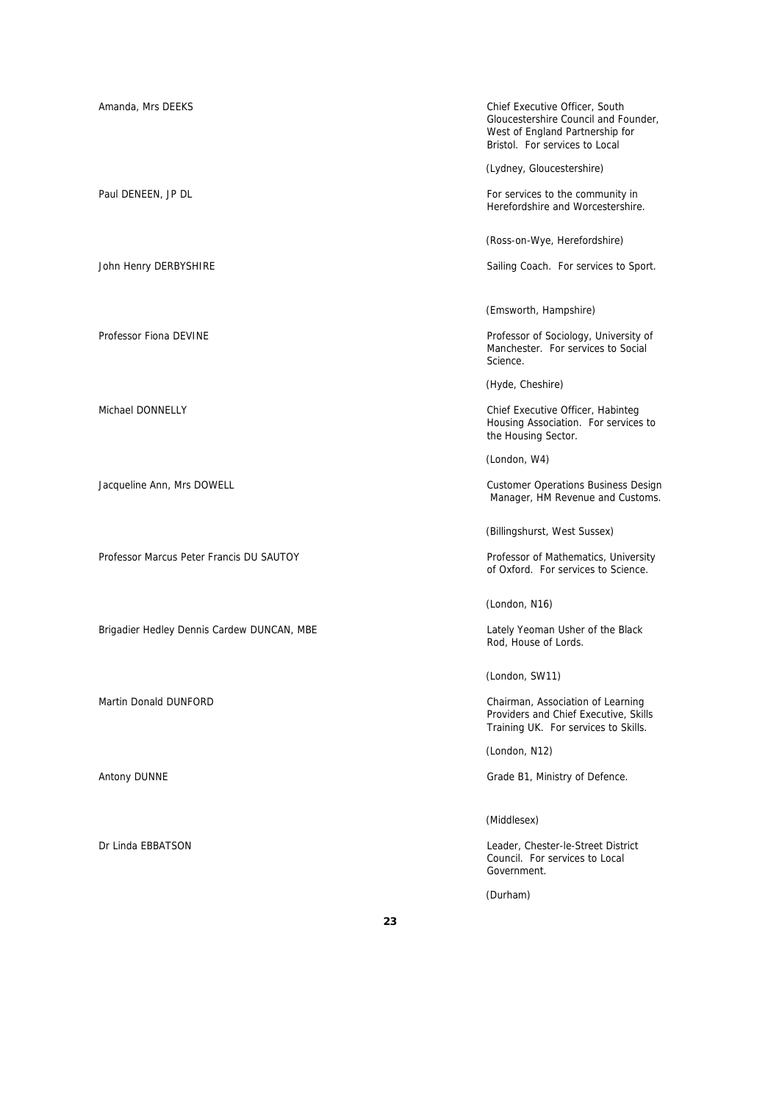Amanda, Mrs DEEKS Chief Executive Officer, South Gloucestershire Council and Founder, West of England Partnership for Bristol. For services to Local (Lydney, Gloucestershire) Paul DENEEN, JP DL For services to the community in Herefordshire and Worcestershire. (Ross-on-Wye, Herefordshire) John Henry DERBYSHIRE **Sailing Coach.** For services to Sport. (Emsworth, Hampshire) Professor Fiona DEVINE **Professor Fiona DEVINE** Manchester. For services to Social Science. (Hyde, Cheshire) Michael DONNELLY Chief Executive Officer, Habinteg Housing Association. For services to the Housing Sector. (London, W4) Jacqueline Ann, Mrs DOWELL Customer Operations Business Design Manager, HM Revenue and Customs. (Billingshurst, West Sussex) Professor Marcus Peter Francis DU SAUTOY **Professor of Mathematics, University** of Oxford. For services to Science. (London, N16) Brigadier Hedley Dennis Cardew DUNCAN, MBE **Lately Yeoman Usher of the Black** Rod, House of Lords. (London, SW11) Martin Donald DUNFORD Chairman, Association of Learning Providers and Chief Executive, Skills Training UK. For services to Skills. (London, N12) Antony DUNNE **Grade B1, Ministry of Defence.** (Middlesex) Dr Linda EBBATSON Leader, Chester-le-Street District Council. For services to Local Government.

(Durham)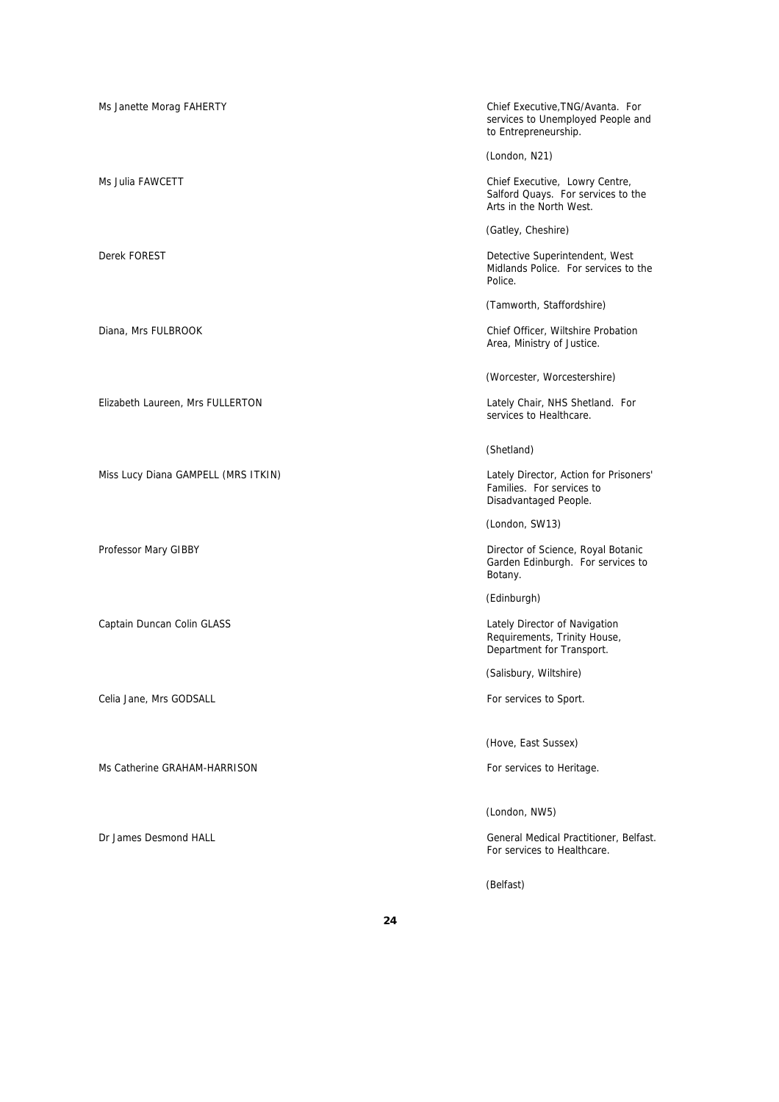Ms Janette Morag FAHERTY Chief Executive,TNG/Avanta. For services to Unemployed People and to Entrepreneurship. (London, N21) Ms Julia FAWCETT **Chief Executive, Lowry Centre,** Salford Quays. For services to the Arts in the North West. (Gatley, Cheshire) Derek FOREST Detective Superintendent, West Midlands Police. For services to the Police. (Tamworth, Staffordshire) Diana, Mrs FULBROOK Chief Officer, Wiltshire Probation Area, Ministry of Justice. (Worcester, Worcestershire) Elizabeth Laureen, Mrs FULLERTON Lately Chair, NHS Shetland. For services to Healthcare. (Shetland) Miss Lucy Diana GAMPELL (MRS ITKIN) Lately Director, Action for Prisoners' Families. For services to Disadvantaged People. (London, SW13) Professor Mary GIBBY Director of Science, Royal Botanic Garden Edinburgh. For services to Botany. (Edinburgh) Captain Duncan Colin GLASS **Lately Director of Navigation** Captain Duncan Colin GLASS Requirements, Trinity House, Department for Transport. (Salisbury, Wiltshire) Celia Jane, Mrs GODSALL **For services** to Sport. (Hove, East Sussex) Ms Catherine GRAHAM-HARRISON For services to Heritage.

Dr James Desmond HALL General Medical Practitioner, Belfast. For services to Healthcare.

(Belfast)

(London, NW5)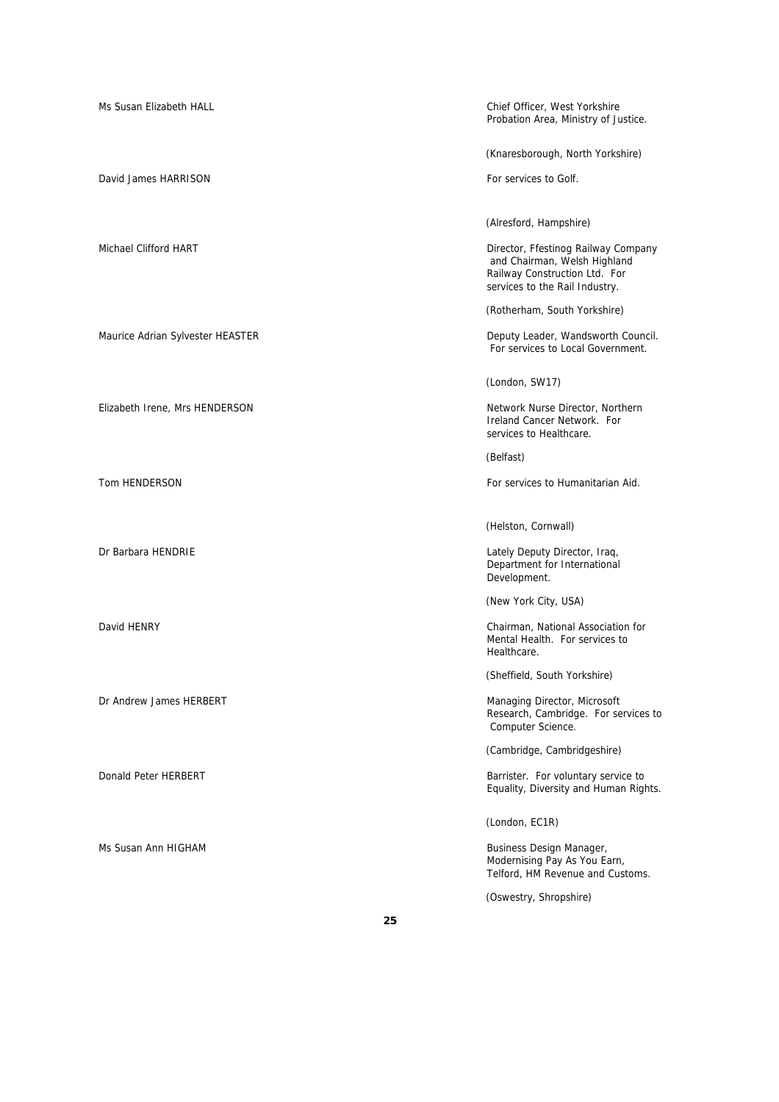| Ms Susan Elizabeth HALL          | Chief Officer, West Yorkshire<br>Probation Area, Ministry of Justice.                                                                  |
|----------------------------------|----------------------------------------------------------------------------------------------------------------------------------------|
|                                  | (Knaresborough, North Yorkshire)                                                                                                       |
| David James HARRISON             | For services to Golf.                                                                                                                  |
|                                  | (Alresford, Hampshire)                                                                                                                 |
| Michael Clifford HART            | Director, Ffestinog Railway Company<br>and Chairman, Welsh Highland<br>Railway Construction Ltd. For<br>services to the Rail Industry. |
|                                  | (Rotherham, South Yorkshire)                                                                                                           |
| Maurice Adrian Sylvester HEASTER | Deputy Leader, Wandsworth Council.<br>For services to Local Government.                                                                |
|                                  | (London, SW17)                                                                                                                         |
| Elizabeth Irene, Mrs HENDERSON   | Network Nurse Director, Northern<br>Ireland Cancer Network. For<br>services to Healthcare.                                             |
|                                  | (Belfast)                                                                                                                              |
| Tom HENDERSON                    | For services to Humanitarian Aid.                                                                                                      |
|                                  | (Helston, Cornwall)                                                                                                                    |
| Dr Barbara HENDRIE               | Lately Deputy Director, Iraq,<br>Department for International<br>Development.                                                          |
|                                  | (New York City, USA)                                                                                                                   |
| David HENRY                      | Chairman, National Association for<br>Mental Health. For services to<br>Healthcare.                                                    |
|                                  | (Sheffield, South Yorkshire)                                                                                                           |
| Dr Andrew James HERBERT          | Managing Director, Microsoft<br>Research, Cambridge. For services to<br>Computer Science.                                              |
|                                  | (Cambridge, Cambridgeshire)                                                                                                            |
| Donald Peter HERBERT             | Barrister. For voluntary service to<br>Equality, Diversity and Human Rights.                                                           |
|                                  | (London, EC1R)                                                                                                                         |
| Ms Susan Ann HIGHAM              | Business Design Manager,<br>Modernising Pay As You Earn,<br>Telford, HM Revenue and Customs.                                           |
|                                  | (Oswestry, Shropshire)                                                                                                                 |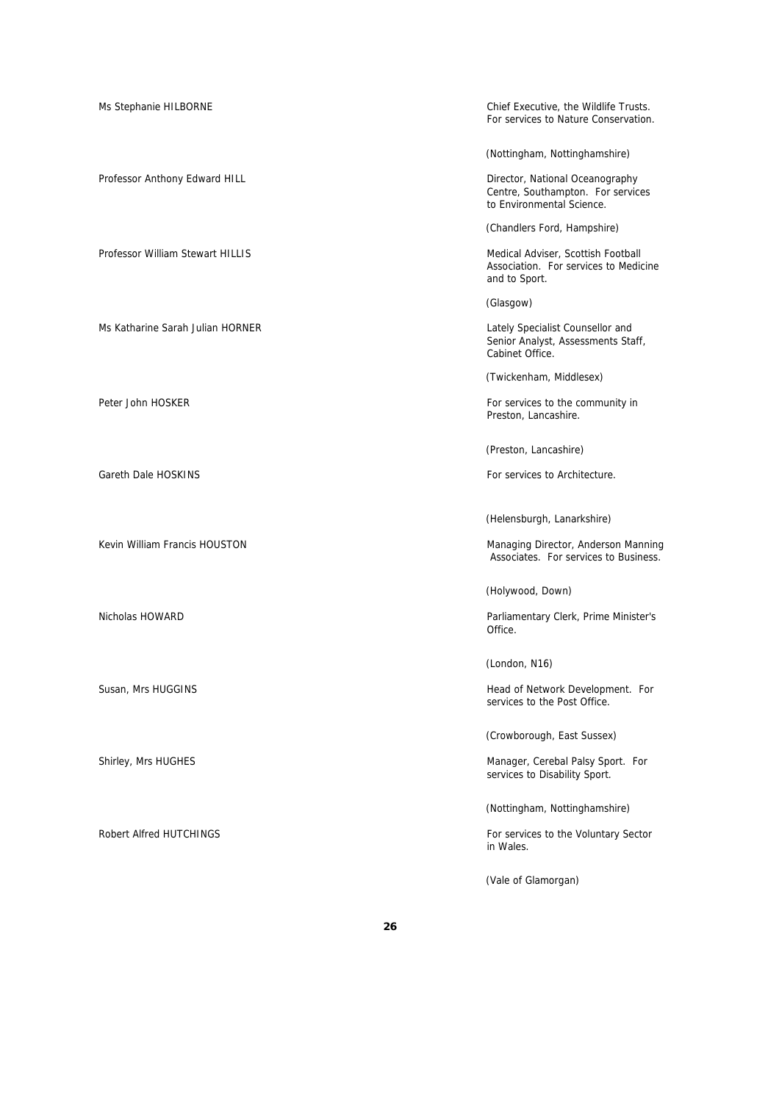Ms Stephanie HILBORNE Chief Executive, the Wildlife Trusts. For services to Nature Conservation. (Nottingham, Nottinghamshire) Professor Anthony Edward HILL **Contract and Contract Anti-** Director, National Oceanography Centre, Southampton. For services to Environmental Science. (Chandlers Ford, Hampshire) Professor William Stewart HILLIS **Medical Adviser, Scottish Football** Adviser, Scottish Football Association. For services to Medicine and to Sport. (Glasgow) Ms Katharine Sarah Julian HORNER Lately Specialist Counsellor and Senior Analyst, Assessments Staff, Cabinet Office. (Twickenham, Middlesex) Peter John HOSKER For services to the community in Preston, Lancashire. (Preston, Lancashire) Gareth Dale HOSKINS For services to Architecture. (Helensburgh, Lanarkshire) Kevin William Francis HOUSTON Managing Director, Anderson Manning Associates. For services to Business. (Holywood, Down) Nicholas HOWARD Parliamentary Clerk, Prime Minister's Office. (London, N16) Susan, Mrs HUGGINS **Head of Network Development.** For services to the Post Office. (Crowborough, East Sussex) Shirley, Mrs HUGHES Manager, Cerebal Palsy Sport. For services to Disability Sport. (Nottingham, Nottinghamshire) Robert Alfred HUTCHINGS **For services to the Voluntary Sector** For services to the Voluntary Sector in Wales. (Vale of Glamorgan)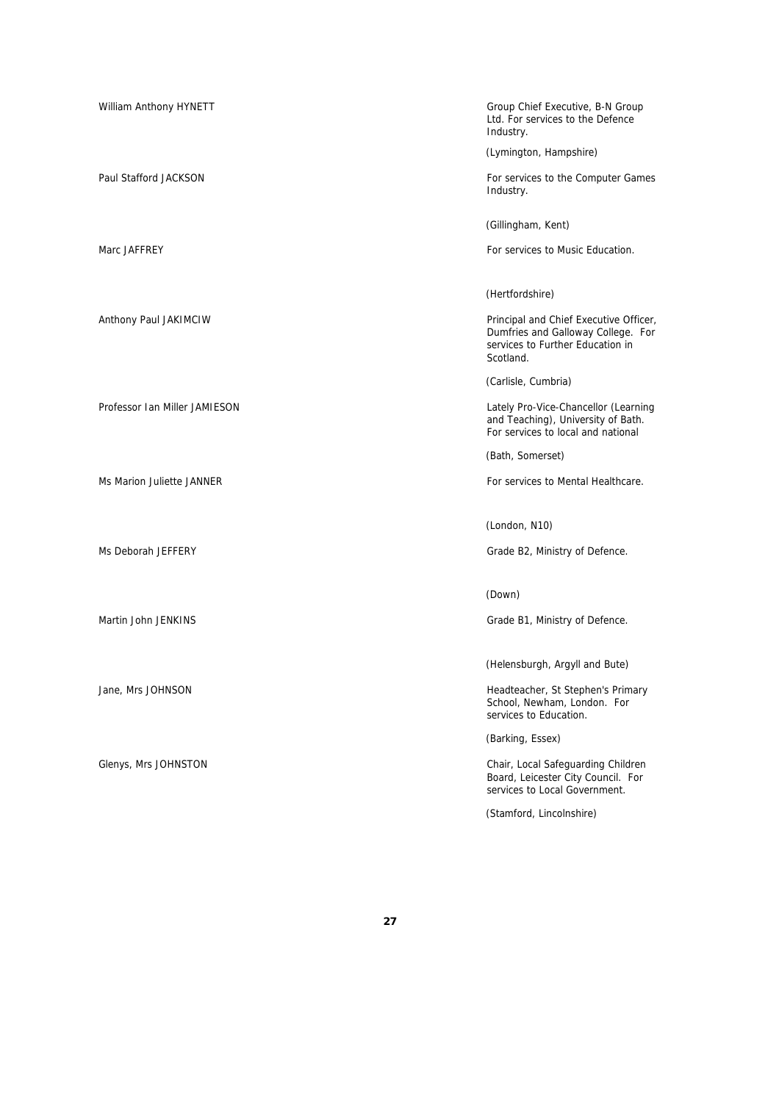| William Anthony HYNETT        | Group Chief Executive, B-N Group<br>Ltd. For services to the Defence<br>Industry.                                             |
|-------------------------------|-------------------------------------------------------------------------------------------------------------------------------|
|                               | (Lymington, Hampshire)                                                                                                        |
| Paul Stafford JACKSON         | For services to the Computer Games<br>Industry.                                                                               |
|                               | (Gillingham, Kent)                                                                                                            |
| Marc JAFFREY                  | For services to Music Education.                                                                                              |
|                               | (Hertfordshire)                                                                                                               |
| Anthony Paul JAKIMCIW         | Principal and Chief Executive Officer,<br>Dumfries and Galloway College. For<br>services to Further Education in<br>Scotland. |
|                               | (Carlisle, Cumbria)                                                                                                           |
| Professor Ian Miller JAMIESON | Lately Pro-Vice-Chancellor (Learning<br>and Teaching), University of Bath.<br>For services to local and national              |
|                               | (Bath, Somerset)                                                                                                              |
| Ms Marion Juliette JANNER     | For services to Mental Healthcare.                                                                                            |
|                               | (London, N10)                                                                                                                 |
| Ms Deborah JEFFERY            | Grade B2, Ministry of Defence.                                                                                                |
|                               | (Down)                                                                                                                        |
| Martin John JENKINS           | Grade B1, Ministry of Defence.                                                                                                |
|                               | (Helensburgh, Argyll and Bute)                                                                                                |
| Jane, Mrs JOHNSON             | Headteacher, St Stephen's Primary<br>School, Newham, London. For<br>services to Education.                                    |
|                               | (Barking, Essex)                                                                                                              |
| Glenys, Mrs JOHNSTON          | Chair, Local Safeguarding Children<br>Board, Leicester City Council. For<br>services to Local Government.                     |
|                               | (Stamford, Lincolnshire)                                                                                                      |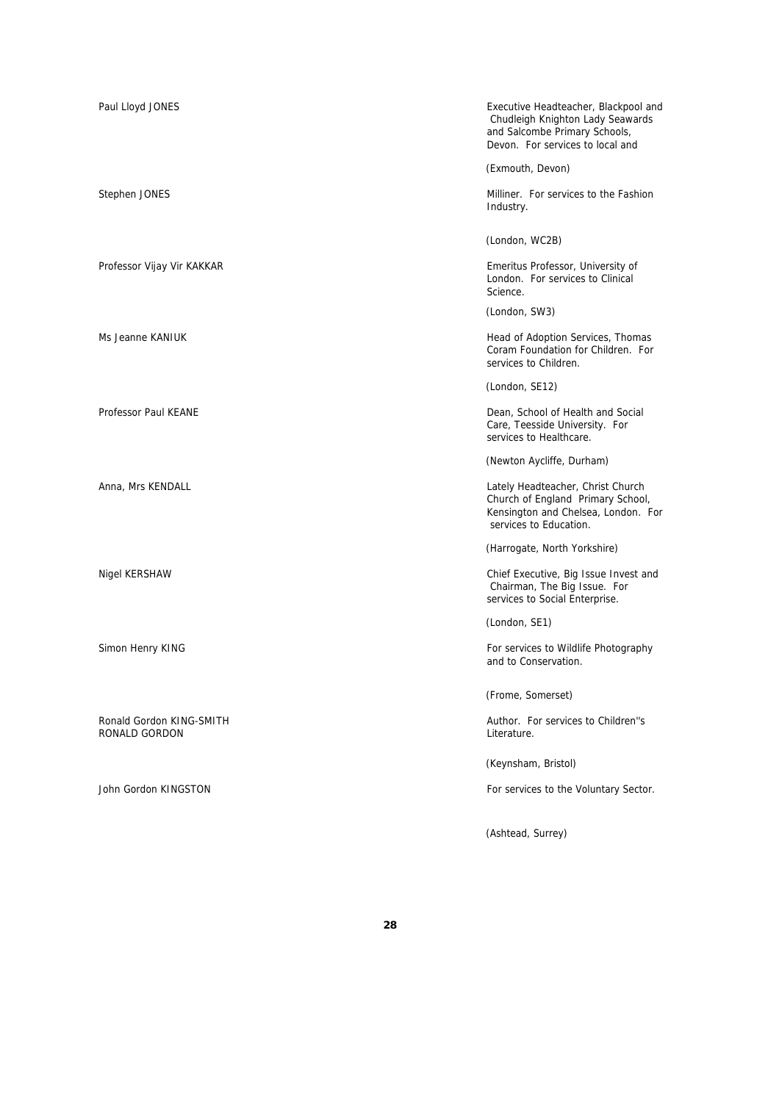| Paul Lloyd JONES                          | Executive Headteacher, Blackpool and<br>Chudleigh Knighton Lady Seawards<br>and Salcombe Primary Schools,<br>Devon. For services to local and |
|-------------------------------------------|-----------------------------------------------------------------------------------------------------------------------------------------------|
|                                           | (Exmouth, Devon)                                                                                                                              |
| Stephen JONES                             | Milliner. For services to the Fashion<br>Industry.                                                                                            |
|                                           | (London, WC2B)                                                                                                                                |
| Professor Vijay Vir KAKKAR                | Emeritus Professor, University of<br>London. For services to Clinical<br>Science.                                                             |
|                                           | (London, SW3)                                                                                                                                 |
| Ms Jeanne KANIUK                          | Head of Adoption Services, Thomas<br>Coram Foundation for Children. For<br>services to Children.                                              |
|                                           | (London, SE12)                                                                                                                                |
| <b>Professor Paul KEANE</b>               | Dean, School of Health and Social<br>Care, Teesside University. For<br>services to Healthcare.                                                |
|                                           | (Newton Aycliffe, Durham)                                                                                                                     |
| Anna, Mrs KENDALL                         | Lately Headteacher, Christ Church<br>Church of England Primary School,<br>Kensington and Chelsea, London. For<br>services to Education.       |
|                                           | (Harrogate, North Yorkshire)                                                                                                                  |
| Nigel KERSHAW                             | Chief Executive, Big Issue Invest and<br>Chairman, The Big Issue. For<br>services to Social Enterprise.                                       |
|                                           | (London, SE1)                                                                                                                                 |
| Simon Henry KING                          | For services to Wildlife Photography<br>and to Conservation.                                                                                  |
|                                           | (Frome, Somerset)                                                                                                                             |
| Ronald Gordon KING-SMITH<br>RONALD GORDON | Author. For services to Children"s<br>Literature.                                                                                             |
|                                           | (Keynsham, Bristol)                                                                                                                           |
| John Gordon KINGSTON                      | For services to the Voluntary Sector.                                                                                                         |
|                                           |                                                                                                                                               |

(Ashtead, Surrey)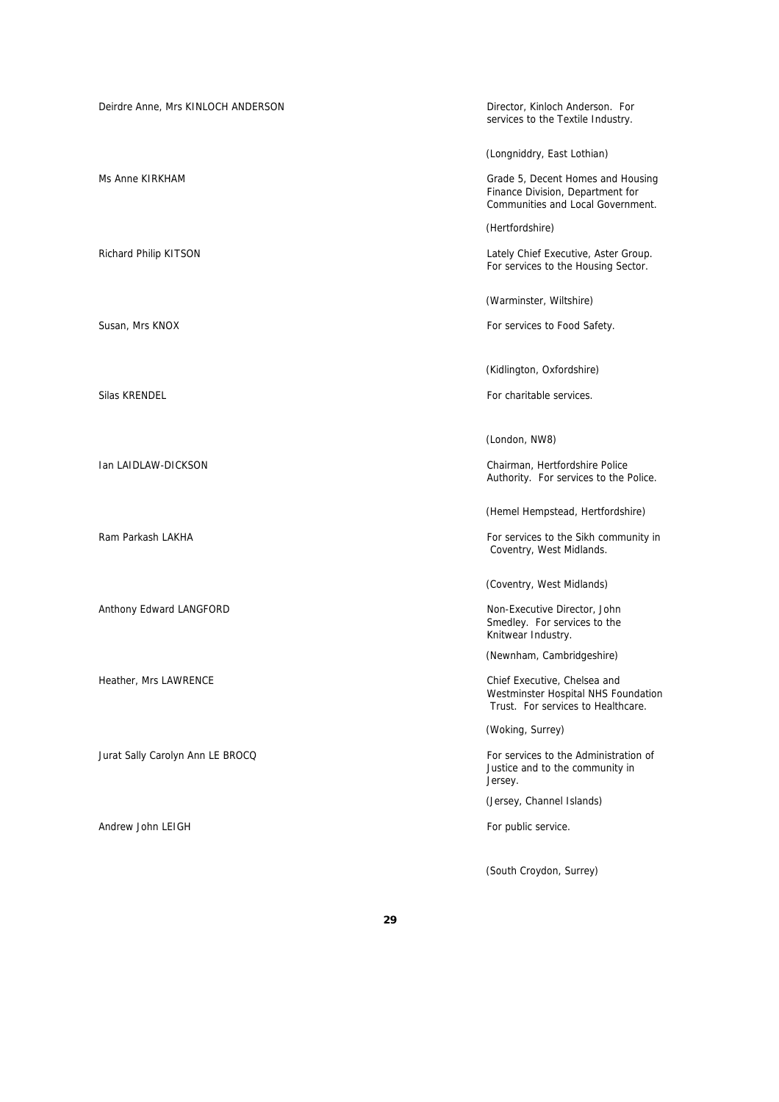| Deirdre Anne, Mrs KINLOCH ANDERSON | Director, Kinloch Anderson. For<br>services to the Textile Industry.                                       |
|------------------------------------|------------------------------------------------------------------------------------------------------------|
|                                    | (Longniddry, East Lothian)                                                                                 |
| Ms Anne KIRKHAM                    | Grade 5, Decent Homes and Housing<br>Finance Division, Department for<br>Communities and Local Government. |
|                                    | (Hertfordshire)                                                                                            |
| Richard Philip KITSON              | Lately Chief Executive, Aster Group.<br>For services to the Housing Sector.                                |
|                                    | (Warminster, Wiltshire)                                                                                    |
| Susan, Mrs KNOX                    | For services to Food Safety.                                                                               |
|                                    | (Kidlington, Oxfordshire)                                                                                  |
| Silas KRENDEL                      | For charitable services.                                                                                   |
|                                    | (London, NW8)                                                                                              |
| Ian LAIDLAW-DICKSON                | Chairman, Hertfordshire Police<br>Authority. For services to the Police.                                   |
|                                    | (Hemel Hempstead, Hertfordshire)                                                                           |
| Ram Parkash LAKHA                  | For services to the Sikh community in<br>Coventry, West Midlands.                                          |
|                                    | (Coventry, West Midlands)                                                                                  |
| Anthony Edward LANGFORD            | Non-Executive Director, John<br>Smedley. For services to the<br>Knitwear Industry.                         |
|                                    | (Newnham, Cambridgeshire)                                                                                  |
| Heather, Mrs LAWRENCE              | Chief Executive, Chelsea and<br>Westminster Hospital NHS Foundation<br>Trust. For services to Healthcare.  |
|                                    | (Woking, Surrey)                                                                                           |
| Jurat Sally Carolyn Ann LE BROCQ   | For services to the Administration of<br>Justice and to the community in<br>Jersey.                        |
|                                    | (Jersey, Channel Islands)                                                                                  |
| Andrew John LEIGH                  | For public service.                                                                                        |
|                                    | (South Croydon, Surrey)                                                                                    |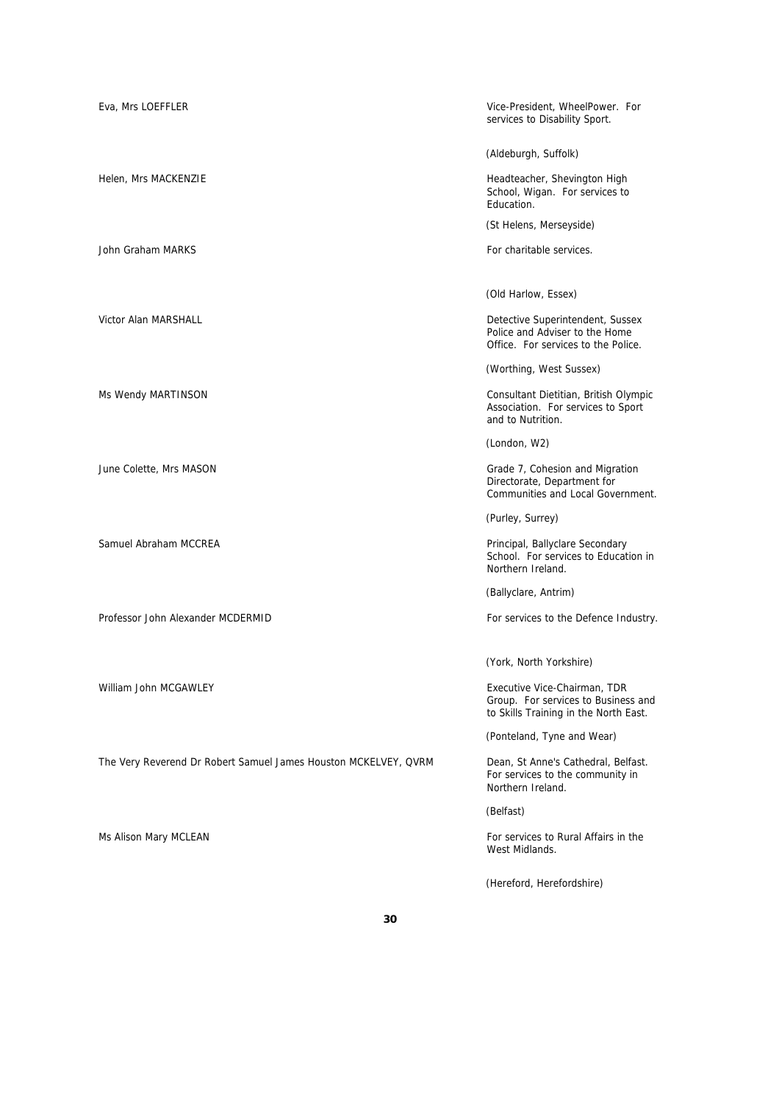| Eva, Mrs LOEFFLER                                               | Vice-President, WheelPower. For<br>services to Disability Sport.                                             |
|-----------------------------------------------------------------|--------------------------------------------------------------------------------------------------------------|
|                                                                 | (Aldeburgh, Suffolk)                                                                                         |
| Helen, Mrs MACKENZIE                                            | Headteacher, Shevington High<br>School, Wigan. For services to<br>Education.                                 |
|                                                                 | (St Helens, Merseyside)                                                                                      |
| John Graham MARKS                                               | For charitable services.                                                                                     |
|                                                                 |                                                                                                              |
|                                                                 | (Old Harlow, Essex)                                                                                          |
| Victor Alan MARSHALL                                            | Detective Superintendent, Sussex<br>Police and Adviser to the Home<br>Office. For services to the Police.    |
|                                                                 | (Worthing, West Sussex)                                                                                      |
| Ms Wendy MARTINSON                                              | Consultant Dietitian, British Olympic<br>Association. For services to Sport<br>and to Nutrition.             |
|                                                                 | (London, W2)                                                                                                 |
| June Colette, Mrs MASON                                         | Grade 7, Cohesion and Migration<br>Directorate, Department for<br>Communities and Local Government.          |
|                                                                 | (Purley, Surrey)                                                                                             |
| Samuel Abraham MCCREA                                           | Principal, Ballyclare Secondary<br>School. For services to Education in<br>Northern Ireland.                 |
|                                                                 | (Ballyclare, Antrim)                                                                                         |
| Professor John Alexander MCDERMID                               | For services to the Defence Industry.                                                                        |
|                                                                 |                                                                                                              |
|                                                                 | (York, North Yorkshire)                                                                                      |
| William John MCGAWLEY                                           | Executive Vice-Chairman, TDR<br>Group. For services to Business and<br>to Skills Training in the North East. |
|                                                                 | (Ponteland, Tyne and Wear)                                                                                   |
| The Very Reverend Dr Robert Samuel James Houston MCKELVEY, QVRM | Dean, St Anne's Cathedral, Belfast.<br>For services to the community in<br>Northern Ireland.                 |
|                                                                 | (Belfast)                                                                                                    |
| Ms Alison Mary MCLEAN                                           | For services to Rural Affairs in the<br>West Midlands.                                                       |
|                                                                 | (Hereford, Herefordshire)                                                                                    |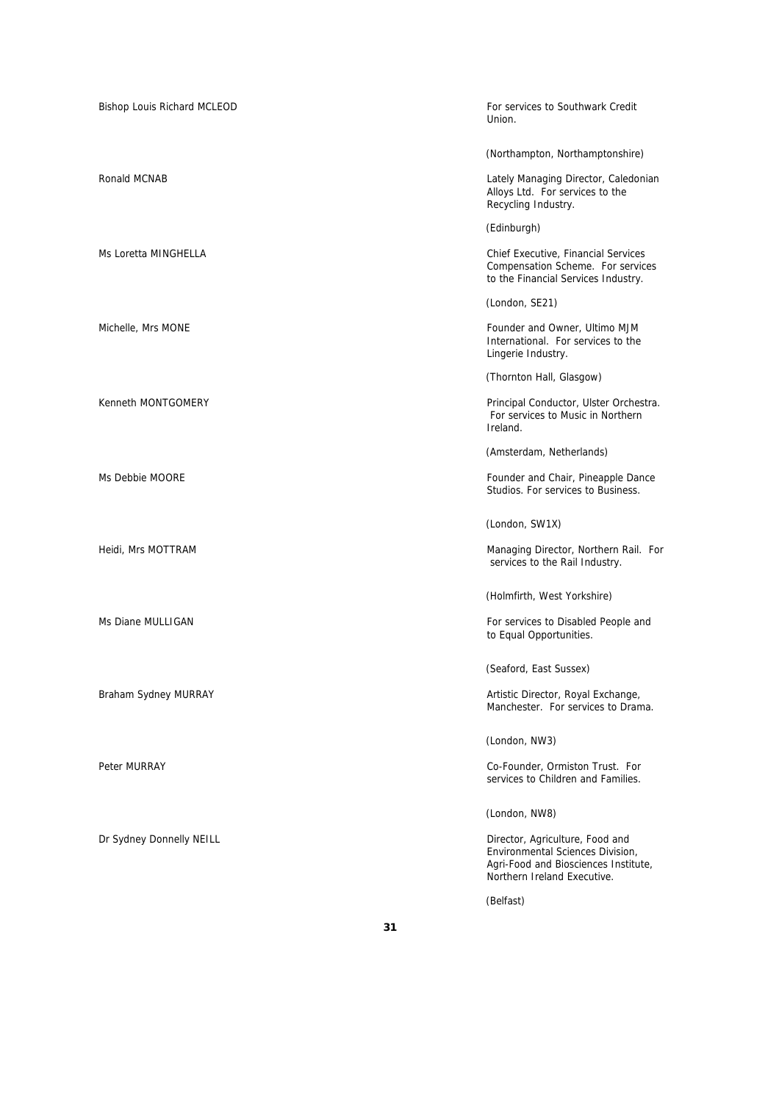| Bishop Louis Richard MCLEOD | For services to Southwark Credit<br>Union.                                                                                                 |
|-----------------------------|--------------------------------------------------------------------------------------------------------------------------------------------|
|                             | (Northampton, Northamptonshire)                                                                                                            |
| Ronald MCNAB                | Lately Managing Director, Caledonian<br>Alloys Ltd. For services to the<br>Recycling Industry.                                             |
|                             | (Edinburgh)                                                                                                                                |
| Ms Loretta MINGHELLA        | <b>Chief Executive, Financial Services</b><br>Compensation Scheme. For services<br>to the Financial Services Industry.                     |
|                             | (London, SE21)                                                                                                                             |
| Michelle, Mrs MONE          | Founder and Owner, Ultimo MJM<br>International. For services to the<br>Lingerie Industry.                                                  |
|                             | (Thornton Hall, Glasgow)                                                                                                                   |
| Kenneth MONTGOMERY          | Principal Conductor, Ulster Orchestra.<br>For services to Music in Northern<br>Ireland.                                                    |
|                             | (Amsterdam, Netherlands)                                                                                                                   |
| Ms Debbie MOORE             | Founder and Chair, Pineapple Dance<br>Studios. For services to Business.                                                                   |
|                             | (London, SW1X)                                                                                                                             |
| Heidi, Mrs MOTTRAM          | Managing Director, Northern Rail. For<br>services to the Rail Industry.                                                                    |
|                             | (Holmfirth, West Yorkshire)                                                                                                                |
| Ms Diane MULLIGAN           | For services to Disabled People and<br>to Equal Opportunities.                                                                             |
|                             | (Seaford, East Sussex)                                                                                                                     |
| Braham Sydney MURRAY        | Artistic Director, Royal Exchange,<br>Manchester. For services to Drama.                                                                   |
|                             | (London, NW3)                                                                                                                              |
| Peter MURRAY                | Co-Founder, Ormiston Trust. For<br>services to Children and Families.                                                                      |
|                             | (London, NW8)                                                                                                                              |
| Dr Sydney Donnelly NEILL    | Director, Agriculture, Food and<br>Environmental Sciences Division,<br>Agri-Food and Biosciences Institute,<br>Northern Ireland Executive. |
|                             | (Belfast)                                                                                                                                  |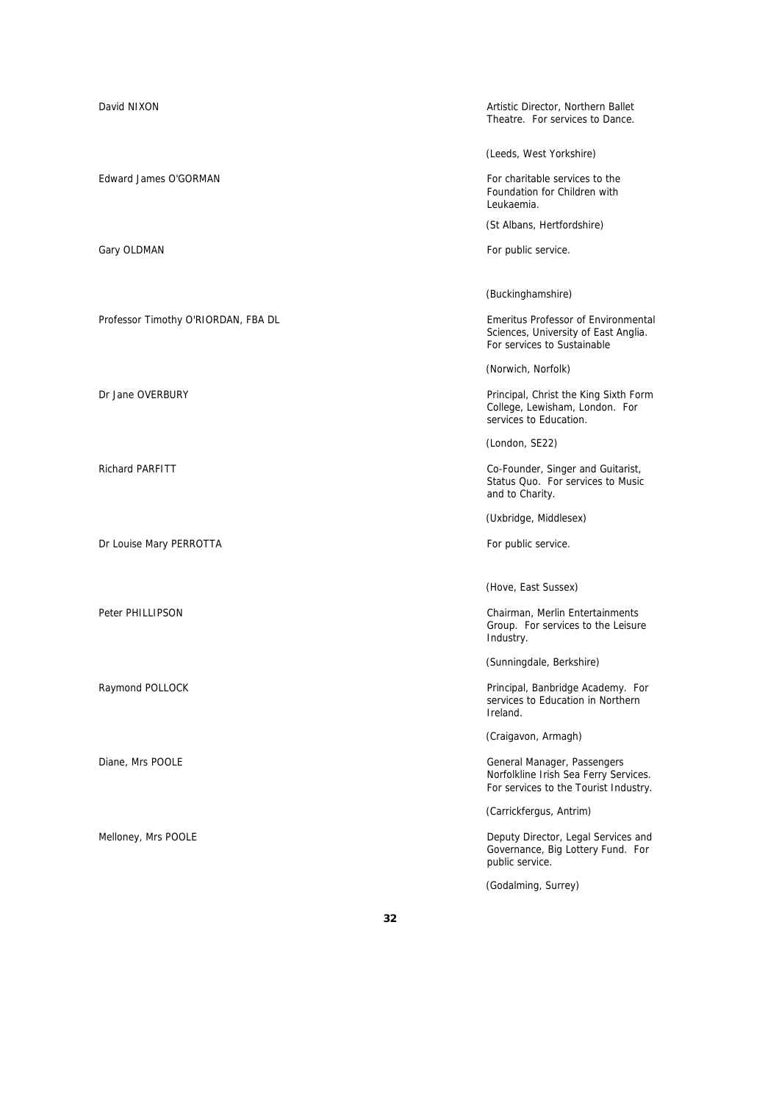| David NIXON                         | Artistic Director, Northern Ballet<br>Theatre. For services to Dance.                                             |
|-------------------------------------|-------------------------------------------------------------------------------------------------------------------|
|                                     | (Leeds, West Yorkshire)                                                                                           |
| Edward James O'GORMAN               | For charitable services to the<br>Foundation for Children with<br>Leukaemia.                                      |
|                                     | (St Albans, Hertfordshire)                                                                                        |
| Gary OLDMAN                         | For public service.                                                                                               |
|                                     |                                                                                                                   |
|                                     | (Buckinghamshire)                                                                                                 |
| Professor Timothy O'RIORDAN, FBA DL | <b>Emeritus Professor of Environmental</b><br>Sciences, University of East Anglia.<br>For services to Sustainable |
|                                     | (Norwich, Norfolk)                                                                                                |
| Dr Jane OVERBURY                    | Principal, Christ the King Sixth Form<br>College, Lewisham, London. For<br>services to Education.                 |
|                                     | (London, SE22)                                                                                                    |
| <b>Richard PARFITT</b>              | Co-Founder, Singer and Guitarist,<br>Status Quo. For services to Music<br>and to Charity.                         |
|                                     | (Uxbridge, Middlesex)                                                                                             |
| Dr Louise Mary PERROTTA             | For public service.                                                                                               |
|                                     | (Hove, East Sussex)                                                                                               |
| Peter PHILLIPSON                    | Chairman, Merlin Entertainments<br>Group. For services to the Leisure<br>Industry.                                |
|                                     | (Sunningdale, Berkshire)                                                                                          |
| Raymond POLLOCK                     | Principal, Banbridge Academy. For<br>services to Education in Northern<br>Ireland.                                |
|                                     | (Craigavon, Armagh)                                                                                               |
| Diane, Mrs POOLE                    | General Manager, Passengers<br>Norfolkline Irish Sea Ferry Services.<br>For services to the Tourist Industry.     |
|                                     | (Carrickfergus, Antrim)                                                                                           |
| Melloney, Mrs POOLE                 | Deputy Director, Legal Services and<br>Governance, Big Lottery Fund. For<br>public service.                       |
|                                     | (Godalming, Surrey)                                                                                               |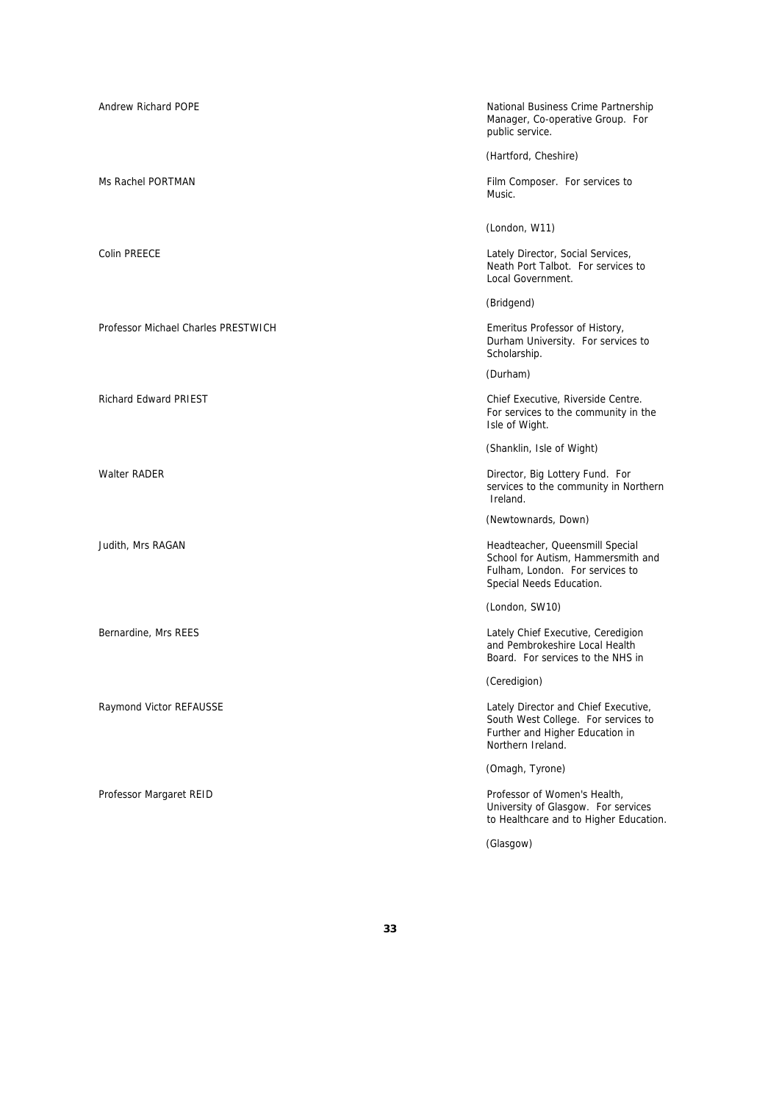| Andrew Richard POPE                 | National Business Crime Partnership<br>Manager, Co-operative Group. For<br>public service.                                           |
|-------------------------------------|--------------------------------------------------------------------------------------------------------------------------------------|
|                                     | (Hartford, Cheshire)                                                                                                                 |
| Ms Rachel PORTMAN                   | Film Composer. For services to<br>Music.                                                                                             |
|                                     | (London, W11)                                                                                                                        |
| <b>Colin PREECE</b>                 | Lately Director, Social Services,<br>Neath Port Talbot. For services to<br>Local Government.                                         |
|                                     | (Bridgend)                                                                                                                           |
| Professor Michael Charles PRESTWICH | Emeritus Professor of History,<br>Durham University. For services to<br>Scholarship.                                                 |
|                                     | (Durham)                                                                                                                             |
| <b>Richard Edward PRIEST</b>        | Chief Executive, Riverside Centre.<br>For services to the community in the<br>Isle of Wight.                                         |
|                                     | (Shanklin, Isle of Wight)                                                                                                            |
| <b>Walter RADER</b>                 | Director, Big Lottery Fund. For<br>services to the community in Northern<br>Ireland.                                                 |
|                                     | (Newtownards, Down)                                                                                                                  |
| Judith, Mrs RAGAN                   | Headteacher, Queensmill Special<br>School for Autism, Hammersmith and<br>Fulham, London. For services to<br>Special Needs Education. |
|                                     | (London, SW10)                                                                                                                       |
| Bernardine, Mrs REES                | Lately Chief Executive, Ceredigion<br>and Pembrokeshire Local Health<br>Board. For services to the NHS in                            |
|                                     | (Ceredigion)                                                                                                                         |
| Raymond Victor REFAUSSE             | Lately Director and Chief Executive,<br>South West College. For services to<br>Further and Higher Education in<br>Northern Ireland.  |
|                                     | (Omagh, Tyrone)                                                                                                                      |
| Professor Margaret REID             | Professor of Women's Health,<br>University of Glasgow. For services<br>to Healthcare and to Higher Education.                        |
|                                     | (Glasgow)                                                                                                                            |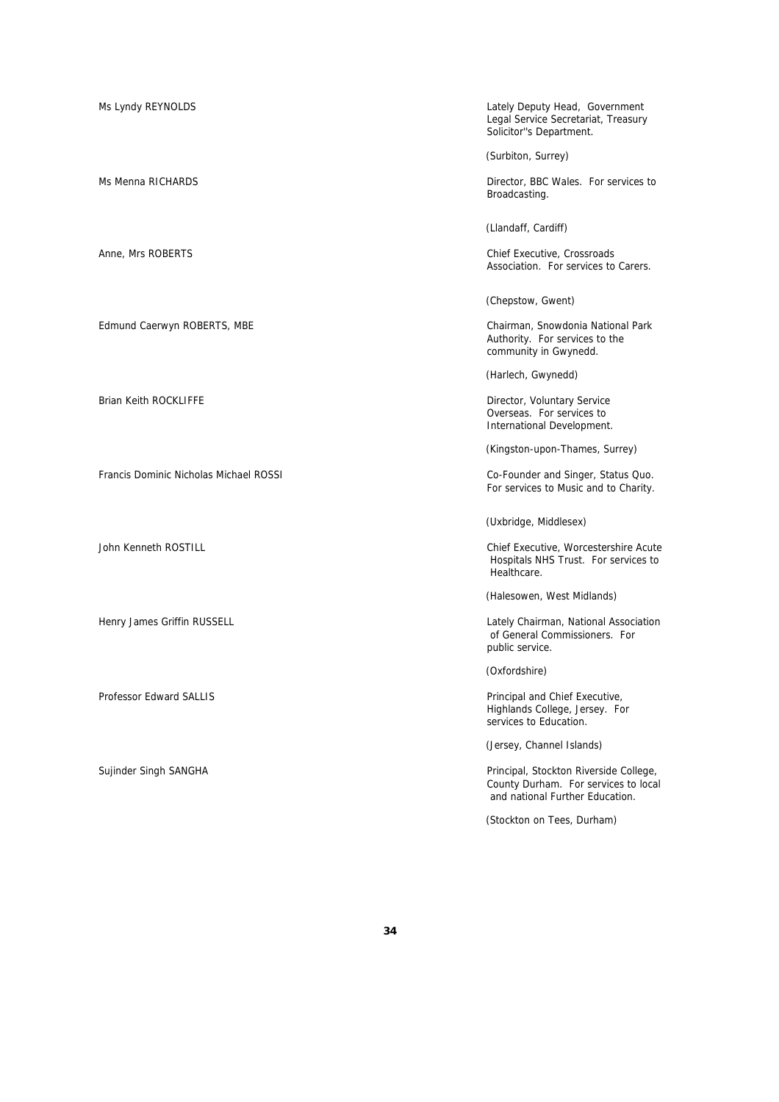Francis Dominic Nicholas Michael ROSSI Co-Founder and Singer, Status Quo.

Ms Lyndy REYNOLDS Lately Deputy Head, Government Legal Service Secretariat, Treasury Solicitor''s Department.

(Surbiton, Surrey)

Ms Menna RICHARDS Director, BBC Wales. For services to Broadcasting.

(Llandaff, Cardiff)

Anne, Mrs ROBERTS Chief Executive, Crossroads Association. For services to Carers.

(Chepstow, Gwent)

Edmund Caerwyn ROBERTS, MBE Chairman, Snowdonia National Park Authority. For services to the community in Gwynedd.

(Harlech, Gwynedd)

Brian Keith ROCKLIFFE **Director, Voluntary Service** Director, Voluntary Service Overseas. For services to International Development.

(Kingston-upon-Thames, Surrey)

For services to Music and to Charity.

(Uxbridge, Middlesex)

John Kenneth ROSTILL Chief Executive, Worcestershire Acute Hospitals NHS Trust. For services to Healthcare.

(Halesowen, West Midlands)

Henry James Griffin RUSSELL **Contract Contract Contract Contract Contract** Lately Chairman, National Association of General Commissioners. For public service.

(Oxfordshire)

Professor Edward SALLIS **Principal and Chief Executive**, Highlands College, Jersey. For services to Education.

(Jersey, Channel Islands)

Sujinder Singh SANGHA Principal, Stockton Riverside College, County Durham. For services to local and national Further Education.

(Stockton on Tees, Durham)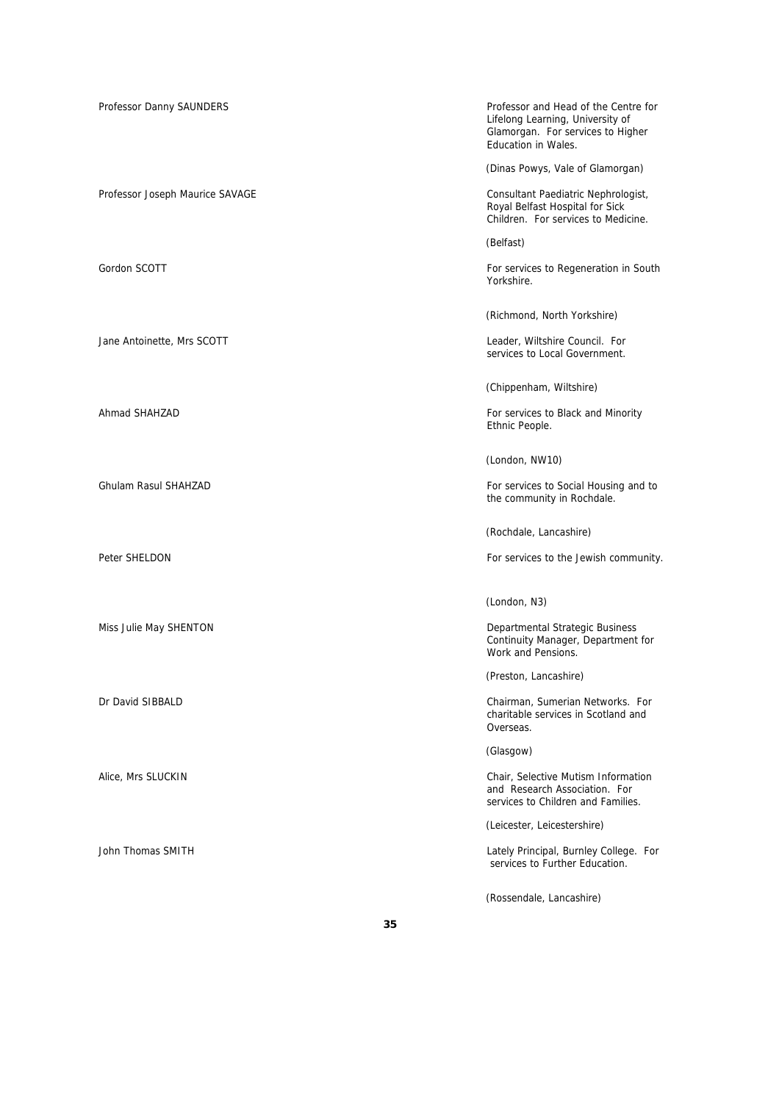| Professor Danny SAUNDERS        | Professor and Head of the Centre for<br>Lifelong Learning, University of<br>Glamorgan. For services to Higher<br><b>Education in Wales.</b> |
|---------------------------------|---------------------------------------------------------------------------------------------------------------------------------------------|
|                                 | (Dinas Powys, Vale of Glamorgan)                                                                                                            |
| Professor Joseph Maurice SAVAGE | Consultant Paediatric Nephrologist,<br>Royal Belfast Hospital for Sick<br>Children. For services to Medicine.                               |
|                                 | (Belfast)                                                                                                                                   |
| Gordon SCOTT                    | For services to Regeneration in South<br>Yorkshire.                                                                                         |
|                                 | (Richmond, North Yorkshire)                                                                                                                 |
| Jane Antoinette, Mrs SCOTT      | Leader, Wiltshire Council. For<br>services to Local Government.                                                                             |
|                                 | (Chippenham, Wiltshire)                                                                                                                     |
| Ahmad SHAHZAD                   | For services to Black and Minority<br>Ethnic People.                                                                                        |
|                                 | (London, NW10)                                                                                                                              |
| Ghulam Rasul SHAHZAD            | For services to Social Housing and to<br>the community in Rochdale.                                                                         |
|                                 | (Rochdale, Lancashire)                                                                                                                      |
| Peter SHELDON                   | For services to the Jewish community.                                                                                                       |
|                                 | (London, N3)                                                                                                                                |
| Miss Julie May SHENTON          | Departmental Strategic Business<br>Continuity Manager, Department for<br>Work and Pensions.                                                 |
|                                 | (Preston, Lancashire)                                                                                                                       |
| Dr David SIBBALD                | Chairman, Sumerian Networks. For<br>charitable services in Scotland and<br>Overseas.                                                        |
|                                 | (Glasgow)                                                                                                                                   |
| Alice, Mrs SLUCKIN              | Chair, Selective Mutism Information<br>and Research Association. For<br>services to Children and Families.                                  |
|                                 | (Leicester, Leicestershire)                                                                                                                 |
| John Thomas SMITH               | Lately Principal, Burnley College. For<br>services to Further Education.                                                                    |
|                                 | (Rossendale, Lancashire)                                                                                                                    |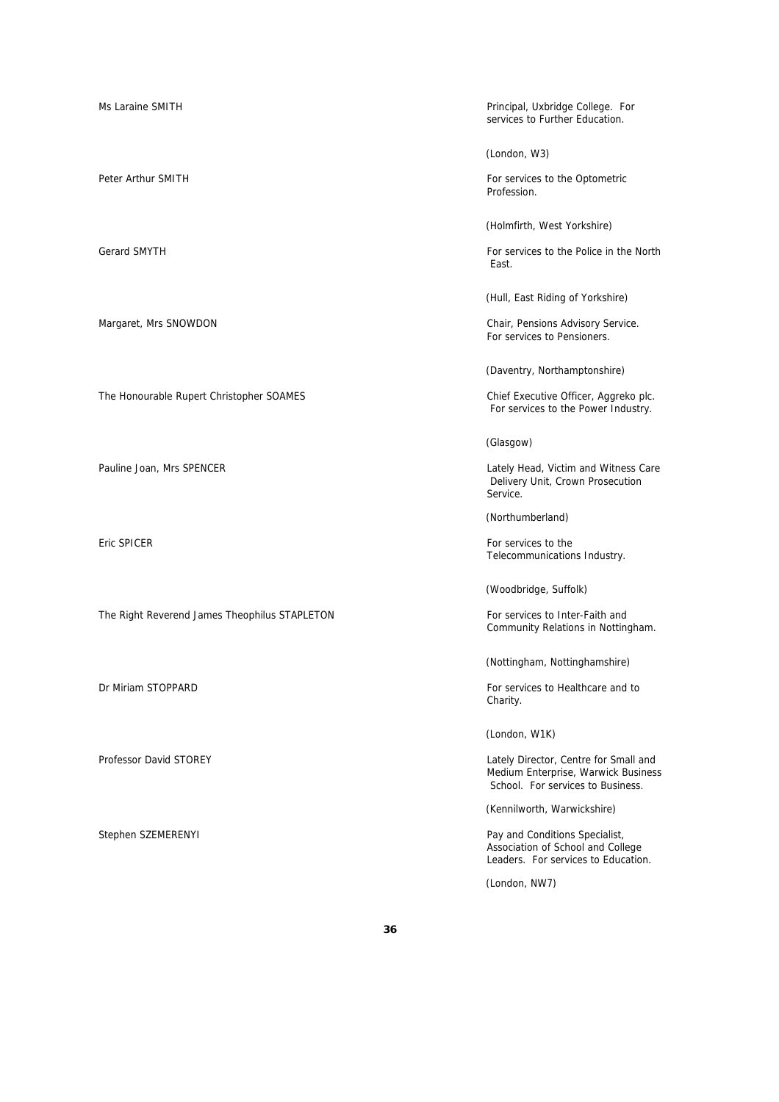Ms Laraine SMITH **Principal**, Uxbridge College. For services to Further Education. (London, W3) Peter Arthur SMITH For services to the Optometric Profession. (Holmfirth, West Yorkshire) Gerard SMYTH For services to the Police in the North For services to the Police in the North East. (Hull, East Riding of Yorkshire) Margaret, Mrs SNOWDON Chair, Pensions Advisory Service. For services to Pensioners. (Daventry, Northamptonshire) The Honourable Rupert Christopher SOAMES Chief Executive Officer, Aggreko plc. For services to the Power Industry. (Glasgow) Pauline Joan, Mrs SPENCER Lately Head, Victim and Witness Care Delivery Unit, Crown Prosecution Service. (Northumberland) Eric SPICER For services to the services to the services to the services to the services to the services to the Telecommunications Industry. (Woodbridge, Suffolk) The Right Reverend James Theophilus STAPLETON For services to Inter-Faith and Community Relations in Nottingham. (Nottingham, Nottinghamshire) Dr Miriam STOPPARD **For services to Healthcare and to** Charity. (London, W1K) Professor David STOREY **No. 2018** 2019 12:30 Lately Director, Centre for Small and Medium Enterprise, Warwick Business School. For services to Business. (Kennilworth, Warwickshire) Stephen SZEMERENYI Pay and Conditions Specialist, Association of School and College Leaders. For services to Education. (London, NW7)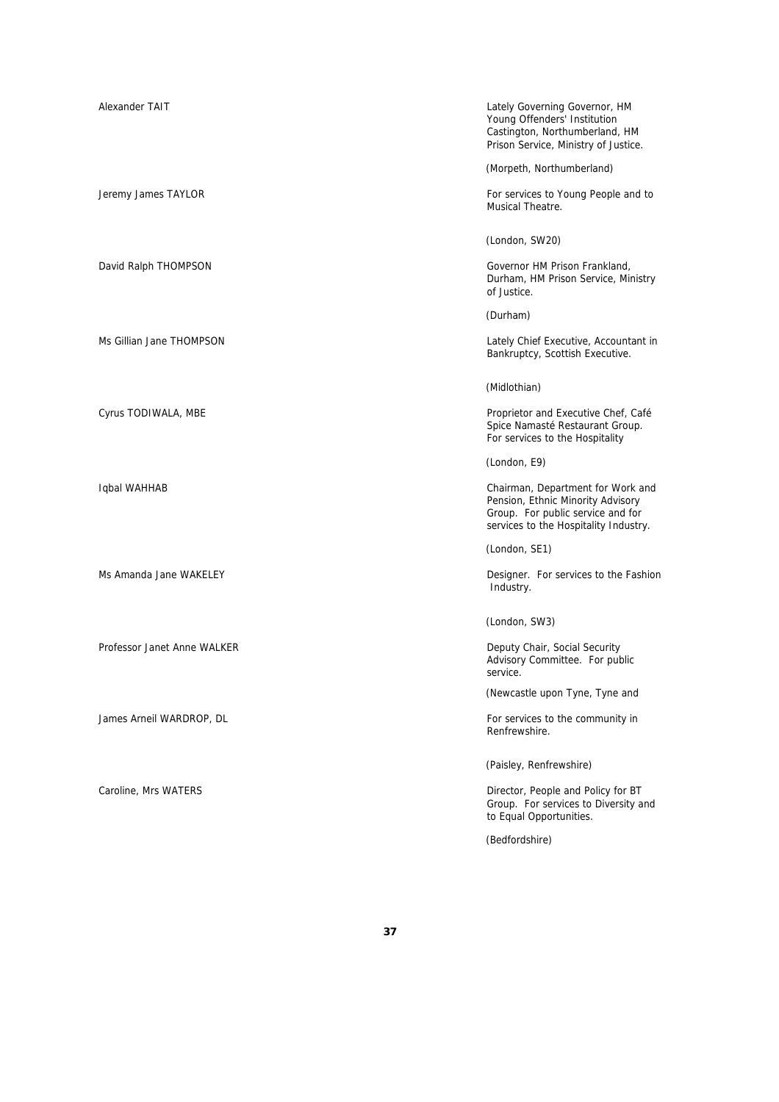| Alexander TAIT              | Lately Governing Governor, HM<br>Young Offenders' Institution<br>Castington, Northumberland, HM<br>Prison Service, Ministry of Justice.              |
|-----------------------------|------------------------------------------------------------------------------------------------------------------------------------------------------|
|                             | (Morpeth, Northumberland)                                                                                                                            |
| Jeremy James TAYLOR         | For services to Young People and to<br>Musical Theatre.                                                                                              |
|                             | (London, SW20)                                                                                                                                       |
| David Ralph THOMPSON        | Governor HM Prison Frankland,<br>Durham, HM Prison Service, Ministry<br>of Justice.                                                                  |
|                             | (Durham)                                                                                                                                             |
| Ms Gillian Jane THOMPSON    | Lately Chief Executive, Accountant in<br>Bankruptcy, Scottish Executive.                                                                             |
|                             | (Midlothian)                                                                                                                                         |
| Cyrus TODIWALA, MBE         | Proprietor and Executive Chef, Café<br>Spice Namasté Restaurant Group.<br>For services to the Hospitality                                            |
|                             | (London, E9)                                                                                                                                         |
| Iqbal WAHHAB                | Chairman, Department for Work and<br>Pension, Ethnic Minority Advisory<br>Group. For public service and for<br>services to the Hospitality Industry. |
|                             | (London, SE1)                                                                                                                                        |
| Ms Amanda Jane WAKELEY      | Designer. For services to the Fashion<br>Industry.                                                                                                   |
|                             | (London, SW3)                                                                                                                                        |
| Professor Janet Anne WALKER | Deputy Chair, Social Security<br>Advisory Committee. For public<br>service.                                                                          |
|                             | (Newcastle upon Tyne, Tyne and                                                                                                                       |
| James Arneil WARDROP, DL    | For services to the community in<br>Renfrewshire.                                                                                                    |
|                             | (Paisley, Renfrewshire)                                                                                                                              |
| Caroline, Mrs WATERS        | Director, People and Policy for BT<br>Group. For services to Diversity and<br>to Equal Opportunities.                                                |

(Bedfordshire)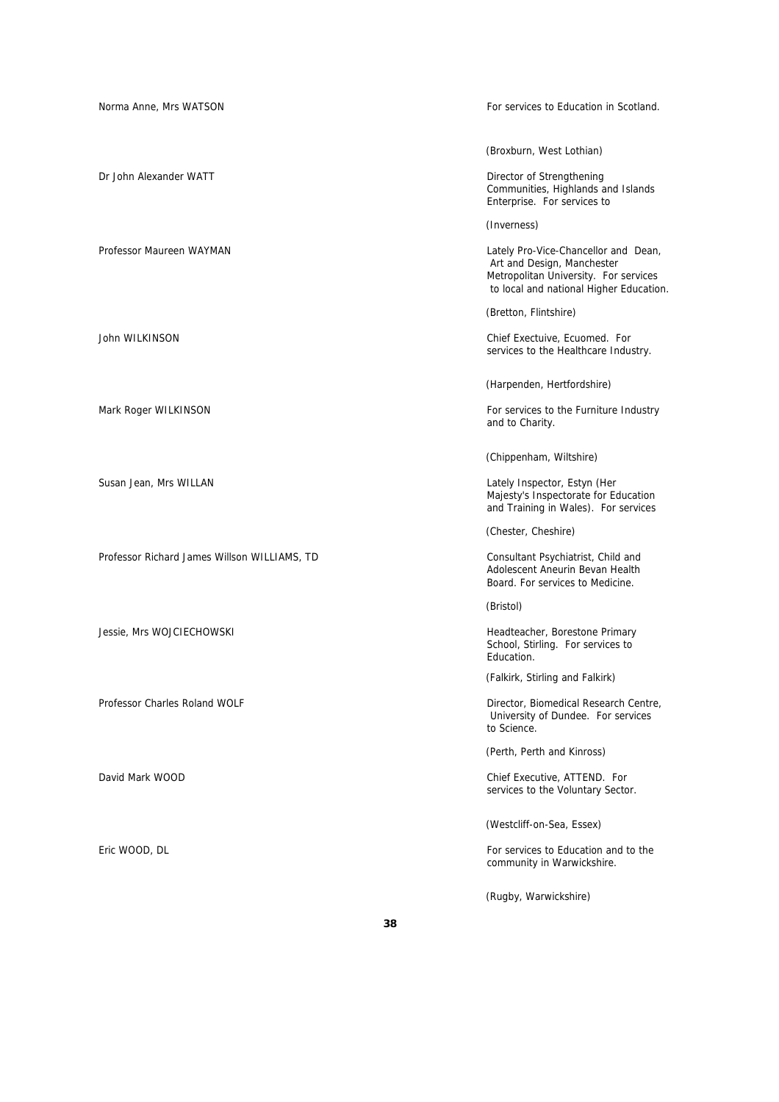| Norma Anne, Mrs WATSON                       | For services to Education in Scotland.                                                                                                                 |
|----------------------------------------------|--------------------------------------------------------------------------------------------------------------------------------------------------------|
|                                              |                                                                                                                                                        |
|                                              | (Broxburn, West Lothian)                                                                                                                               |
| Dr. John Alexander WATT                      | Director of Strengthening<br>Communities, Highlands and Islands<br>Enterprise. For services to                                                         |
|                                              | (Inverness)                                                                                                                                            |
| Professor Maureen WAYMAN                     | Lately Pro-Vice-Chancellor and Dean,<br>Art and Design, Manchester<br>Metropolitan University. For services<br>to local and national Higher Education. |
|                                              | (Bretton, Flintshire)                                                                                                                                  |
| John WILKINSON                               | Chief Exectuive, Ecuomed. For<br>services to the Healthcare Industry.                                                                                  |
|                                              | (Harpenden, Hertfordshire)                                                                                                                             |
| Mark Roger WILKINSON                         | For services to the Furniture Industry<br>and to Charity.                                                                                              |
|                                              | (Chippenham, Wiltshire)                                                                                                                                |
| Susan Jean, Mrs WILLAN                       | Lately Inspector, Estyn (Her<br>Majesty's Inspectorate for Education<br>and Training in Wales). For services                                           |
|                                              | (Chester, Cheshire)                                                                                                                                    |
| Professor Richard James Willson WILLIAMS, TD | Consultant Psychiatrist, Child and<br>Adolescent Aneurin Bevan Health<br>Board. For services to Medicine.                                              |
|                                              | (Bristol)                                                                                                                                              |
| Jessie, Mrs WOJCIECHOWSKI                    | Headteacher, Borestone Primary<br>School, Stirling. For services to<br>Education.                                                                      |
|                                              | (Falkirk, Stirling and Falkirk)                                                                                                                        |
| Professor Charles Roland WOLF                | Director, Biomedical Research Centre,<br>University of Dundee. For services<br>to Science.                                                             |
|                                              | (Perth, Perth and Kinross)                                                                                                                             |
| David Mark WOOD                              | Chief Executive, ATTEND. For<br>services to the Voluntary Sector.                                                                                      |
|                                              | (Westcliff-on-Sea, Essex)                                                                                                                              |
| Eric WOOD, DL                                | For services to Education and to the<br>community in Warwickshire.                                                                                     |
|                                              | (Rugby, Warwickshire)                                                                                                                                  |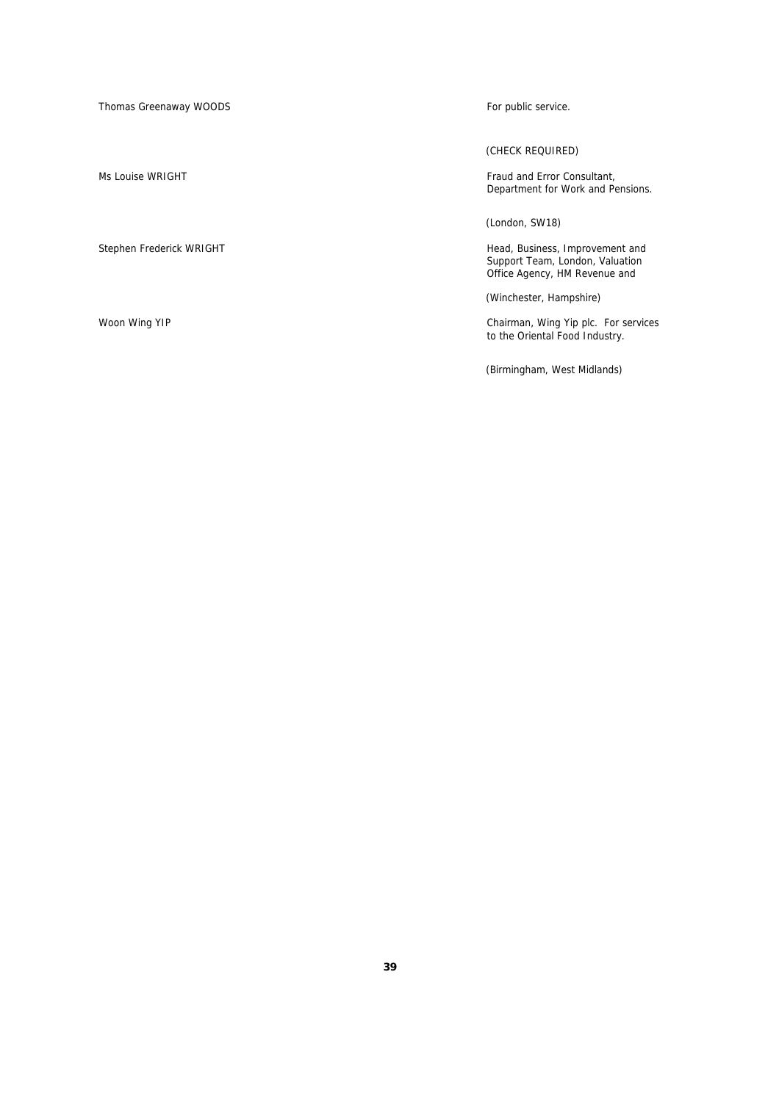Thomas Greenaway WOODS **For public service**.

(CHECK REQUIRED)

Ms Louise WRIGHT Fraud and Error Consultant, Department for Work and Pensions.

(London, SW18)

Stephen Frederick WRIGHT **Head, Business, Improvement and** Support Team, London, Valuation Office Agency, HM Revenue and

(Winchester, Hampshire)

Woon Wing YIP Chairman, Wing Yip plc. For services to the Oriental Food Industry.

(Birmingham, West Midlands)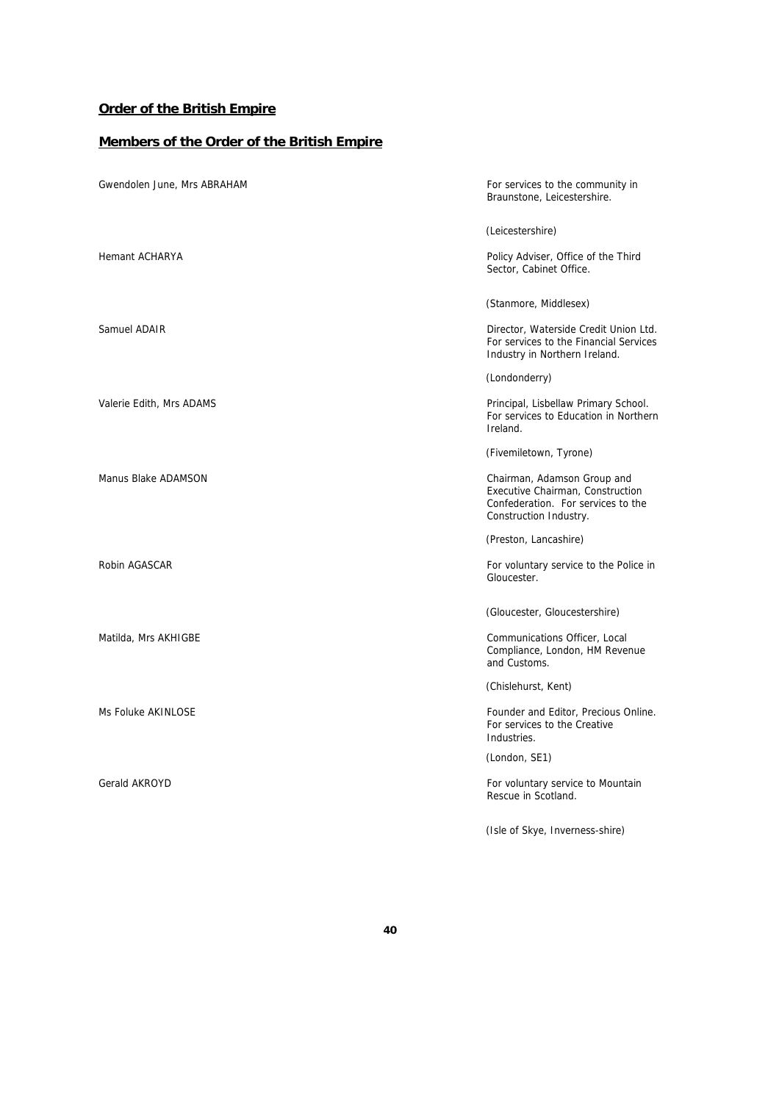# **Order of the British Empire**

## **Members of the Order of the British Empire**

| Gwendolen June, Mrs ABRAHAM | For services to the community in<br>Braunstone, Leicestershire.                                                                 |
|-----------------------------|---------------------------------------------------------------------------------------------------------------------------------|
|                             | (Leicestershire)                                                                                                                |
| Hemant ACHARYA              | Policy Adviser, Office of the Third<br>Sector, Cabinet Office.                                                                  |
|                             | (Stanmore, Middlesex)                                                                                                           |
| Samuel ADAIR                | Director, Waterside Credit Union Ltd.<br>For services to the Financial Services<br>Industry in Northern Ireland.                |
|                             | (Londonderry)                                                                                                                   |
| Valerie Edith, Mrs ADAMS    | Principal, Lisbellaw Primary School.<br>For services to Education in Northern<br>Ireland.                                       |
|                             | (Fivemiletown, Tyrone)                                                                                                          |
| Manus Blake ADAMSON         | Chairman, Adamson Group and<br>Executive Chairman, Construction<br>Confederation. For services to the<br>Construction Industry. |
|                             | (Preston, Lancashire)                                                                                                           |
| Robin AGASCAR               | For voluntary service to the Police in<br>Gloucester.                                                                           |
|                             | (Gloucester, Gloucestershire)                                                                                                   |
| Matilda, Mrs AKHIGBE        | Communications Officer, Local<br>Compliance, London, HM Revenue<br>and Customs.                                                 |
|                             | (Chislehurst, Kent)                                                                                                             |
| Ms Foluke AKINLOSE          | Founder and Editor, Precious Online.<br>For services to the Creative<br>Industries.                                             |
|                             | (London, SE1)                                                                                                                   |
| Gerald AKROYD               | For voluntary service to Mountain<br>Rescue in Scotland.                                                                        |
|                             | (Isle of Skye, Inverness-shire)                                                                                                 |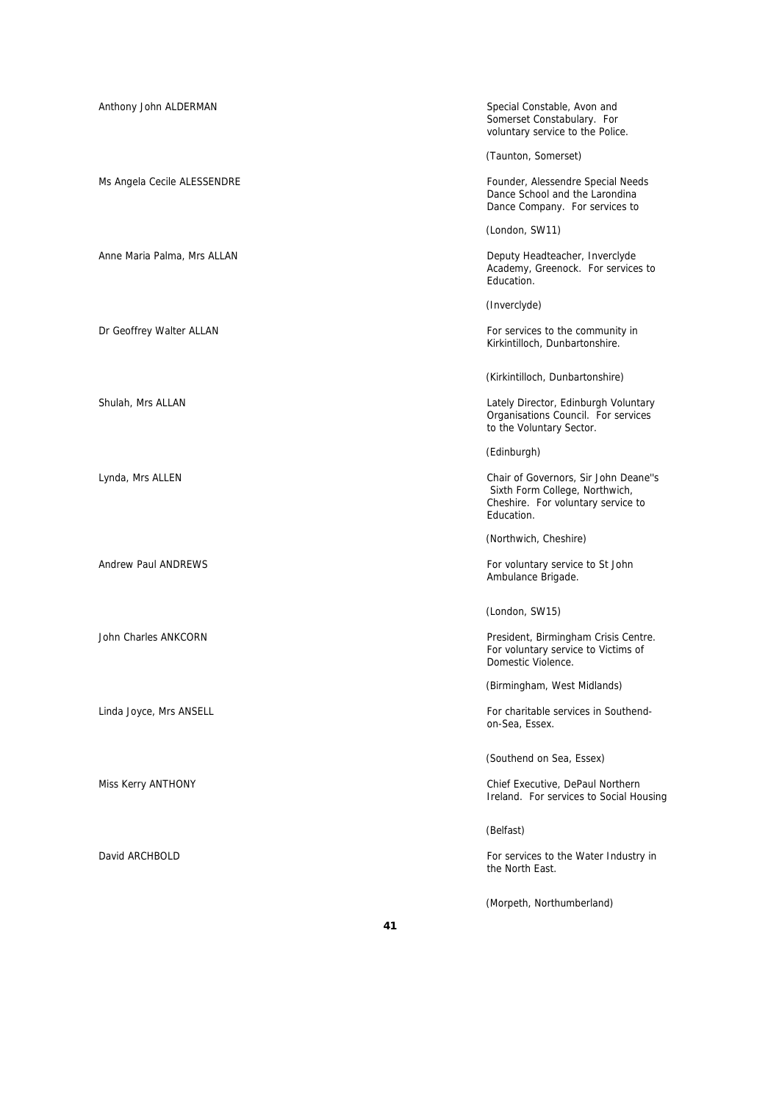| Anthony John ALDERMAN       | Special Constable, Avon and<br>Somerset Constabulary. For<br>voluntary service to the Police.                              |
|-----------------------------|----------------------------------------------------------------------------------------------------------------------------|
|                             | (Taunton, Somerset)                                                                                                        |
| Ms Angela Cecile ALESSENDRE | Founder, Alessendre Special Needs<br>Dance School and the Larondina<br>Dance Company. For services to                      |
|                             | (London, SW11)                                                                                                             |
| Anne Maria Palma, Mrs ALLAN | Deputy Headteacher, Inverclyde<br>Academy, Greenock. For services to<br>Education.                                         |
|                             | (Inverclyde)                                                                                                               |
| Dr Geoffrey Walter ALLAN    | For services to the community in<br>Kirkintilloch, Dunbartonshire.                                                         |
|                             | (Kirkintilloch, Dunbartonshire)                                                                                            |
| Shulah, Mrs ALLAN           | Lately Director, Edinburgh Voluntary<br>Organisations Council. For services<br>to the Voluntary Sector.                    |
|                             | (Edinburgh)                                                                                                                |
| Lynda, Mrs ALLEN            | Chair of Governors, Sir John Deane"s<br>Sixth Form College, Northwich,<br>Cheshire. For voluntary service to<br>Education. |
|                             | (Northwich, Cheshire)                                                                                                      |
| <b>Andrew Paul ANDREWS</b>  | For voluntary service to St John<br>Ambulance Brigade.                                                                     |
|                             | (London, SW15)                                                                                                             |
| John Charles ANKCORN        | President, Birmingham Crisis Centre.<br>For voluntary service to Victims of<br>Domestic Violence.                          |
|                             | (Birmingham, West Midlands)                                                                                                |
| Linda Joyce, Mrs ANSELL     | For charitable services in Southend-<br>on-Sea, Essex.                                                                     |
|                             | (Southend on Sea, Essex)                                                                                                   |
| Miss Kerry ANTHONY          | Chief Executive, DePaul Northern<br>Ireland. For services to Social Housing                                                |
|                             | (Belfast)                                                                                                                  |
| David ARCHBOLD              | For services to the Water Industry in<br>the North East.                                                                   |
|                             | (Morpeth, Northumberland)                                                                                                  |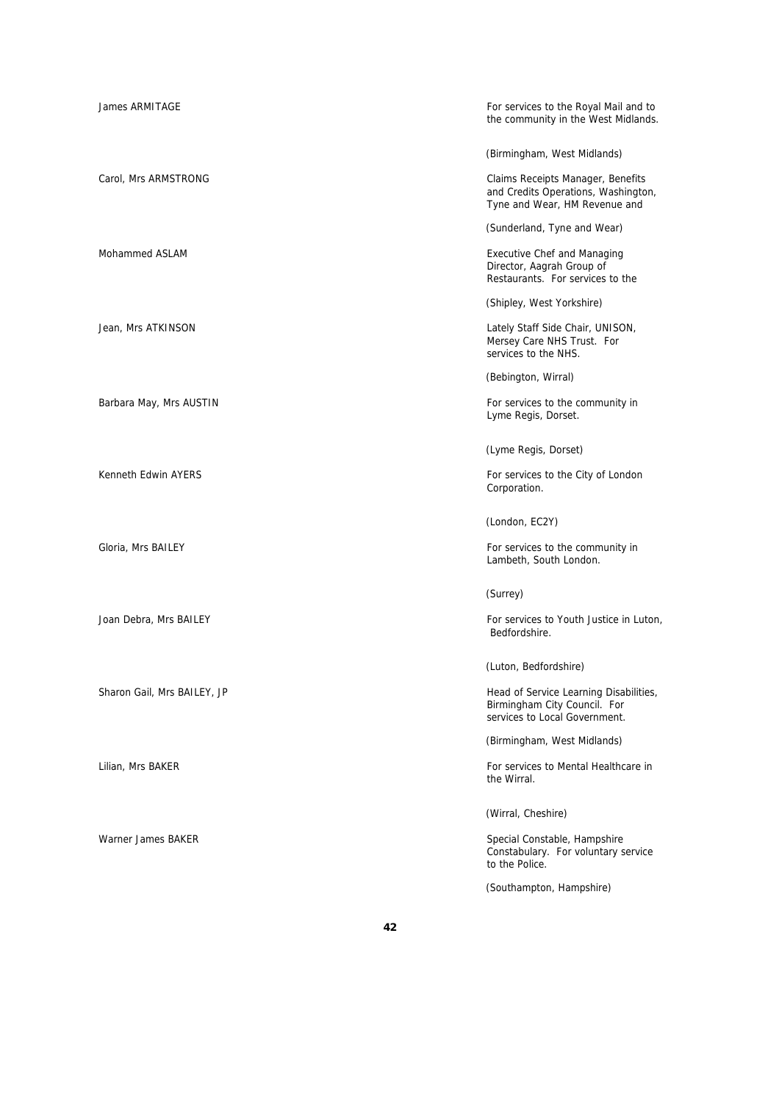| James ARMITAGE              | For services to the Royal Mail and to<br>the community in the West Midlands.                              |
|-----------------------------|-----------------------------------------------------------------------------------------------------------|
|                             | (Birmingham, West Midlands)                                                                               |
| Carol, Mrs ARMSTRONG        | Claims Receipts Manager, Benefits<br>and Credits Operations, Washington,<br>Tyne and Wear, HM Revenue and |
|                             | (Sunderland, Tyne and Wear)                                                                               |
| Mohammed ASLAM              | <b>Executive Chef and Managing</b><br>Director, Aagrah Group of<br>Restaurants. For services to the       |
|                             | (Shipley, West Yorkshire)                                                                                 |
| Jean, Mrs ATKINSON          | Lately Staff Side Chair, UNISON,<br>Mersey Care NHS Trust. For<br>services to the NHS.                    |
|                             | (Bebington, Wirral)                                                                                       |
| Barbara May, Mrs AUSTIN     | For services to the community in<br>Lyme Regis, Dorset.                                                   |
|                             | (Lyme Regis, Dorset)                                                                                      |
| Kenneth Edwin AYERS         | For services to the City of London<br>Corporation.                                                        |
|                             | (London, EC2Y)                                                                                            |
| Gloria, Mrs BAILEY          | For services to the community in<br>Lambeth, South London.                                                |
|                             | (Surrey)                                                                                                  |
| Joan Debra, Mrs BAILEY      | For services to Youth Justice in Luton,<br>Bedfordshire.                                                  |
|                             | (Luton, Bedfordshire)                                                                                     |
| Sharon Gail, Mrs BAILEY, JP | Head of Service Learning Disabilities,<br>Birmingham City Council. For<br>services to Local Government.   |
|                             | (Birmingham, West Midlands)                                                                               |
| Lilian, Mrs BAKER           | For services to Mental Healthcare in<br>the Wirral.                                                       |
|                             | (Wirral, Cheshire)                                                                                        |
| Warner James BAKER          | Special Constable, Hampshire<br>Constabulary. For voluntary service<br>to the Police.                     |
|                             | (Southampton, Hampshire)                                                                                  |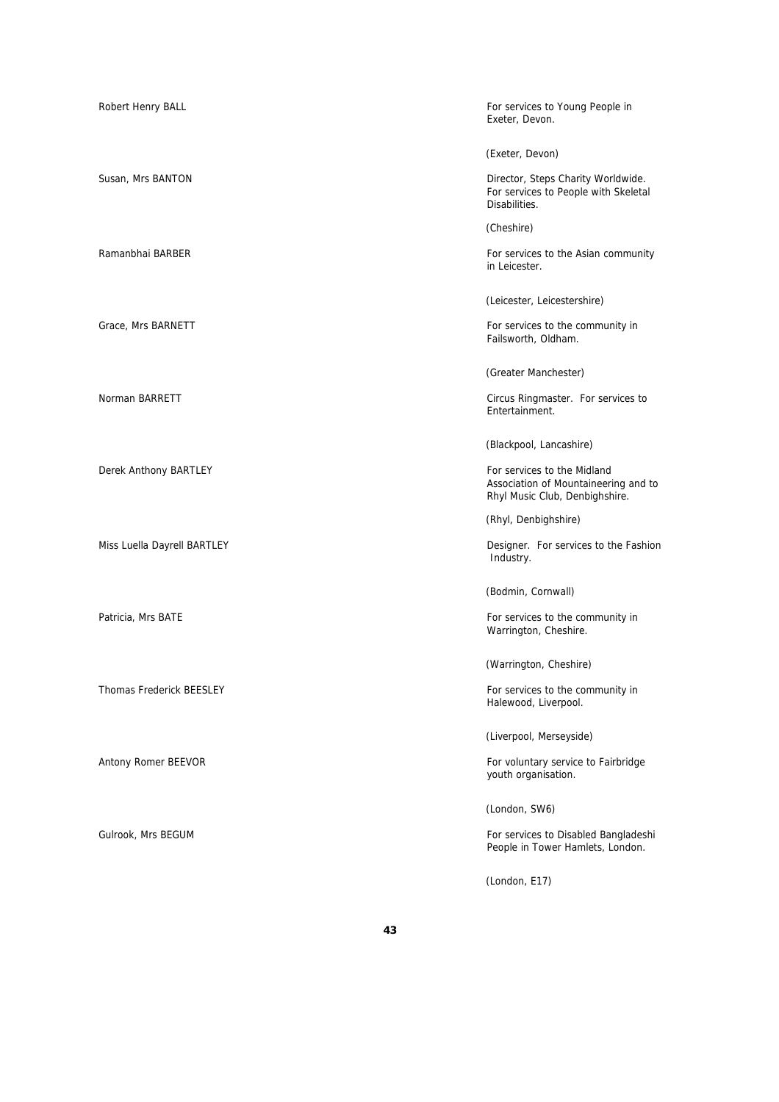| Robert Henry BALL           | For services to Young People in<br>Exeter, Devon.                                                     |
|-----------------------------|-------------------------------------------------------------------------------------------------------|
|                             | (Exeter, Devon)                                                                                       |
| Susan, Mrs BANTON           | Director, Steps Charity Worldwide.<br>For services to People with Skeletal<br>Disabilities.           |
|                             | (Cheshire)                                                                                            |
| Ramanbhai BARBER            | For services to the Asian community<br>in Leicester.                                                  |
|                             | (Leicester, Leicestershire)                                                                           |
| Grace, Mrs BARNETT          | For services to the community in<br>Failsworth, Oldham.                                               |
|                             | (Greater Manchester)                                                                                  |
| Norman BARRETT              | Circus Ringmaster. For services to<br>Entertainment.                                                  |
|                             | (Blackpool, Lancashire)                                                                               |
| Derek Anthony BARTLEY       | For services to the Midland<br>Association of Mountaineering and to<br>Rhyl Music Club, Denbighshire. |
|                             | (Rhyl, Denbighshire)                                                                                  |
| Miss Luella Dayrell BARTLEY | Designer. For services to the Fashion<br>Industry.                                                    |
|                             | (Bodmin, Cornwall)                                                                                    |
| Patricia, Mrs BATE          | For services to the community in<br>Warrington, Cheshire.                                             |
|                             | (Warrington, Cheshire)                                                                                |
| Thomas Frederick BEESLEY    | For services to the community in<br>Halewood, Liverpool.                                              |
|                             | (Liverpool, Merseyside)                                                                               |
| Antony Romer BEEVOR         | For voluntary service to Fairbridge<br>youth organisation.                                            |
|                             | (London, SW6)                                                                                         |
| Gulrook, Mrs BEGUM          | For services to Disabled Bangladeshi<br>People in Tower Hamlets, London.                              |
|                             | (London, E17)                                                                                         |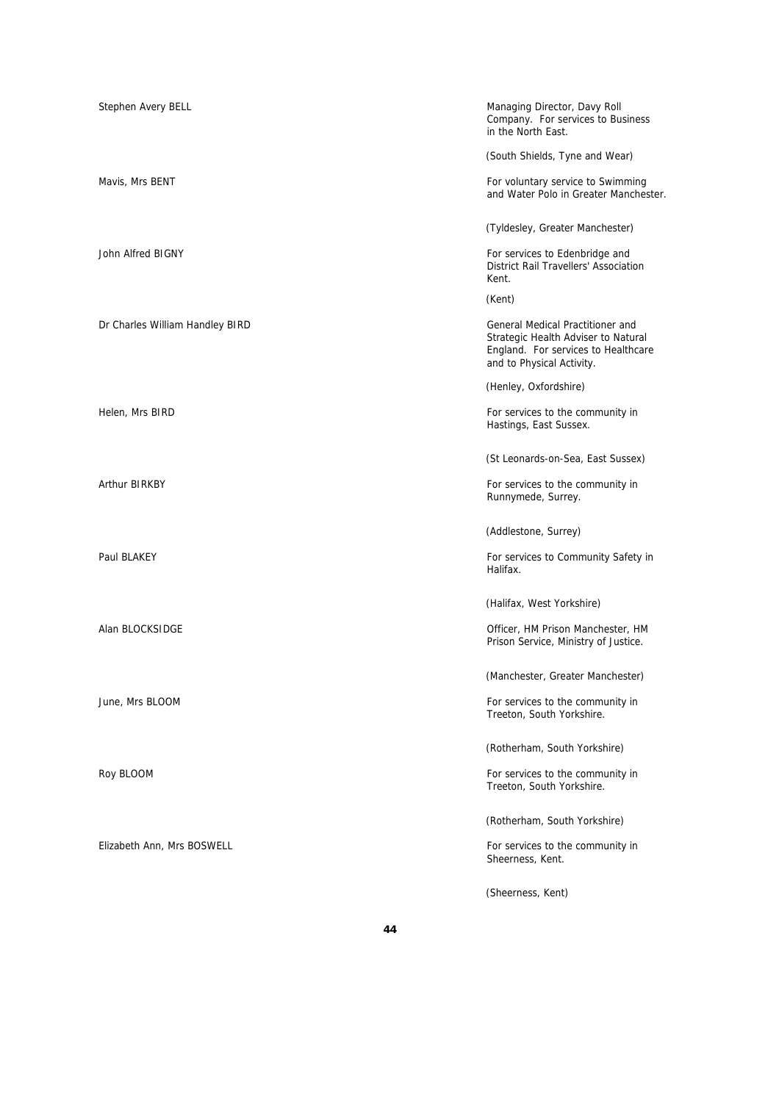| Stephen Avery BELL              | Managing Director, Davy Roll<br>Company. For services to Business<br>in the North East.                                                     |
|---------------------------------|---------------------------------------------------------------------------------------------------------------------------------------------|
|                                 | (South Shields, Tyne and Wear)                                                                                                              |
| Mavis, Mrs BENT                 | For voluntary service to Swimming<br>and Water Polo in Greater Manchester.                                                                  |
|                                 | (Tyldesley, Greater Manchester)                                                                                                             |
| John Alfred BIGNY               | For services to Edenbridge and<br><b>District Rail Travellers' Association</b><br>Kent.                                                     |
|                                 | (Kent)                                                                                                                                      |
| Dr Charles William Handley BIRD | General Medical Practitioner and<br>Strategic Health Adviser to Natural<br>England. For services to Healthcare<br>and to Physical Activity. |
|                                 | (Henley, Oxfordshire)                                                                                                                       |
| Helen, Mrs BIRD                 | For services to the community in<br>Hastings, East Sussex.                                                                                  |
|                                 | (St Leonards-on-Sea, East Sussex)                                                                                                           |
| <b>Arthur BIRKBY</b>            | For services to the community in<br>Runnymede, Surrey.                                                                                      |
|                                 | (Addlestone, Surrey)                                                                                                                        |
| Paul BLAKEY                     | For services to Community Safety in<br>Halifax.                                                                                             |
|                                 | (Halifax, West Yorkshire)                                                                                                                   |
| Alan BLOCKSIDGE                 | Officer, HM Prison Manchester, HM<br>Prison Service, Ministry of Justice.                                                                   |
|                                 | (Manchester, Greater Manchester)                                                                                                            |
| June, Mrs BLOOM                 | For services to the community in<br>Treeton, South Yorkshire.                                                                               |
|                                 | (Rotherham, South Yorkshire)                                                                                                                |
| Roy BLOOM                       | For services to the community in<br>Treeton, South Yorkshire.                                                                               |
|                                 | (Rotherham, South Yorkshire)                                                                                                                |
| Elizabeth Ann, Mrs BOSWELL      | For services to the community in<br>Sheerness, Kent.                                                                                        |
|                                 | (Sheerness, Kent)                                                                                                                           |

**44**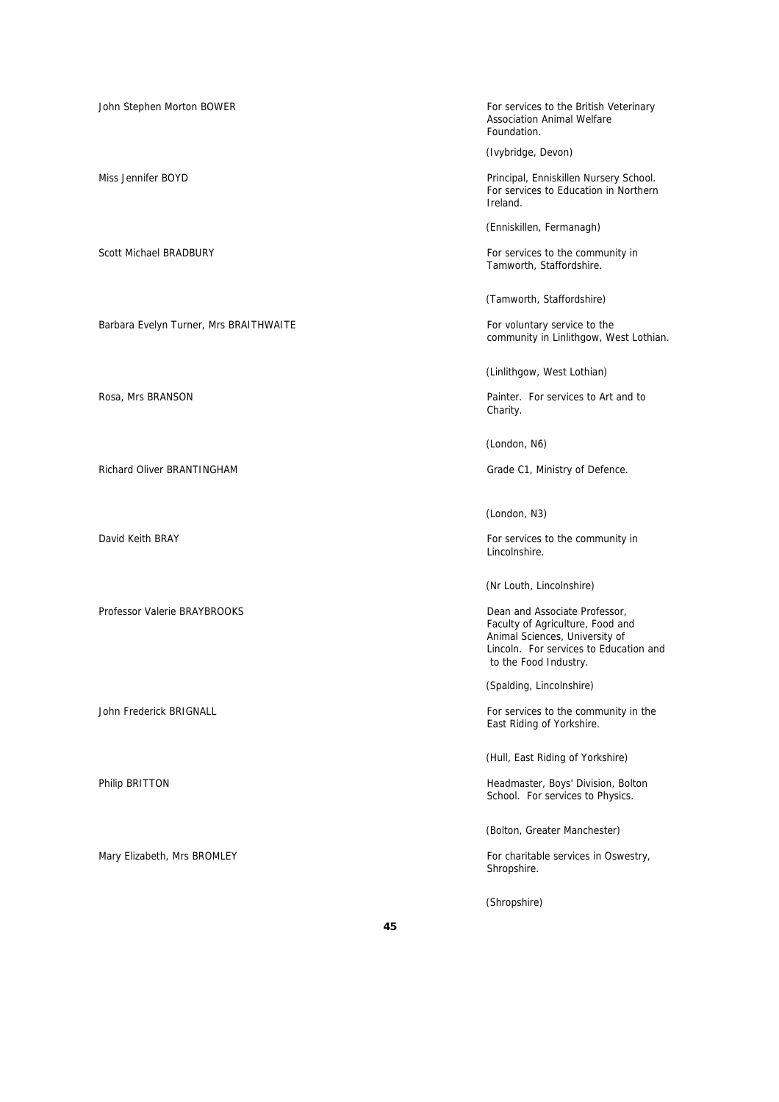Barbara Evelyn Turner, Mrs BRAITHWAITE For voluntary service to the

Professor Valerie BRAYBROOKS **Dean and Associate Professor,** Dean and Associate Professor,

John Stephen Morton BOWER For services to the British Veterinary Association Animal Welfare Foundation.

(Ivybridge, Devon)

Miss Jennifer BOYD Principal, Enniskillen Nursery School. For services to Education in Northern Ireland.

(Enniskillen, Fermanagh)

Scott Michael BRADBURY **For services to the community in** Tamworth, Staffordshire.

(Tamworth, Staffordshire)

community in Linlithgow, West Lothian.

(Linlithgow, West Lothian)

Rosa, Mrs BRANSON **Painter.** For services to Art and to Painter. For services to Art and to Charity.

(London, N6)

Richard Oliver BRANTINGHAM Grade C1, Ministry of Defence.

(London, N3)

David Keith BRAY **For services** to the community in Lincolnshire.

(Nr Louth, Lincolnshire)

Faculty of Agriculture, Food and Animal Sciences, University of Lincoln. For services to Education and to the Food Industry.

(Spalding, Lincolnshire)

John Frederick BRIGNALL **For services to the community in the** Services to the community in the East Riding of Yorkshire.

(Hull, East Riding of Yorkshire)

Philip BRITTON Headmaster, Boys' Division, Bolton School. For services to Physics.

(Bolton, Greater Manchester)

Mary Elizabeth, Mrs BROMLEY For charitable services in Oswestry, Shropshire.

(Shropshire)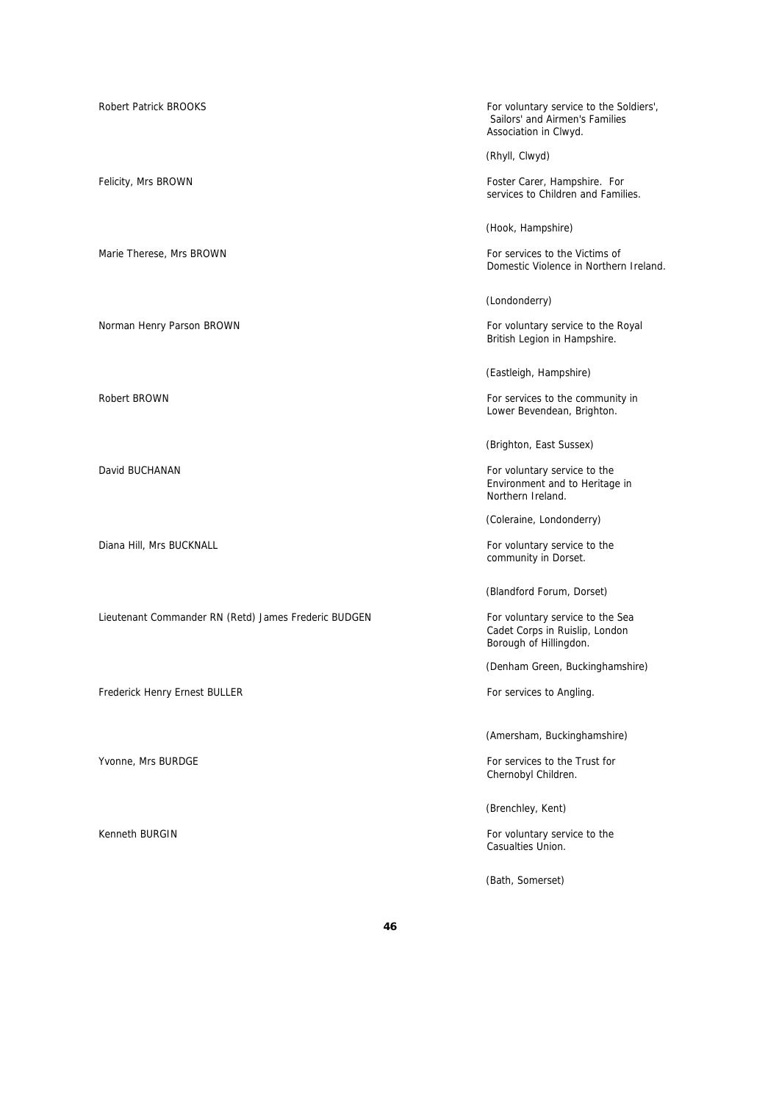Robert Patrick BROOKS For voluntary service to the Soldiers', Sailors' and Airmen's Families Association in Clwyd. (Rhyll, Clwyd) Felicity, Mrs BROWN Foster Carer, Hampshire. For services to Children and Families. (Hook, Hampshire) Marie Therese, Mrs BROWN For services to the Victims of Domestic Violence in Northern Ireland. (Londonderry) Norman Henry Parson BROWN FOR THE ROW FOR THE ROYAL FOR VOLUNTARY Service to the Royal British Legion in Hampshire. (Eastleigh, Hampshire) Robert BROWN For services to the community in Lower Bevendean, Brighton. (Brighton, East Sussex) David BUCHANAN **For voluntary service to the** Environment and to Heritage in Northern Ireland. (Coleraine, Londonderry) Diana Hill, Mrs BUCKNALL **For voluntary service to the** For voluntary service to the community in Dorset. (Blandford Forum, Dorset) Lieutenant Commander RN (Retd) James Frederic BUDGEN For voluntary service to the Sea Cadet Corps in Ruislip, London Borough of Hillingdon. (Denham Green, Buckinghamshire) Frederick Henry Ernest BULLER **For services to Angling.** For services to Angling. (Amersham, Buckinghamshire) Yvonne, Mrs BURDGE For services to the Trust for services to the Trust for Chernobyl Children. (Brenchley, Kent) Kenneth BURGIN For voluntary service to the service to the service to the service to the service to the service to the service to the service to the service to the service to the service to the service to the service to th Casualties Union. (Bath, Somerset)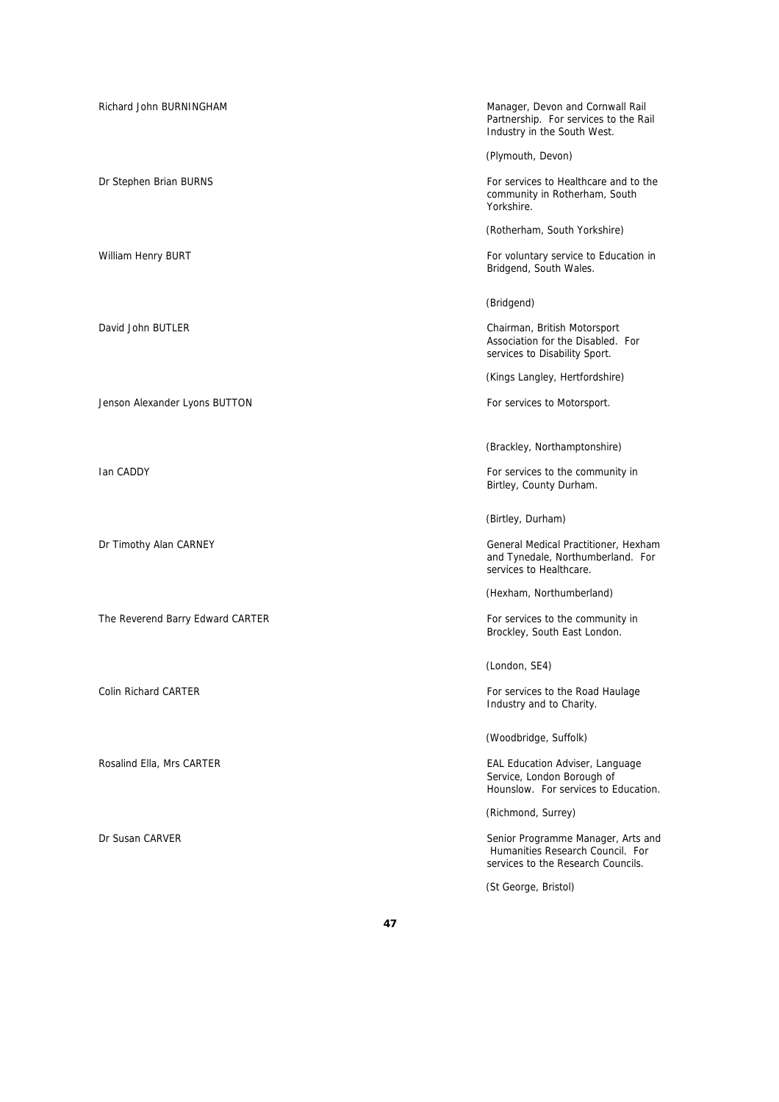Richard John BURNINGHAM Manager, Devon and Cornwall Rail Partnership. For services to the Rail Industry in the South West. (Plymouth, Devon) Dr Stephen Brian BURNS For services to Healthcare and to the community in Rotherham, South Yorkshire. (Rotherham, South Yorkshire) William Henry BURT For voluntary service to Education in Bridgend, South Wales. (Bridgend) David John BUTLER Chairman, British Motorsport Association for the Disabled. For services to Disability Sport. (Kings Langley, Hertfordshire) Jenson Alexander Lyons BUTTON For services to Motorsport. (Brackley, Northamptonshire) Ian CADDY **For services to the community in** Birtley, County Durham. (Birtley, Durham) Dr Timothy Alan CARNEY General Medical Practitioner, Hexham and Tynedale, Northumberland. For services to Healthcare. (Hexham, Northumberland) The Reverend Barry Edward CARTER For services to the community in Brockley, South East London. (London, SE4) Colin Richard CARTER **For services to the Road Haulage** For services to the Road Haulage Industry and to Charity. (Woodbridge, Suffolk) Rosalind Ella, Mrs CARTER **EAL Education Adviser, Language** EAL Education Adviser, Language Service, London Borough of Hounslow. For services to Education. (Richmond, Surrey) Dr Susan CARVER Senior Programme Manager, Arts and Humanities Research Council. For services to the Research Councils. (St George, Bristol)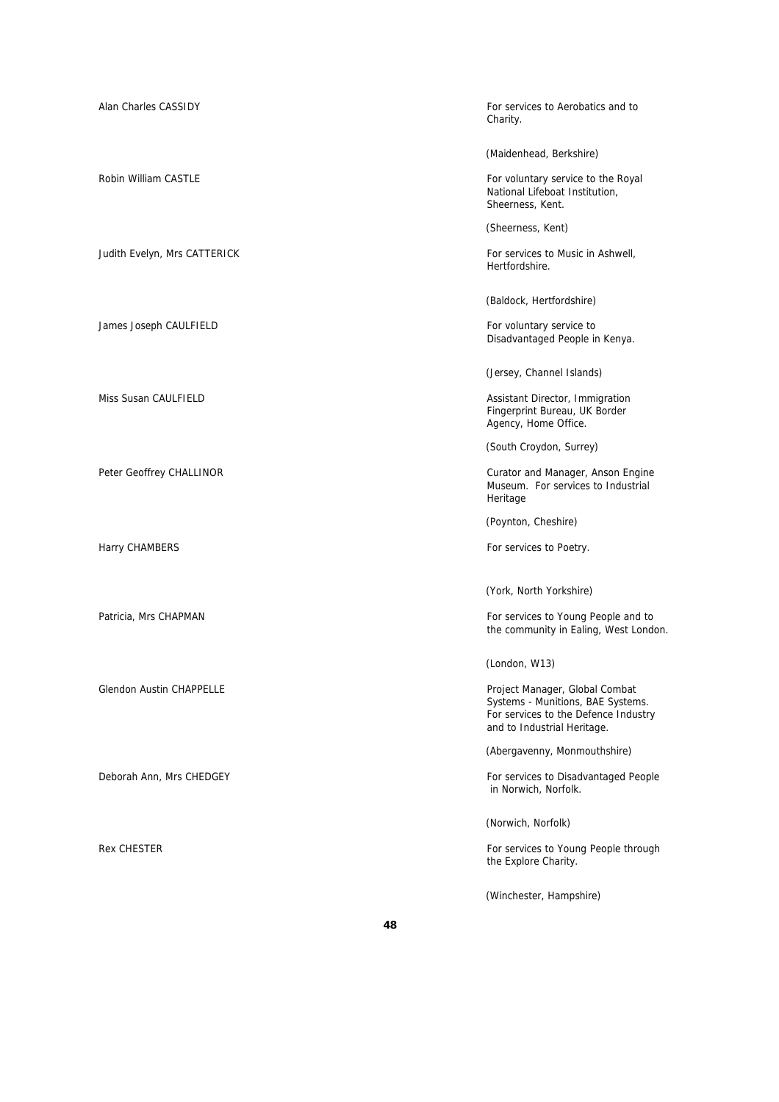| Alan Charles CASSIDY            | For services to Aerobatics and to<br>Charity.                                                                                              |
|---------------------------------|--------------------------------------------------------------------------------------------------------------------------------------------|
|                                 | (Maidenhead, Berkshire)                                                                                                                    |
| Robin William CASTLE            | For voluntary service to the Royal<br>National Lifeboat Institution,<br>Sheerness, Kent.                                                   |
|                                 | (Sheerness, Kent)                                                                                                                          |
| Judith Evelyn, Mrs CATTERICK    | For services to Music in Ashwell,<br>Hertfordshire.                                                                                        |
|                                 | (Baldock, Hertfordshire)                                                                                                                   |
| James Joseph CAULFIELD          | For voluntary service to<br>Disadvantaged People in Kenya.                                                                                 |
|                                 | (Jersey, Channel Islands)                                                                                                                  |
| Miss Susan CAULFIELD            | Assistant Director, Immigration<br>Fingerprint Bureau, UK Border<br>Agency, Home Office.                                                   |
|                                 | (South Croydon, Surrey)                                                                                                                    |
| Peter Geoffrey CHALLINOR        | Curator and Manager, Anson Engine<br>Museum. For services to Industrial<br>Heritage                                                        |
|                                 | (Poynton, Cheshire)                                                                                                                        |
| Harry CHAMBERS                  | For services to Poetry.                                                                                                                    |
|                                 | (York, North Yorkshire)                                                                                                                    |
| Patricia, Mrs CHAPMAN           | For services to Young People and to<br>the community in Ealing, West London.                                                               |
|                                 | (London, W13)                                                                                                                              |
| <b>Glendon Austin CHAPPELLE</b> | Project Manager, Global Combat<br>Systems - Munitions, BAE Systems.<br>For services to the Defence Industry<br>and to Industrial Heritage. |
|                                 | (Abergavenny, Monmouthshire)                                                                                                               |
| Deborah Ann, Mrs CHEDGEY        | For services to Disadvantaged People<br>in Norwich, Norfolk.                                                                               |
|                                 | (Norwich, Norfolk)                                                                                                                         |
| <b>Rex CHESTER</b>              | For services to Young People through<br>the Explore Charity.                                                                               |
|                                 | (Winchester, Hampshire)                                                                                                                    |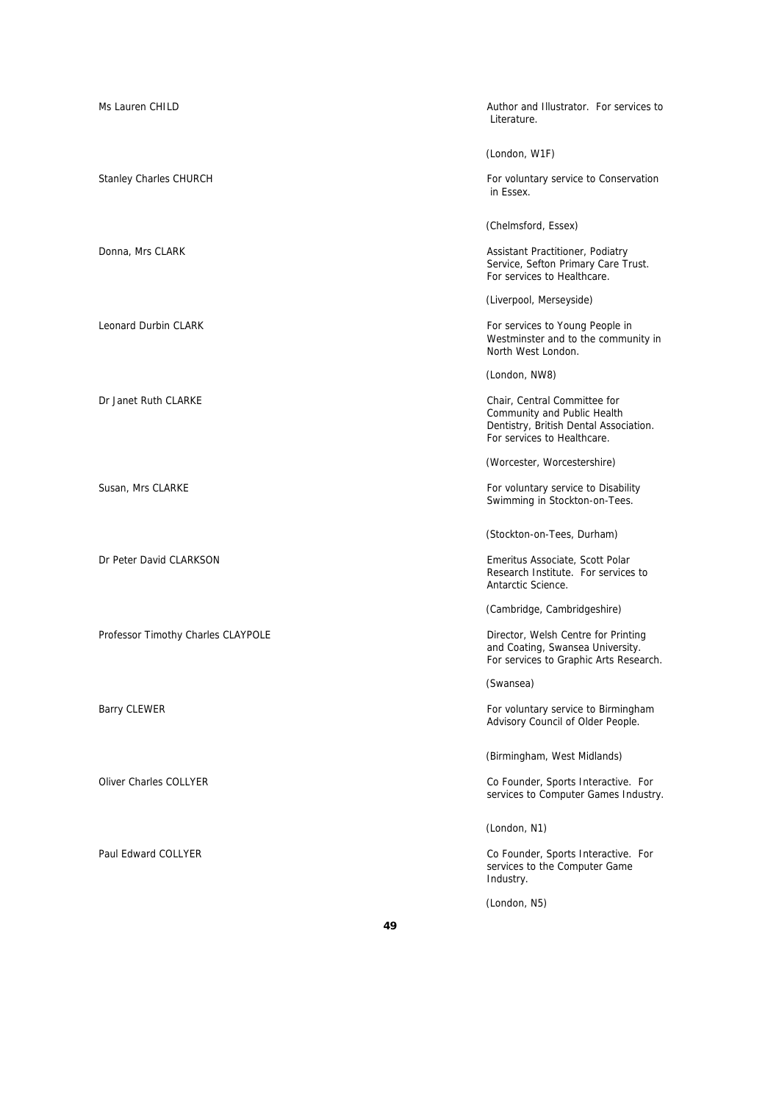| Ms Lauren CHILD                    | Author and Illustrator. For services to<br>Literature.                                                                               |
|------------------------------------|--------------------------------------------------------------------------------------------------------------------------------------|
|                                    | (London, W1F)                                                                                                                        |
| <b>Stanley Charles CHURCH</b>      | For voluntary service to Conservation<br>in Essex.                                                                                   |
|                                    | (Chelmsford, Essex)                                                                                                                  |
| Donna, Mrs CLARK                   | Assistant Practitioner, Podiatry<br>Service, Sefton Primary Care Trust.<br>For services to Healthcare.                               |
|                                    | (Liverpool, Merseyside)                                                                                                              |
| Leonard Durbin CLARK               | For services to Young People in<br>Westminster and to the community in<br>North West London.                                         |
|                                    | (London, NW8)                                                                                                                        |
| Dr Janet Ruth CLARKE               | Chair, Central Committee for<br>Community and Public Health<br>Dentistry, British Dental Association.<br>For services to Healthcare. |
|                                    | (Worcester, Worcestershire)                                                                                                          |
| Susan, Mrs CLARKE                  | For voluntary service to Disability<br>Swimming in Stockton-on-Tees.                                                                 |
|                                    | (Stockton-on-Tees, Durham)                                                                                                           |
| Dr Peter David CLARKSON            | Emeritus Associate, Scott Polar<br>Research Institute. For services to<br>Antarctic Science.                                         |
|                                    | (Cambridge, Cambridgeshire)                                                                                                          |
| Professor Timothy Charles CLAYPOLE | Director, Welsh Centre for Printing<br>and Coating, Swansea University.<br>For services to Graphic Arts Research.                    |
|                                    | (Swansea)                                                                                                                            |
| <b>Barry CLEWER</b>                | For voluntary service to Birmingham<br>Advisory Council of Older People.                                                             |
|                                    | (Birmingham, West Midlands)                                                                                                          |
| <b>Oliver Charles COLLYER</b>      | Co Founder, Sports Interactive. For<br>services to Computer Games Industry.                                                          |
|                                    | (London, N1)                                                                                                                         |
| Paul Edward COLLYER                | Co Founder, Sports Interactive. For<br>services to the Computer Game<br>Industry.                                                    |
|                                    | (London, N5)                                                                                                                         |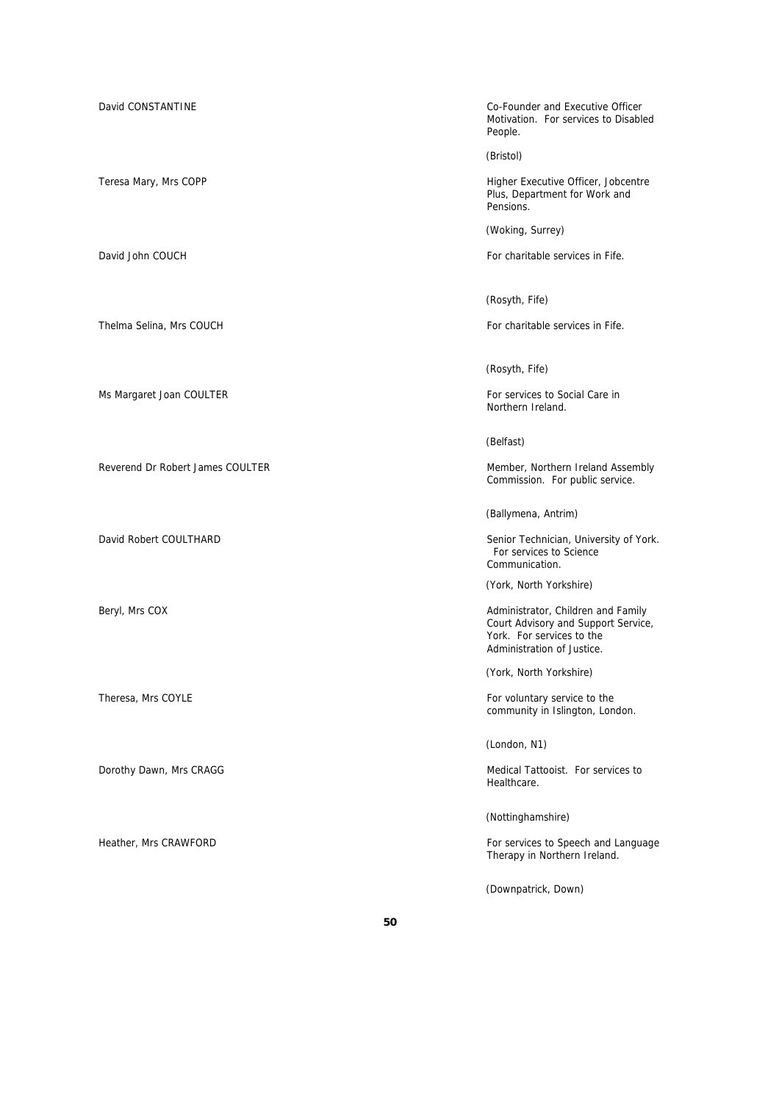David CONSTANTINE Co-Founder and Executive Officer Motivation. For services to Disabled People.

(Bristol)

Teresa Mary, Mrs COPP **Accord 19 Teresa Mary, Mrs COPP Higher Executive Officer**, Jobcentre Plus, Department for Work and Pensions.

(Woking, Surrey)

David John COUCH **For charitable services** in Fife.

(Rosyth, Fife)

Thelma Selina, Mrs COUCH For charitable services in Fife.

(Rosyth, Fife)

Ms Margaret Joan COULTER **For services to Social Care in** Antistander Social Care in Northern Ireland.

(Belfast)

Reverend Dr Robert James COULTER Member, Northern Ireland Assembly Commission. For public service.

(Ballymena, Antrim)

David Robert COULTHARD Senior Technician, University of York. For services to Science Communication.

(York, North Yorkshire)

Beryl, Mrs COX **Administrator, Children and Family** and Family and Family and Family and Family and Family and Family and Family and Family and Family and Family and Family and Family and Family and Family and Family and F Court Advisory and Support Service, York. For services to the Administration of Justice.

(York, North Yorkshire)

Theresa, Mrs COYLE **For voluntary service to the service** to the service to the service to the service to the service to the service to the service to the service to the service to the service to the service to the service community in Islington, London.

(London, N1)

Dorothy Dawn, Mrs CRAGG **Medical Tattooist.** For services to Healthcare.

(Nottinghamshire)

Heather, Mrs CRAWFORD **For services to Speech and Language** For services to Speech and Language Therapy in Northern Ireland.

(Downpatrick, Down)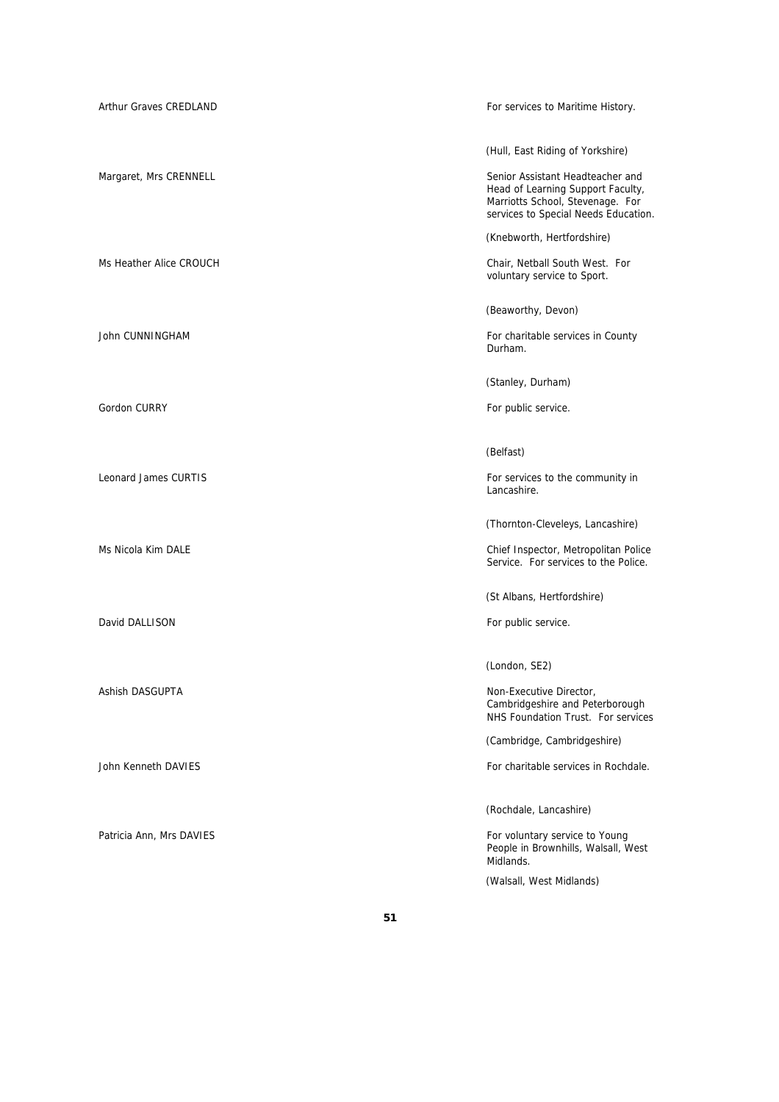| Arthur Graves CREDLAND      | For services to Maritime History.                                                                                                                 |
|-----------------------------|---------------------------------------------------------------------------------------------------------------------------------------------------|
|                             | (Hull, East Riding of Yorkshire)                                                                                                                  |
| Margaret, Mrs CRENNELL      | Senior Assistant Headteacher and<br>Head of Learning Support Faculty,<br>Marriotts School, Stevenage. For<br>services to Special Needs Education. |
|                             | (Knebworth, Hertfordshire)                                                                                                                        |
| Ms Heather Alice CROUCH     | Chair, Netball South West. For<br>voluntary service to Sport.                                                                                     |
|                             | (Beaworthy, Devon)                                                                                                                                |
| John CUNNINGHAM             | For charitable services in County<br>Durham.                                                                                                      |
|                             | (Stanley, Durham)                                                                                                                                 |
| Gordon CURRY                | For public service.                                                                                                                               |
|                             | (Belfast)                                                                                                                                         |
| <b>Leonard James CURTIS</b> | For services to the community in<br>Lancashire.                                                                                                   |
|                             | (Thornton-Cleveleys, Lancashire)                                                                                                                  |
| Ms Nicola Kim DALE          | Chief Inspector, Metropolitan Police<br>Service. For services to the Police.                                                                      |
|                             | (St Albans, Hertfordshire)                                                                                                                        |
| David DALLISON              | For public service.                                                                                                                               |
|                             | (London, SE2)                                                                                                                                     |
| Ashish DASGUPTA             | Non-Executive Director,<br>Cambridgeshire and Peterborough<br>NHS Foundation Trust. For services                                                  |
|                             | (Cambridge, Cambridgeshire)                                                                                                                       |
| <b>John Kenneth DAVIES</b>  | For charitable services in Rochdale.                                                                                                              |
|                             | (Rochdale, Lancashire)                                                                                                                            |
| Patricia Ann, Mrs DAVIES    | For voluntary service to Young<br>People in Brownhills, Walsall, West<br>Midlands.                                                                |
|                             | (Walsall, West Midlands)                                                                                                                          |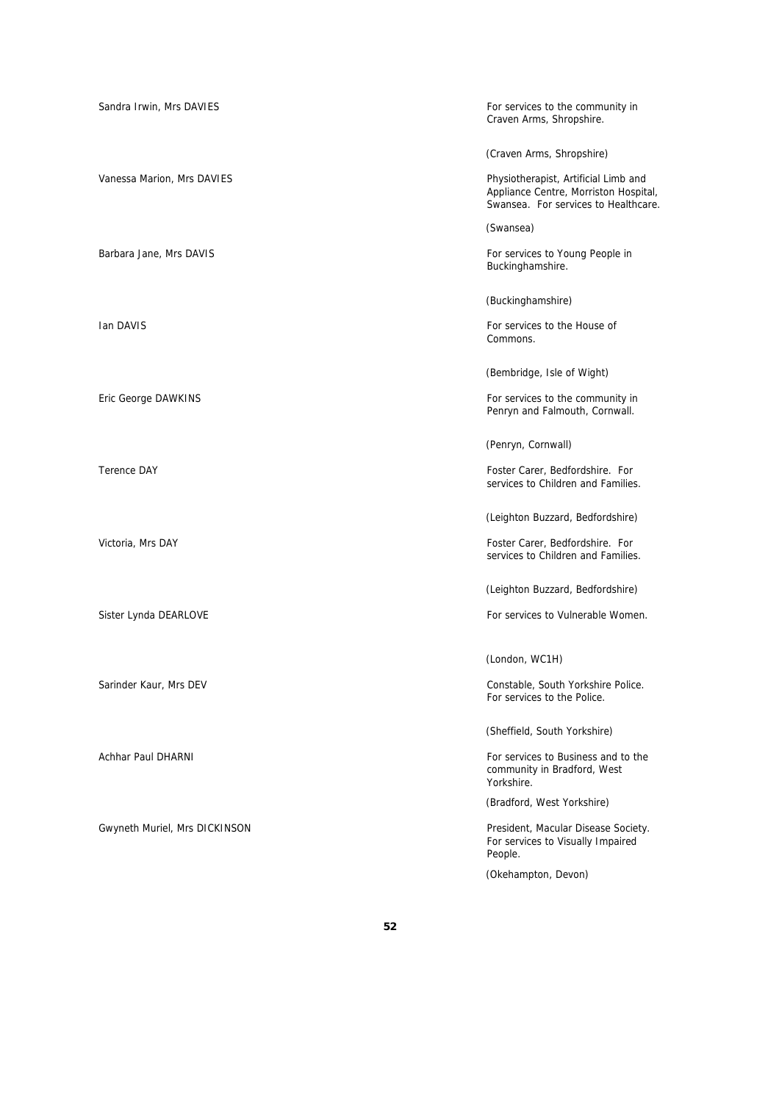| Sandra Irwin, Mrs DAVIES      | For services to the community in<br>Craven Arms, Shropshire.                                                          |
|-------------------------------|-----------------------------------------------------------------------------------------------------------------------|
|                               | (Craven Arms, Shropshire)                                                                                             |
| Vanessa Marion, Mrs DAVIES    | Physiotherapist, Artificial Limb and<br>Appliance Centre, Morriston Hospital,<br>Swansea. For services to Healthcare. |
|                               | (Swansea)                                                                                                             |
| Barbara Jane, Mrs DAVIS       | For services to Young People in<br>Buckinghamshire.                                                                   |
|                               | (Buckinghamshire)                                                                                                     |
| Ian DAVIS                     | For services to the House of<br>Commons.                                                                              |
|                               | (Bembridge, Isle of Wight)                                                                                            |
| Eric George DAWKINS           | For services to the community in<br>Penryn and Falmouth, Cornwall.                                                    |
|                               | (Penryn, Cornwall)                                                                                                    |
| <b>Terence DAY</b>            | Foster Carer, Bedfordshire. For<br>services to Children and Families.                                                 |
|                               | (Leighton Buzzard, Bedfordshire)                                                                                      |
| Victoria, Mrs DAY             | Foster Carer, Bedfordshire. For<br>services to Children and Families.                                                 |
|                               | (Leighton Buzzard, Bedfordshire)                                                                                      |
| Sister Lynda DEARLOVE         | For services to Vulnerable Women.                                                                                     |
|                               | (London, WC1H)                                                                                                        |
| Sarinder Kaur, Mrs DEV        | Constable, South Yorkshire Police.<br>For services to the Police.                                                     |
|                               | (Sheffield, South Yorkshire)                                                                                          |
| Achhar Paul DHARNI            | For services to Business and to the<br>community in Bradford, West<br>Yorkshire.                                      |
|                               | (Bradford, West Yorkshire)                                                                                            |
| Gwyneth Muriel, Mrs DICKINSON | President, Macular Disease Society.<br>For services to Visually Impaired<br>People.                                   |
|                               | (Okehampton, Devon)                                                                                                   |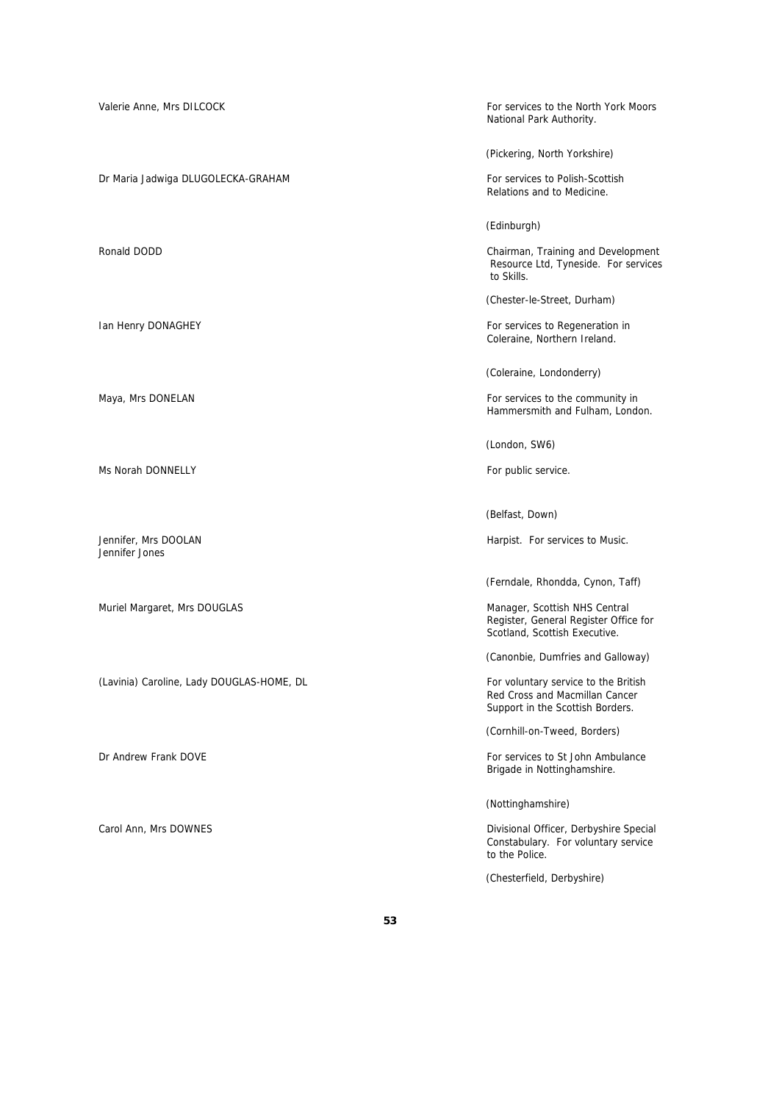Valerie Anne, Mrs DILCOCK **For services to the North York Moors** For services to the North York Moors National Park Authority. (Pickering, North Yorkshire) Dr Maria Jadwiga DLUGOLECKA-GRAHAM For Services to Polish-Scottish Relations and to Medicine. (Edinburgh) Ronald DODD **Chairman, Training and Development**  Resource Ltd, Tyneside. For services to Skills. (Chester-le-Street, Durham) Ian Henry DONAGHEY **For services to Regeneration in** Coleraine, Northern Ireland. (Coleraine, Londonderry) Maya, Mrs DONELAN For services to the community in Hammersmith and Fulham, London. (London, SW6) Ms Norah DONNELLY **For public service.** (Belfast, Down) Jennifer, Mrs DOOLAN **Harpist.** For services to Music. Jennifer Jones (Ferndale, Rhondda, Cynon, Taff) Muriel Margaret, Mrs DOUGLAS Manager, Scottish NHS Central Register, General Register Office for Scotland, Scottish Executive. (Canonbie, Dumfries and Galloway) (Lavinia) Caroline, Lady DOUGLAS-HOME, DL For voluntary service to the British Red Cross and Macmillan Cancer Support in the Scottish Borders. (Cornhill-on-Tweed, Borders) Dr Andrew Frank DOVE **For services to St John Ambulance** For services to St John Ambulance Brigade in Nottinghamshire. (Nottinghamshire) Carol Ann, Mrs DOWNES Divisional Officer, Derbyshire Special Constabulary. For voluntary service to the Police. (Chesterfield, Derbyshire)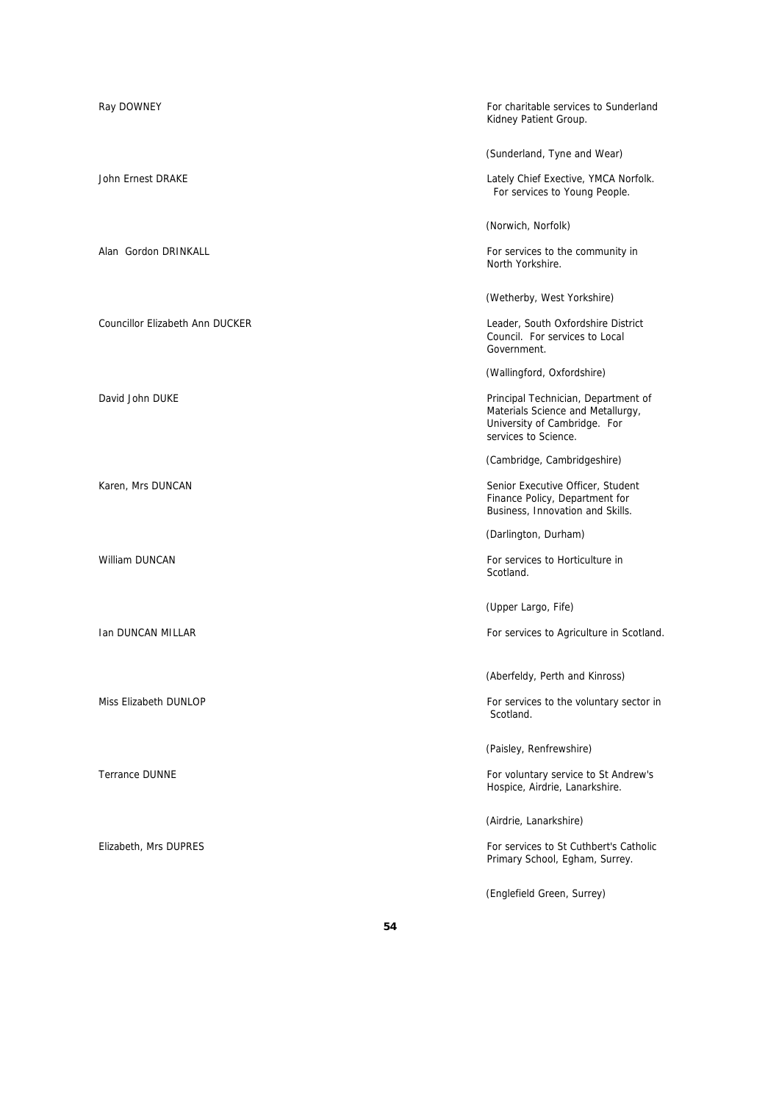| Ray DOWNEY                             | For charitable services to Sunderland<br>Kidney Patient Group.                                                                   |
|----------------------------------------|----------------------------------------------------------------------------------------------------------------------------------|
|                                        | (Sunderland, Tyne and Wear)                                                                                                      |
| <b>John Ernest DRAKE</b>               | Lately Chief Exective, YMCA Norfolk.<br>For services to Young People.                                                            |
|                                        | (Norwich, Norfolk)                                                                                                               |
| Alan Gordon DRINKALL                   | For services to the community in<br>North Yorkshire.                                                                             |
|                                        | (Wetherby, West Yorkshire)                                                                                                       |
| <b>Councillor Elizabeth Ann DUCKER</b> | Leader, South Oxfordshire District<br>Council. For services to Local<br>Government.                                              |
|                                        | (Wallingford, Oxfordshire)                                                                                                       |
| David John DUKE                        | Principal Technician, Department of<br>Materials Science and Metallurgy,<br>University of Cambridge. For<br>services to Science. |
|                                        | (Cambridge, Cambridgeshire)                                                                                                      |
| Karen, Mrs DUNCAN                      | Senior Executive Officer, Student<br>Finance Policy, Department for<br>Business, Innovation and Skills.                          |
|                                        | (Darlington, Durham)                                                                                                             |
| William DUNCAN                         | For services to Horticulture in<br>Scotland.                                                                                     |
|                                        | (Upper Largo, Fife)                                                                                                              |
| Ian DUNCAN MILLAR                      | For services to Agriculture in Scotland.                                                                                         |
|                                        | (Aberfeldy, Perth and Kinross)                                                                                                   |
| Miss Elizabeth DUNLOP                  | For services to the voluntary sector in<br>Scotland.                                                                             |
|                                        | (Paisley, Renfrewshire)                                                                                                          |
| <b>Terrance DUNNE</b>                  | For voluntary service to St Andrew's<br>Hospice, Airdrie, Lanarkshire.                                                           |
|                                        | (Airdrie, Lanarkshire)                                                                                                           |
| Elizabeth, Mrs DUPRES                  | For services to St Cuthbert's Catholic<br>Primary School, Egham, Surrey.                                                         |
|                                        | (Englefield Green, Surrey)                                                                                                       |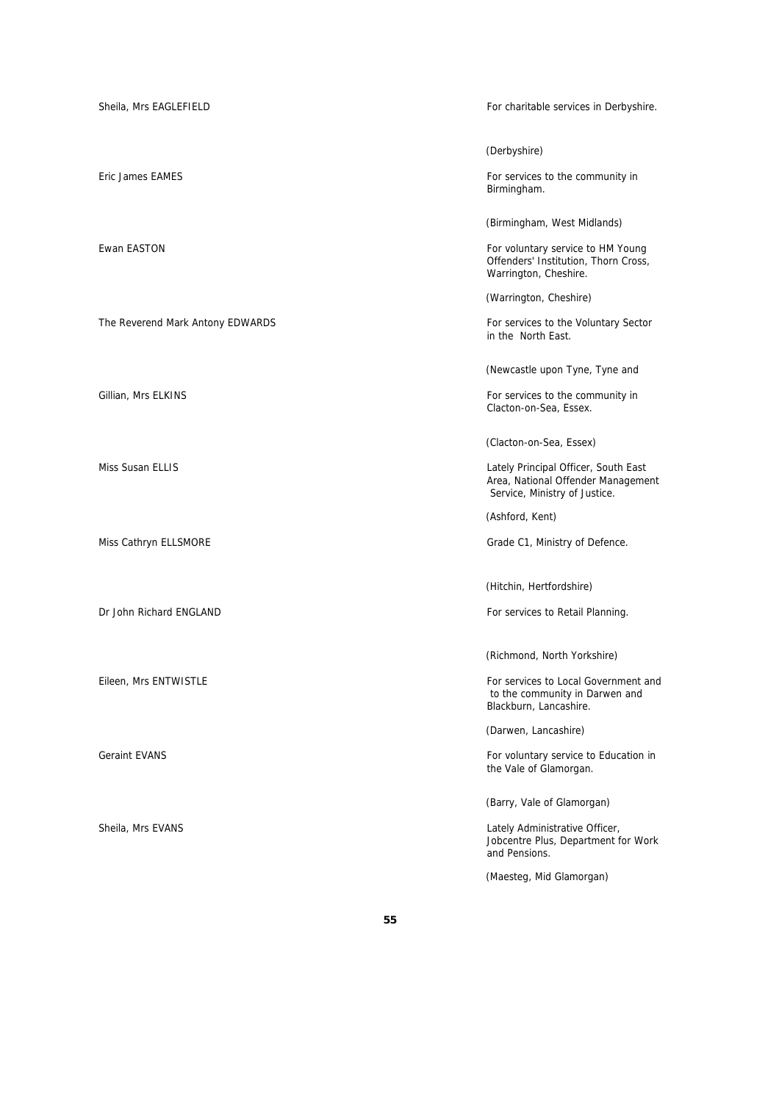| Sheila, Mrs EAGLEFIELD           | For charitable services in Derbyshire.                                                                                                           |
|----------------------------------|--------------------------------------------------------------------------------------------------------------------------------------------------|
| Eric James EAMES                 | (Derbyshire)<br>For services to the community in<br>Birmingham.                                                                                  |
| Ewan EASTON                      | (Birmingham, West Midlands)<br>For voluntary service to HM Young<br>Offenders' Institution, Thorn Cross,<br>Warrington, Cheshire.                |
| The Reverend Mark Antony EDWARDS | (Warrington, Cheshire)<br>For services to the Voluntary Sector<br>in the North East.                                                             |
| Gillian, Mrs ELKINS              | (Newcastle upon Tyne, Tyne and<br>For services to the community in<br>Clacton-on-Sea, Essex.                                                     |
| <b>Miss Susan ELLIS</b>          | (Clacton-on-Sea, Essex)<br>Lately Principal Officer, South East<br>Area, National Offender Management<br>Service, Ministry of Justice.           |
| Miss Cathryn ELLSMORE            | (Ashford, Kent)<br>Grade C1, Ministry of Defence.                                                                                                |
| Dr John Richard ENGLAND          | (Hitchin, Hertfordshire)<br>For services to Retail Planning.                                                                                     |
| Eileen, Mrs ENTWISTLE            | (Richmond, North Yorkshire)<br>For services to Local Government and<br>to the community in Darwen and<br>Blackburn, Lancashire.                  |
| <b>Geraint EVANS</b>             | (Darwen, Lancashire)<br>For voluntary service to Education in<br>the Vale of Glamorgan.                                                          |
| Sheila, Mrs EVANS                | (Barry, Vale of Glamorgan)<br>Lately Administrative Officer,<br>Jobcentre Plus, Department for Work<br>and Pensions.<br>(Maesteg, Mid Glamorgan) |
|                                  |                                                                                                                                                  |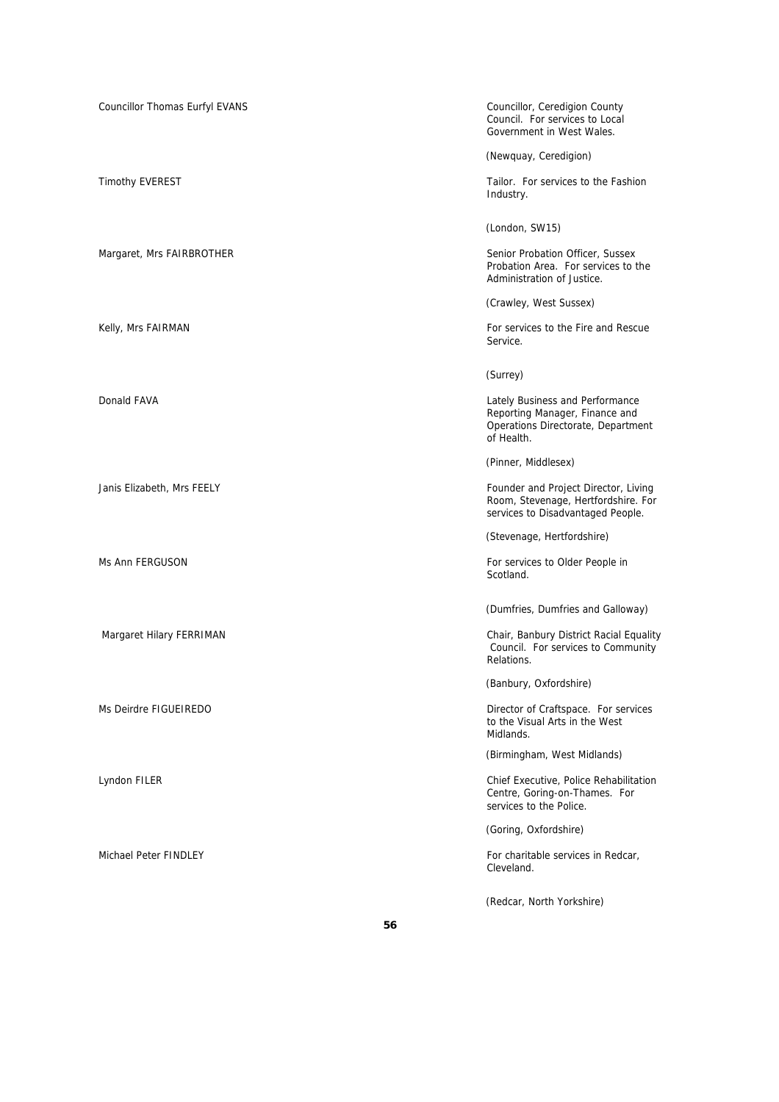| Councillor Thomas Eurfyl EVANS | Councillor, Ceredigion County<br>Council. For services to Local<br>Government in West Wales.                          |
|--------------------------------|-----------------------------------------------------------------------------------------------------------------------|
|                                | (Newquay, Ceredigion)                                                                                                 |
| <b>Timothy EVEREST</b>         | Tailor. For services to the Fashion<br>Industry.                                                                      |
|                                | (London, SW15)                                                                                                        |
| Margaret, Mrs FAIRBROTHER      | Senior Probation Officer, Sussex<br>Probation Area. For services to the<br>Administration of Justice.                 |
|                                | (Crawley, West Sussex)                                                                                                |
| Kelly, Mrs FAIRMAN             | For services to the Fire and Rescue<br>Service.                                                                       |
|                                | (Surrey)                                                                                                              |
| Donald FAVA                    | Lately Business and Performance<br>Reporting Manager, Finance and<br>Operations Directorate, Department<br>of Health. |
|                                | (Pinner, Middlesex)                                                                                                   |
| Janis Elizabeth, Mrs FEELY     | Founder and Project Director, Living<br>Room, Stevenage, Hertfordshire. For<br>services to Disadvantaged People.      |
|                                | (Stevenage, Hertfordshire)                                                                                            |
| Ms Ann FERGUSON                | For services to Older People in<br>Scotland.                                                                          |
|                                | (Dumfries, Dumfries and Galloway)                                                                                     |
| Margaret Hilary FERRIMAN       | Chair, Banbury District Racial Equality<br>Council. For services to Community<br>Relations.                           |
|                                | (Banbury, Oxfordshire)                                                                                                |
| Ms Deirdre FIGUEIREDO          | Director of Craftspace. For services<br>to the Visual Arts in the West<br>Midlands.                                   |
|                                | (Birmingham, West Midlands)                                                                                           |
| Lyndon FILER                   | Chief Executive, Police Rehabilitation<br>Centre, Goring-on-Thames. For<br>services to the Police.                    |
|                                | (Goring, Oxfordshire)                                                                                                 |
| Michael Peter FINDLEY          | For charitable services in Redcar,<br>Cleveland.                                                                      |
|                                | (Redcar, North Yorkshire)                                                                                             |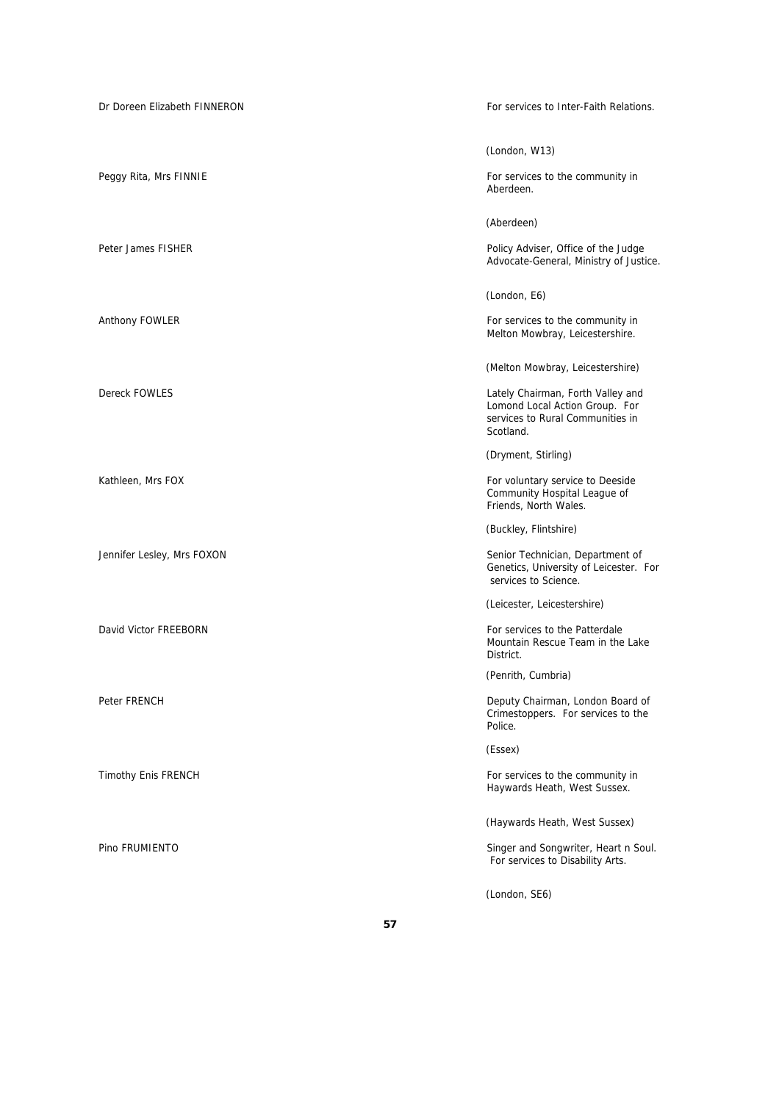| Dr Doreen Elizabeth FINNERON | For services to Inter-Faith Relations.                                                                               |
|------------------------------|----------------------------------------------------------------------------------------------------------------------|
|                              | (London, W13)                                                                                                        |
| Peggy Rita, Mrs FINNIE       | For services to the community in<br>Aberdeen.                                                                        |
|                              | (Aberdeen)                                                                                                           |
| Peter James FISHER           | Policy Adviser, Office of the Judge<br>Advocate-General, Ministry of Justice.                                        |
|                              | (London, E6)                                                                                                         |
| Anthony FOWLER               | For services to the community in<br>Melton Mowbray, Leicestershire.                                                  |
|                              | (Melton Mowbray, Leicestershire)                                                                                     |
| Dereck FOWLES                | Lately Chairman, Forth Valley and<br>Lomond Local Action Group. For<br>services to Rural Communities in<br>Scotland. |
|                              | (Dryment, Stirling)                                                                                                  |
| Kathleen, Mrs FOX            | For voluntary service to Deeside<br>Community Hospital League of<br>Friends, North Wales.                            |
|                              | (Buckley, Flintshire)                                                                                                |
| Jennifer Lesley, Mrs FOXON   | Senior Technician, Department of<br>Genetics, University of Leicester. For<br>services to Science.                   |
|                              | (Leicester, Leicestershire)                                                                                          |
| David Victor FREEBORN        | For services to the Patterdale<br>Mountain Rescue Team in the Lake<br>District.                                      |
|                              | (Penrith, Cumbria)                                                                                                   |
| Peter FRENCH                 | Deputy Chairman, London Board of<br>Crimestoppers. For services to the<br>Police.                                    |
|                              | (Essex)                                                                                                              |
| <b>Timothy Enis FRENCH</b>   | For services to the community in<br>Haywards Heath, West Sussex.                                                     |
|                              | (Haywards Heath, West Sussex)                                                                                        |
| Pino FRUMIENTO               | Singer and Songwriter, Heart n Soul.<br>For services to Disability Arts.                                             |
|                              | (London, SE6)                                                                                                        |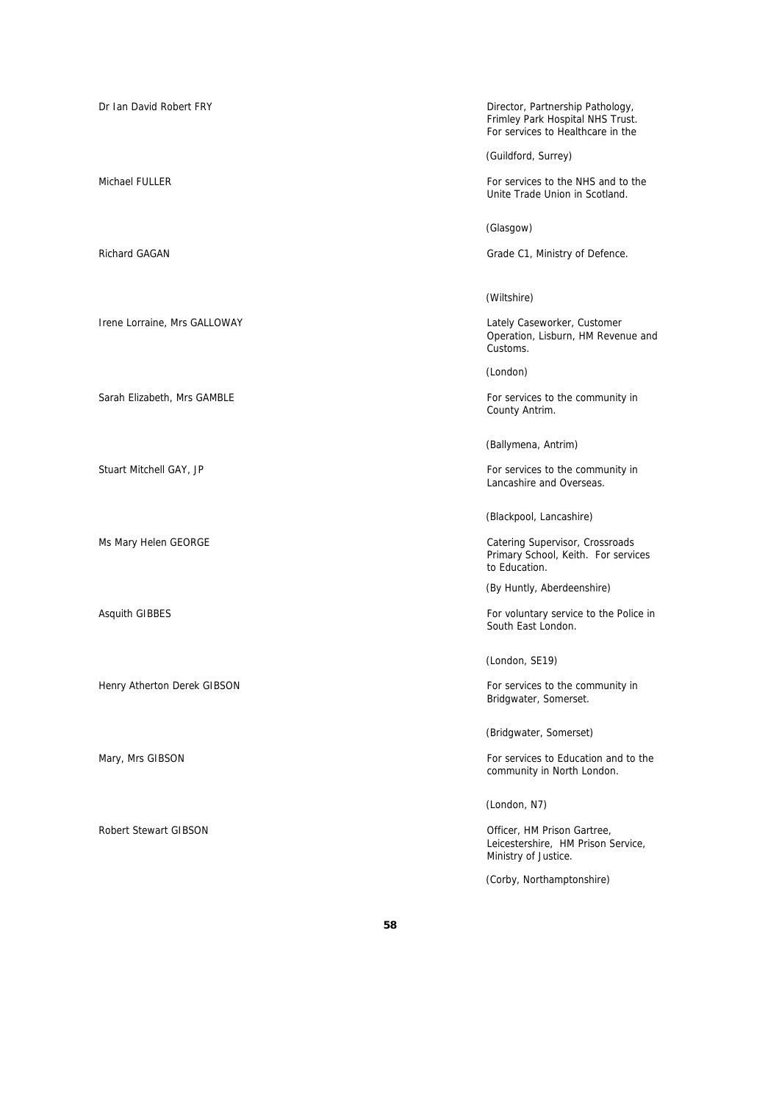Irene Lorraine, Mrs GALLOWAY **Lately Caseworker, Customer** Lately Caseworker, Customer

Henry Atherton Derek GIBSON For services to the community in

Robert Stewart GIBSON Officer, HM Prison Gartree,

Dr Ian David Robert FRY **Director**, Partnership Pathology, Frimley Park Hospital NHS Trust. For services to Healthcare in the

(Guildford, Surrey)

Michael FULLER FOR SERVICES TO THE SAME STATE STATES TO SERVICES TO THE SAME STATES OF SERVICES TO THE SAME STATES AND THE SAME STATES OF SERVICES TO THE SAME STATES OF SERVICES TO THE SAME STATES OF SERVICES TO THE SAME S Unite Trade Union in Scotland.

(Glasgow)

Richard GAGAN GAGAN GRAGAN GRADE CONSULTED A CHARGE CONSUMING CONSUMING CONSUMING CONSUMING CONSUMING CONSUMING CONSUMING CONSUMING CONSUMING CONSUMING CONSUMING CONSUMING CONSUMING CONSUMING CONSUMING CONSUMING CONSUMING

### (Wiltshire)

Operation, Lisburn, HM Revenue and Customs.

(London)

Sarah Elizabeth, Mrs GAMBLE For services to the community in County Antrim.

(Ballymena, Antrim)

Stuart Mitchell GAY, JP **For services** to the community in Lancashire and Overseas.

(Blackpool, Lancashire)

Ms Mary Helen GEORGE **Catering Supervisor, Crossroads** Catering Supervisor, Crossroads Primary School, Keith. For services to Education.

(By Huntly, Aberdeenshire)

Asquith GIBBES For voluntary service to the Police in South East London.

(London, SE19)

Bridgwater, Somerset.

(Bridgwater, Somerset)

Mary, Mrs GIBSON For services to Education and to the community in North London.

(London, N7)

Leicestershire, HM Prison Service, Ministry of Justice.

(Corby, Northamptonshire)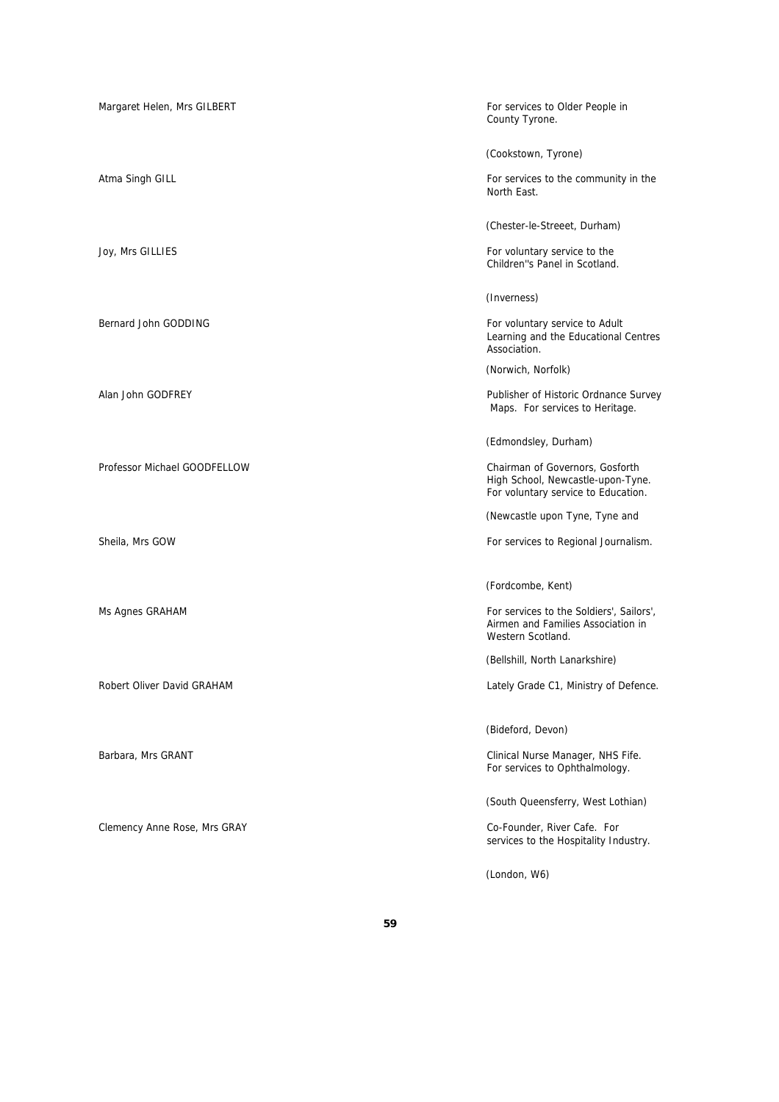| Margaret Helen, Mrs GILBERT  | For services to Older People in<br>County Tyrone.                                                           |
|------------------------------|-------------------------------------------------------------------------------------------------------------|
|                              | (Cookstown, Tyrone)                                                                                         |
| Atma Singh GILL              | For services to the community in the<br>North East.                                                         |
|                              | (Chester-le-Streeet, Durham)                                                                                |
| Joy, Mrs GILLIES             | For voluntary service to the<br>Children"s Panel in Scotland.                                               |
|                              | (Inverness)                                                                                                 |
| Bernard John GODDING         | For voluntary service to Adult<br>Learning and the Educational Centres<br>Association.                      |
|                              | (Norwich, Norfolk)                                                                                          |
| Alan John GODFREY            | Publisher of Historic Ordnance Survey<br>Maps. For services to Heritage.                                    |
|                              | (Edmondsley, Durham)                                                                                        |
| Professor Michael GOODFELLOW | Chairman of Governors, Gosforth<br>High School, Newcastle-upon-Tyne.<br>For voluntary service to Education. |
|                              | (Newcastle upon Tyne, Tyne and                                                                              |
| Sheila, Mrs GOW              | For services to Regional Journalism.                                                                        |
|                              | (Fordcombe, Kent)                                                                                           |
| Ms Agnes GRAHAM              | For services to the Soldiers', Sailors',<br>Airmen and Families Association in<br>Western Scotland.         |
|                              | (Bellshill, North Lanarkshire)                                                                              |
| Robert Oliver David GRAHAM   | Lately Grade C1, Ministry of Defence.                                                                       |
|                              | (Bideford, Devon)                                                                                           |
| Barbara, Mrs GRANT           | Clinical Nurse Manager, NHS Fife.<br>For services to Ophthalmology.                                         |
|                              | (South Queensferry, West Lothian)                                                                           |
| Clemency Anne Rose, Mrs GRAY | Co-Founder, River Cafe. For<br>services to the Hospitality Industry.                                        |
|                              | (London, W6)                                                                                                |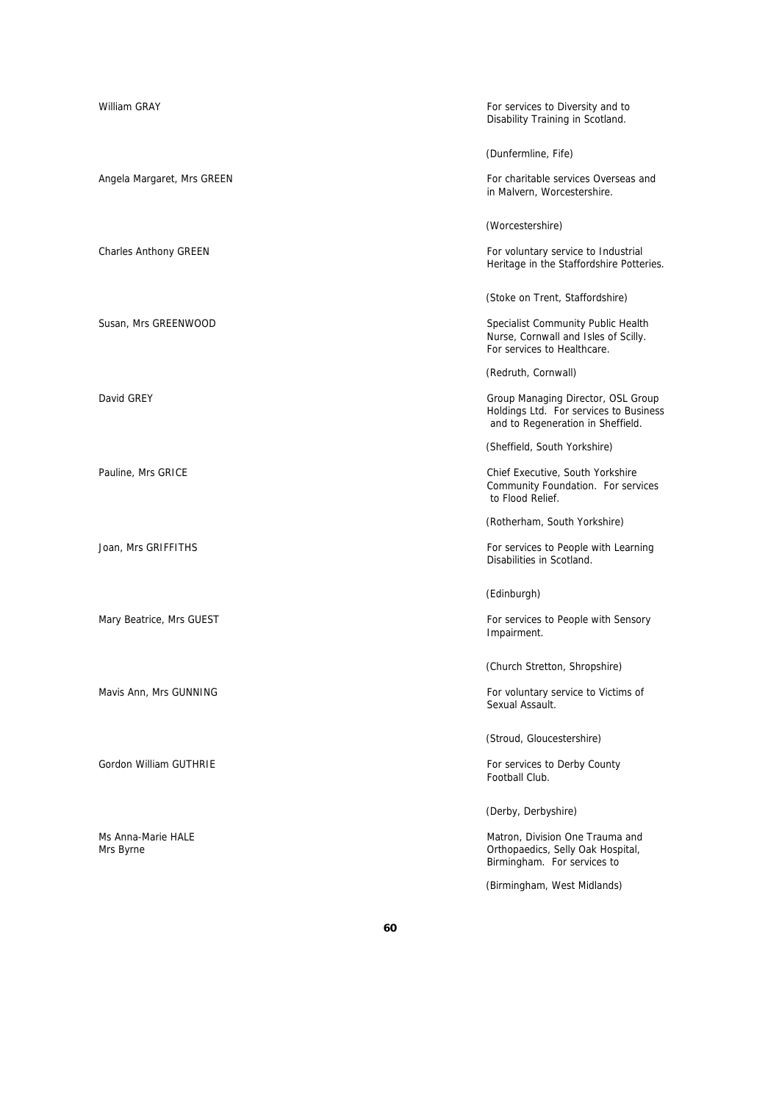| William GRAY                    | For services to Diversity and to<br>Disability Training in Scotland.                                              |
|---------------------------------|-------------------------------------------------------------------------------------------------------------------|
|                                 | (Dunfermline, Fife)                                                                                               |
| Angela Margaret, Mrs GREEN      | For charitable services Overseas and<br>in Malvern, Worcestershire.                                               |
|                                 | (Worcestershire)                                                                                                  |
| <b>Charles Anthony GREEN</b>    | For voluntary service to Industrial<br>Heritage in the Staffordshire Potteries.                                   |
|                                 | (Stoke on Trent, Staffordshire)                                                                                   |
| Susan, Mrs GREENWOOD            | Specialist Community Public Health<br>Nurse, Cornwall and Isles of Scilly.<br>For services to Healthcare.         |
|                                 | (Redruth, Cornwall)                                                                                               |
| David GREY                      | Group Managing Director, OSL Group<br>Holdings Ltd. For services to Business<br>and to Regeneration in Sheffield. |
|                                 | (Sheffield, South Yorkshire)                                                                                      |
| Pauline, Mrs GRICE              | Chief Executive, South Yorkshire<br>Community Foundation. For services<br>to Flood Relief.                        |
|                                 | (Rotherham, South Yorkshire)                                                                                      |
| Joan, Mrs GRIFFITHS             | For services to People with Learning<br>Disabilities in Scotland.                                                 |
|                                 | (Edinburgh)                                                                                                       |
| Mary Beatrice, Mrs GUEST        | For services to People with Sensory<br>Impairment.                                                                |
|                                 | (Church Stretton, Shropshire)                                                                                     |
| Mavis Ann, Mrs GUNNING          | For voluntary service to Victims of<br>Sexual Assault.                                                            |
|                                 | (Stroud, Gloucestershire)                                                                                         |
| Gordon William GUTHRIE          | For services to Derby County<br>Football Club.                                                                    |
|                                 | (Derby, Derbyshire)                                                                                               |
| Ms Anna-Marie HALE<br>Mrs Byrne | Matron, Division One Trauma and<br>Orthopaedics, Selly Oak Hospital,<br>Birmingham. For services to               |
|                                 | (Birmingham, West Midlands)                                                                                       |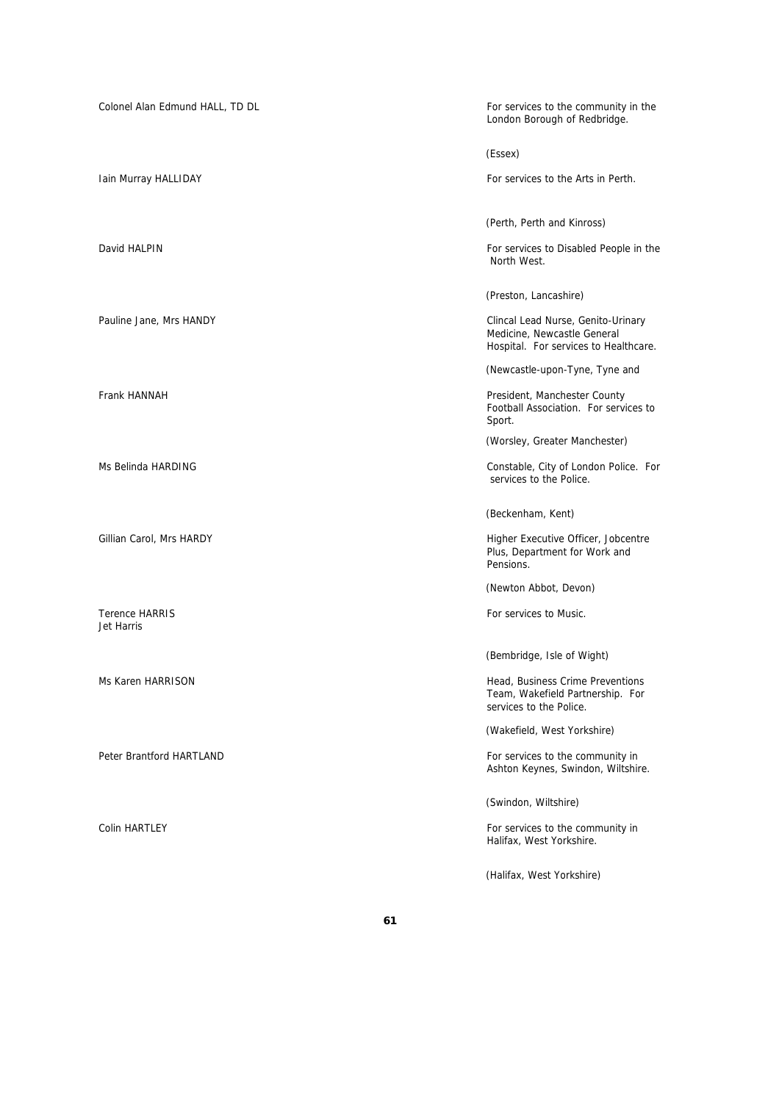| Colonel Alan Edmund HALL, TD DL     | For services to the community in the<br>London Borough of Redbridge.                                       |
|-------------------------------------|------------------------------------------------------------------------------------------------------------|
|                                     | (Essex)                                                                                                    |
| Iain Murray HALLIDAY                | For services to the Arts in Perth.                                                                         |
|                                     | (Perth, Perth and Kinross)                                                                                 |
| David HALPIN                        | For services to Disabled People in the<br>North West.                                                      |
|                                     | (Preston, Lancashire)                                                                                      |
| Pauline Jane, Mrs HANDY             | Clincal Lead Nurse, Genito-Urinary<br>Medicine, Newcastle General<br>Hospital. For services to Healthcare. |
|                                     | (Newcastle-upon-Tyne, Tyne and                                                                             |
| Frank HANNAH                        | President, Manchester County<br>Football Association. For services to<br>Sport.                            |
|                                     | (Worsley, Greater Manchester)                                                                              |
| Ms Belinda HARDING                  | Constable, City of London Police. For<br>services to the Police.                                           |
|                                     | (Beckenham, Kent)                                                                                          |
| Gillian Carol, Mrs HARDY            | Higher Executive Officer, Jobcentre<br>Plus, Department for Work and<br>Pensions.                          |
|                                     | (Newton Abbot, Devon)                                                                                      |
| <b>Terence HARRIS</b><br>Jet Harris | For services to Music.                                                                                     |
|                                     | (Bembridge, Isle of Wight)                                                                                 |
| Ms Karen HARRISON                   | Head, Business Crime Preventions<br>Team, Wakefield Partnership. For<br>services to the Police.            |
|                                     | (Wakefield, West Yorkshire)                                                                                |
| Peter Brantford HARTLAND            | For services to the community in<br>Ashton Keynes, Swindon, Wiltshire.                                     |
|                                     | (Swindon, Wiltshire)                                                                                       |
| Colin HARTLEY                       | For services to the community in<br>Halifax, West Yorkshire.                                               |
|                                     | (Halifax, West Yorkshire)                                                                                  |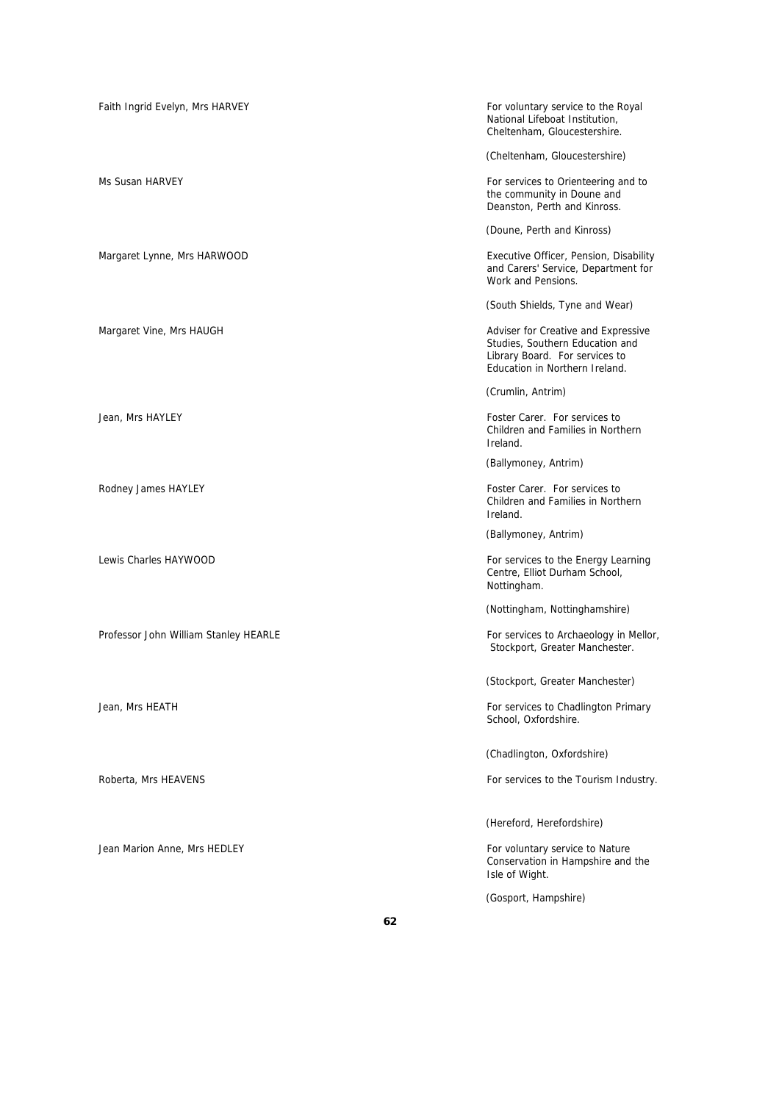| Faith Ingrid Evelyn, Mrs HARVEY       | For voluntary service to the Royal<br>National Lifeboat Institution,<br>Cheltenham, Gloucestershire.                                       |
|---------------------------------------|--------------------------------------------------------------------------------------------------------------------------------------------|
|                                       | (Cheltenham, Gloucestershire)                                                                                                              |
| Ms Susan HARVEY                       | For services to Orienteering and to<br>the community in Doune and<br>Deanston, Perth and Kinross.                                          |
|                                       | (Doune, Perth and Kinross)                                                                                                                 |
| Margaret Lynne, Mrs HARWOOD           | Executive Officer, Pension, Disability<br>and Carers' Service, Department for<br>Work and Pensions.                                        |
|                                       | (South Shields, Tyne and Wear)                                                                                                             |
| Margaret Vine, Mrs HAUGH              | Adviser for Creative and Expressive<br>Studies, Southern Education and<br>Library Board. For services to<br>Education in Northern Ireland. |
|                                       | (Crumlin, Antrim)                                                                                                                          |
| Jean, Mrs HAYLEY                      | Foster Carer. For services to<br>Children and Families in Northern<br>Ireland.                                                             |
|                                       | (Ballymoney, Antrim)                                                                                                                       |
| Rodney James HAYLEY                   | Foster Carer. For services to<br>Children and Families in Northern<br>Ireland.                                                             |
|                                       | (Ballymoney, Antrim)                                                                                                                       |
| Lewis Charles HAYWOOD                 | For services to the Energy Learning<br>Centre, Elliot Durham School,<br>Nottingham.                                                        |
|                                       | (Nottingham, Nottinghamshire)                                                                                                              |
| Professor John William Stanley HEARLE | For services to Archaeology in Mellor,<br>Stockport, Greater Manchester.                                                                   |
|                                       | (Stockport, Greater Manchester)                                                                                                            |
| Jean, Mrs HEATH                       | For services to Chadlington Primary<br>School, Oxfordshire.                                                                                |
|                                       | (Chadlington, Oxfordshire)                                                                                                                 |
| Roberta, Mrs HEAVENS                  | For services to the Tourism Industry.                                                                                                      |
|                                       | (Hereford, Herefordshire)                                                                                                                  |
| Jean Marion Anne, Mrs HEDLEY          | For voluntary service to Nature<br>Conservation in Hampshire and the<br>Isle of Wight.                                                     |
|                                       | (Gosport, Hampshire)                                                                                                                       |

**62**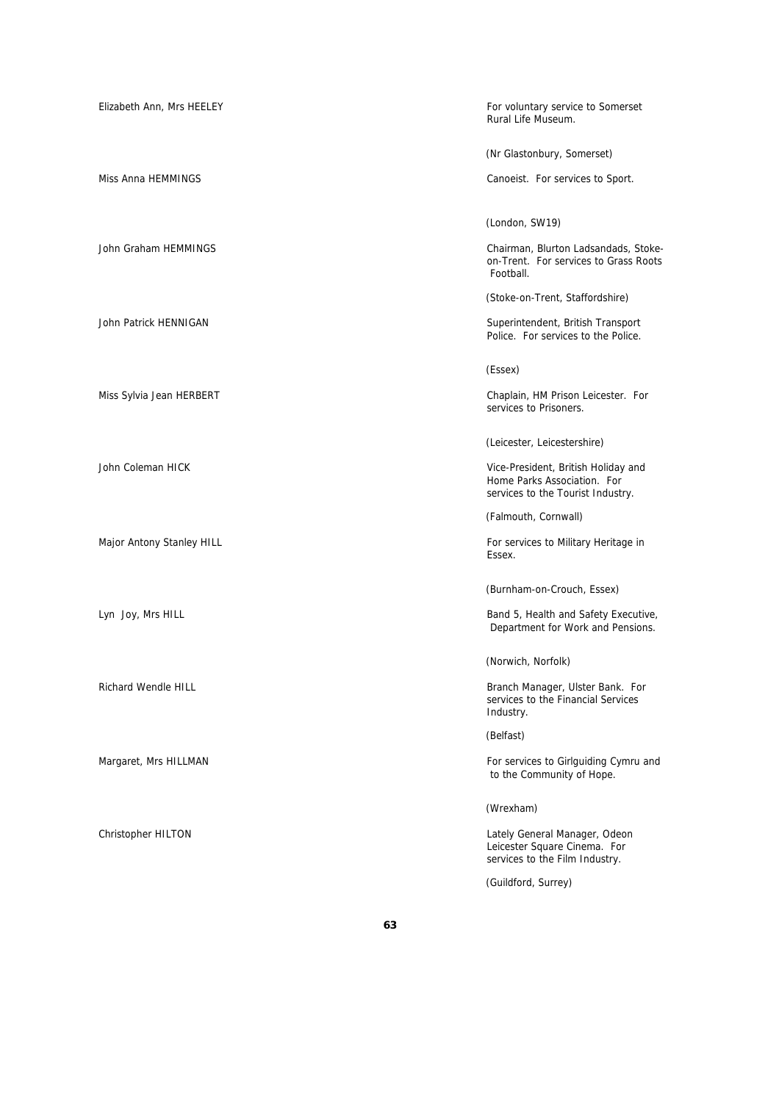| Elizabeth Ann, Mrs HEELEY | For voluntary service to Somerset<br>Rural Life Museum.                                                 |
|---------------------------|---------------------------------------------------------------------------------------------------------|
|                           | (Nr Glastonbury, Somerset)                                                                              |
| Miss Anna HEMMINGS        | Canoeist. For services to Sport.                                                                        |
|                           | (London, SW19)                                                                                          |
| John Graham HEMMINGS      | Chairman, Blurton Ladsandads, Stoke-<br>on-Trent. For services to Grass Roots<br>Football.              |
|                           | (Stoke-on-Trent, Staffordshire)                                                                         |
| John Patrick HENNIGAN     | Superintendent, British Transport<br>Police. For services to the Police.                                |
|                           | (Essex)                                                                                                 |
| Miss Sylvia Jean HERBERT  | Chaplain, HM Prison Leicester. For<br>services to Prisoners.                                            |
|                           | (Leicester, Leicestershire)                                                                             |
| John Coleman HICK         | Vice-President, British Holiday and<br>Home Parks Association. For<br>services to the Tourist Industry. |
|                           | (Falmouth, Cornwall)                                                                                    |
| Major Antony Stanley HILL | For services to Military Heritage in<br>Essex.                                                          |
|                           | (Burnham-on-Crouch, Essex)                                                                              |
| Lyn Joy, Mrs HILL         | Band 5, Health and Safety Executive,<br>Department for Work and Pensions.                               |
|                           | (Norwich, Norfolk)                                                                                      |
| Richard Wendle HILL       | Branch Manager, Ulster Bank. For<br>services to the Financial Services<br>Industry.                     |
|                           | (Belfast)                                                                                               |
| Margaret, Mrs HILLMAN     | For services to Girlguiding Cymru and<br>to the Community of Hope.                                      |
|                           | (Wrexham)                                                                                               |
| Christopher HILTON        | Lately General Manager, Odeon<br>Leicester Square Cinema. For<br>services to the Film Industry.         |
|                           | (Guildford, Surrey)                                                                                     |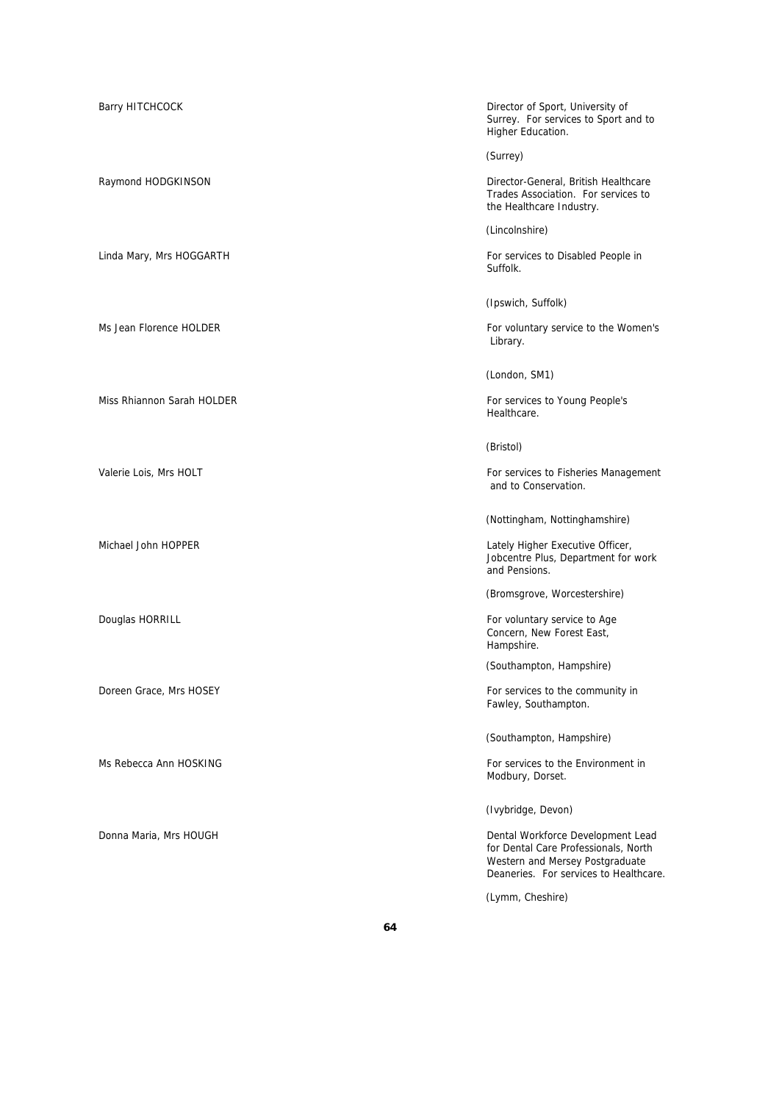Barry HITCHCOCK **Director of Sport, University of Sport**, University of Surrey. For services to Sport and to Higher Education.

(Surrey)

Raymond HODGKINSON **Director-General, British Healthcare** Trades Association. For services to the Healthcare Industry.

(Lincolnshire)

Linda Mary, Mrs HOGGARTH **For services to Disabled People in** Suffolk.

(Ipswich, Suffolk)

Ms Jean Florence HOLDER **For voluntary service to the Women's** For voluntary service to the Women's Library.

(London, SM1)

Miss Rhiannon Sarah HOLDER For services to Young People's Healthcare.

### (Bristol)

Valerie Lois, Mrs HOLT **For services to Fisheries Management** For services to Fisheries Management and to Conservation.

(Nottingham, Nottinghamshire)

Michael John HOPPER **Lately Higher Executive Officer**, Jobcentre Plus, Department for work and Pensions.

(Bromsgrove, Worcestershire)

Douglas HORRILL **For voluntary service to Age For voluntary service to Age** Concern, New Forest East, Hampshire.

(Southampton, Hampshire)

Doreen Grace, Mrs HOSEY For services to the community in Fawley, Southampton.

(Southampton, Hampshire)

Ms Rebecca Ann HOSKING For services to the Environment in Modbury, Dorset.

(Ivybridge, Devon)

Donna Maria, Mrs HOUGH Dental Workforce Development Lead for Dental Care Professionals, North Western and Mersey Postgraduate Deaneries. For services to Healthcare.

(Lymm, Cheshire)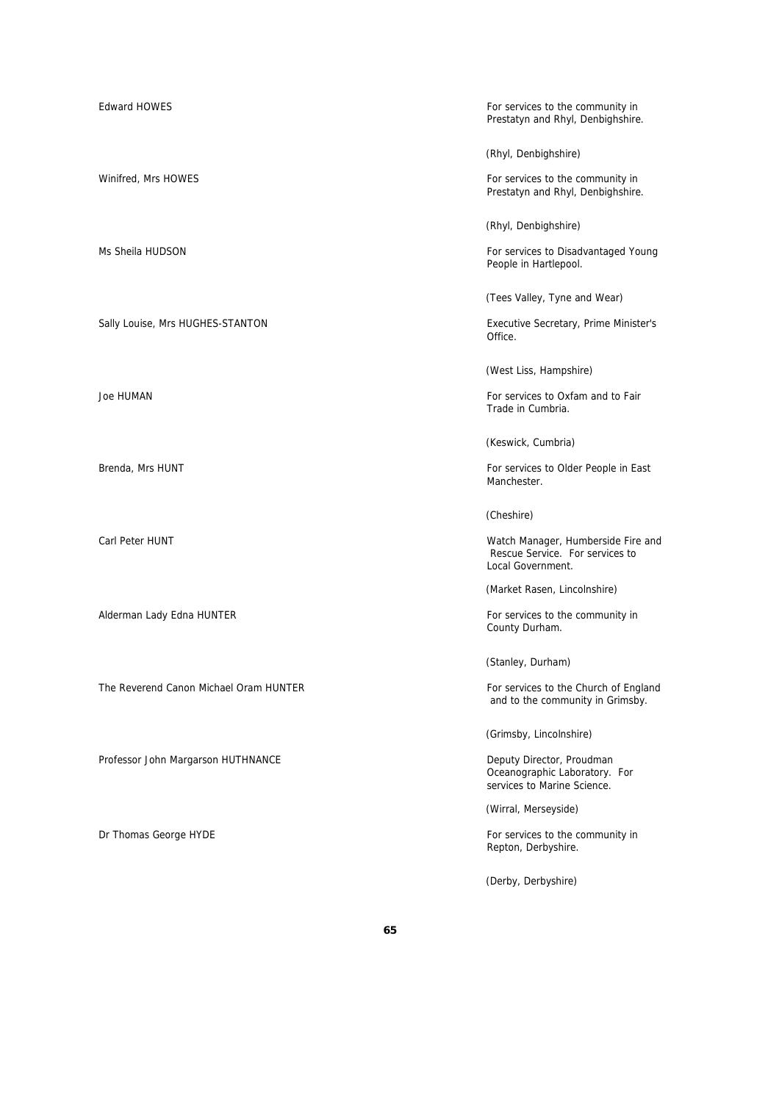The Reverend Canon Michael Oram HUNTER For services to the Church of England

Professor John Margarson HUTHNANCE **Deputy Director, Proudman** 

Edward HOWES For services to the community in Prestatyn and Rhyl, Denbighshire.

(Rhyl, Denbighshire)

Winifred, Mrs HOWES **For services to the community in** Prestatyn and Rhyl, Denbighshire.

(Rhyl, Denbighshire)

Ms Sheila HUDSON **For services to Disadvantaged Young** People in Hartlepool.

(Tees Valley, Tyne and Wear)

Sally Louise, Mrs HUGHES-STANTON Executive Secretary, Prime Minister's Office.

(West Liss, Hampshire)

Joe HUMAN **For services** to Oxfam and to Fair Trade in Cumbria.

(Keswick, Cumbria)

Brenda, Mrs HUNT For services to Older People in East Manchester.

(Cheshire)

Carl Peter HUNT Watch Manager, Humberside Fire and Rescue Service. For services to Local Government.

(Market Rasen, Lincolnshire)

Alderman Lady Edna HUNTER **For services** to the community in County Durham.

(Stanley, Durham)

and to the community in Grimsby.

(Grimsby, Lincolnshire)

Oceanographic Laboratory. For services to Marine Science.

(Wirral, Merseyside)

Dr Thomas George HYDE For services to the community in Repton, Derbyshire.

(Derby, Derbyshire)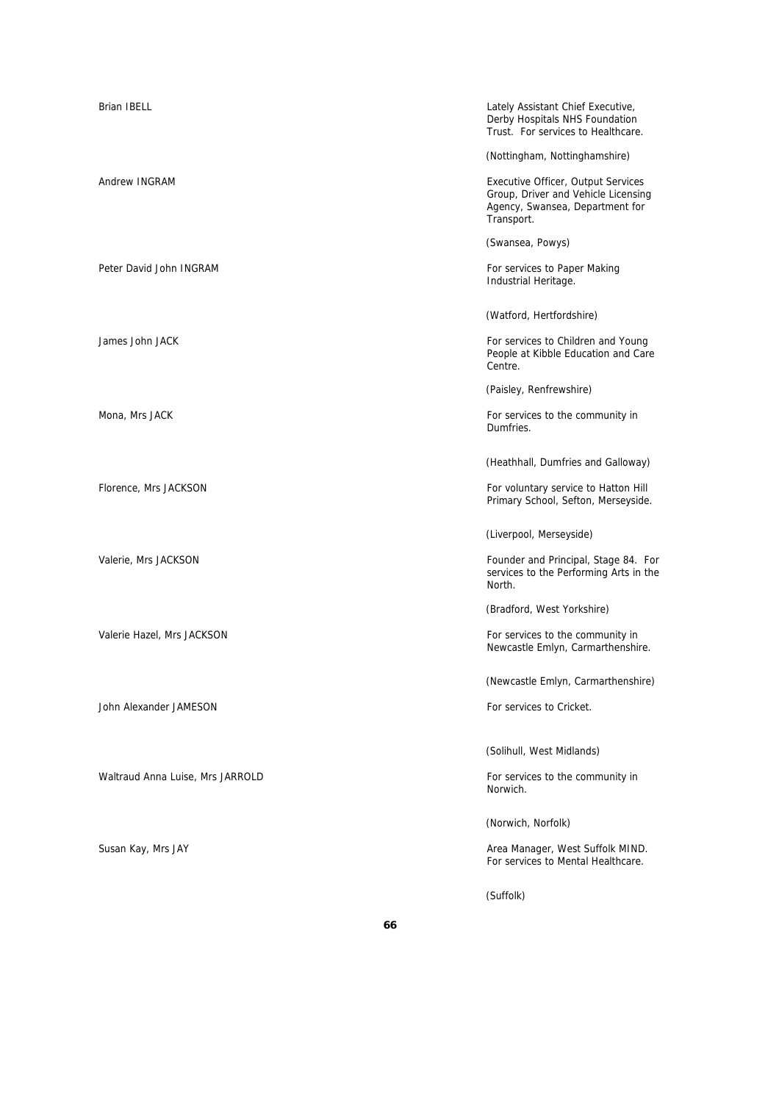| <b>Brian IBELL</b>               | Lately Assistant Chief Executive,<br>Derby Hospitals NHS Foundation<br>Trust. For services to Healthcare.                  |
|----------------------------------|----------------------------------------------------------------------------------------------------------------------------|
|                                  | (Nottingham, Nottinghamshire)                                                                                              |
| Andrew INGRAM                    | Executive Officer, Output Services<br>Group, Driver and Vehicle Licensing<br>Agency, Swansea, Department for<br>Transport. |
|                                  | (Swansea, Powys)                                                                                                           |
| Peter David John INGRAM          | For services to Paper Making<br>Industrial Heritage.                                                                       |
|                                  | (Watford, Hertfordshire)                                                                                                   |
| James John JACK                  | For services to Children and Young<br>People at Kibble Education and Care<br>Centre.                                       |
|                                  | (Paisley, Renfrewshire)                                                                                                    |
| Mona, Mrs JACK                   | For services to the community in<br>Dumfries.                                                                              |
|                                  | (Heathhall, Dumfries and Galloway)                                                                                         |
| Florence, Mrs JACKSON            | For voluntary service to Hatton Hill<br>Primary School, Sefton, Merseyside.                                                |
|                                  | (Liverpool, Merseyside)                                                                                                    |
| Valerie, Mrs JACKSON             | Founder and Principal, Stage 84. For<br>services to the Performing Arts in the<br>North.                                   |
|                                  | (Bradford, West Yorkshire)                                                                                                 |
| Valerie Hazel, Mrs JACKSON       | For services to the community in<br>Newcastle Emlyn, Carmarthenshire.                                                      |
|                                  | (Newcastle Emlyn, Carmarthenshire)                                                                                         |
| John Alexander JAMESON           | For services to Cricket.                                                                                                   |
|                                  | (Solihull, West Midlands)                                                                                                  |
| Waltraud Anna Luise, Mrs JARROLD | For services to the community in<br>Norwich.                                                                               |
|                                  | (Norwich, Norfolk)                                                                                                         |
| Susan Kay, Mrs JAY               | Area Manager, West Suffolk MIND.<br>For services to Mental Healthcare.                                                     |
|                                  | (Suffolk)                                                                                                                  |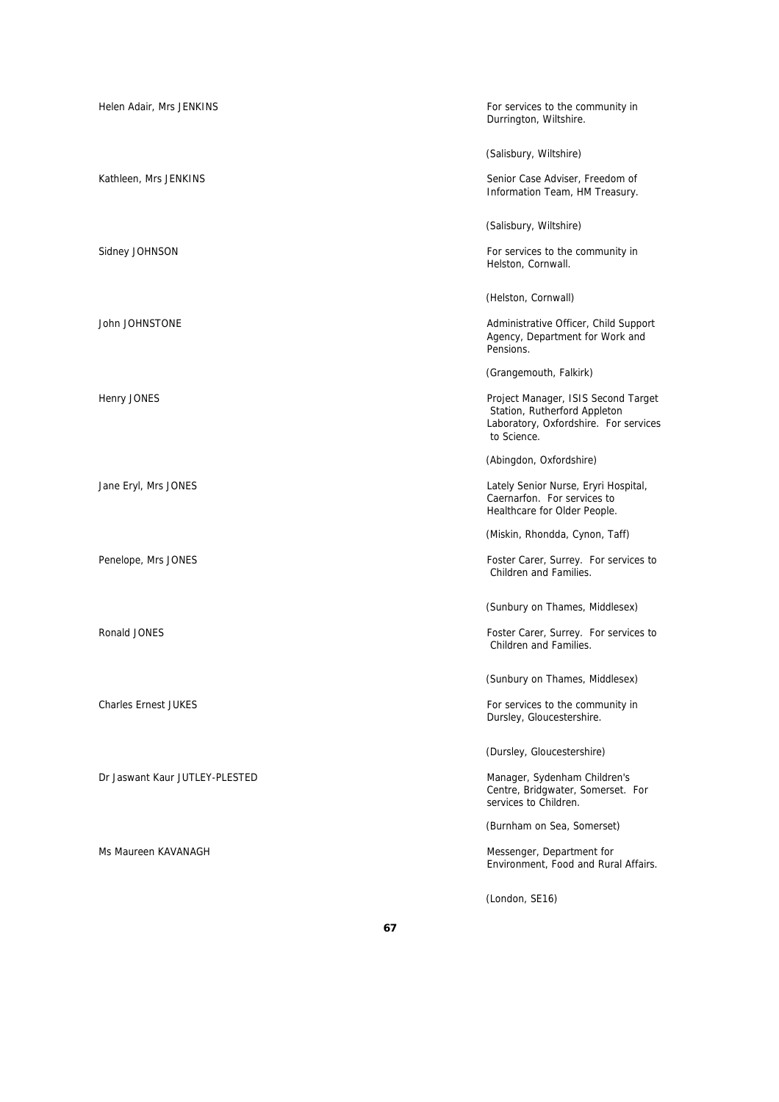| Helen Adair, Mrs JENKINS       | For services to the community in<br>Durrington, Wiltshire.                                                                  |
|--------------------------------|-----------------------------------------------------------------------------------------------------------------------------|
|                                | (Salisbury, Wiltshire)                                                                                                      |
| Kathleen, Mrs JENKINS          | Senior Case Adviser, Freedom of<br>Information Team, HM Treasury.                                                           |
|                                | (Salisbury, Wiltshire)                                                                                                      |
| Sidney JOHNSON                 | For services to the community in<br>Helston, Cornwall.                                                                      |
|                                | (Helston, Cornwall)                                                                                                         |
| John JOHNSTONE                 | Administrative Officer, Child Support<br>Agency, Department for Work and<br>Pensions.                                       |
|                                | (Grangemouth, Falkirk)                                                                                                      |
| Henry JONES                    | Project Manager, ISIS Second Target<br>Station, Rutherford Appleton<br>Laboratory, Oxfordshire. For services<br>to Science. |
|                                | (Abingdon, Oxfordshire)                                                                                                     |
| Jane Eryl, Mrs JONES           | Lately Senior Nurse, Eryri Hospital,<br>Caernarfon. For services to<br>Healthcare for Older People.                         |
|                                | (Miskin, Rhondda, Cynon, Taff)                                                                                              |
| Penelope, Mrs JONES            | Foster Carer, Surrey. For services to<br>Children and Families.                                                             |
|                                | (Sunbury on Thames, Middlesex)                                                                                              |
| Ronald JONES                   | Foster Carer, Surrey. For services to<br>Children and Families.                                                             |
|                                | (Sunbury on Thames, Middlesex)                                                                                              |
| <b>Charles Ernest JUKES</b>    | For services to the community in<br>Dursley, Gloucestershire.                                                               |
|                                | (Dursley, Gloucestershire)                                                                                                  |
| Dr Jaswant Kaur JUTLEY-PLESTED | Manager, Sydenham Children's<br>Centre, Bridgwater, Somerset. For<br>services to Children.                                  |
|                                | (Burnham on Sea, Somerset)                                                                                                  |
| Ms Maureen KAVANAGH            | Messenger, Department for<br>Environment, Food and Rural Affairs.                                                           |
|                                | (London, SE16)                                                                                                              |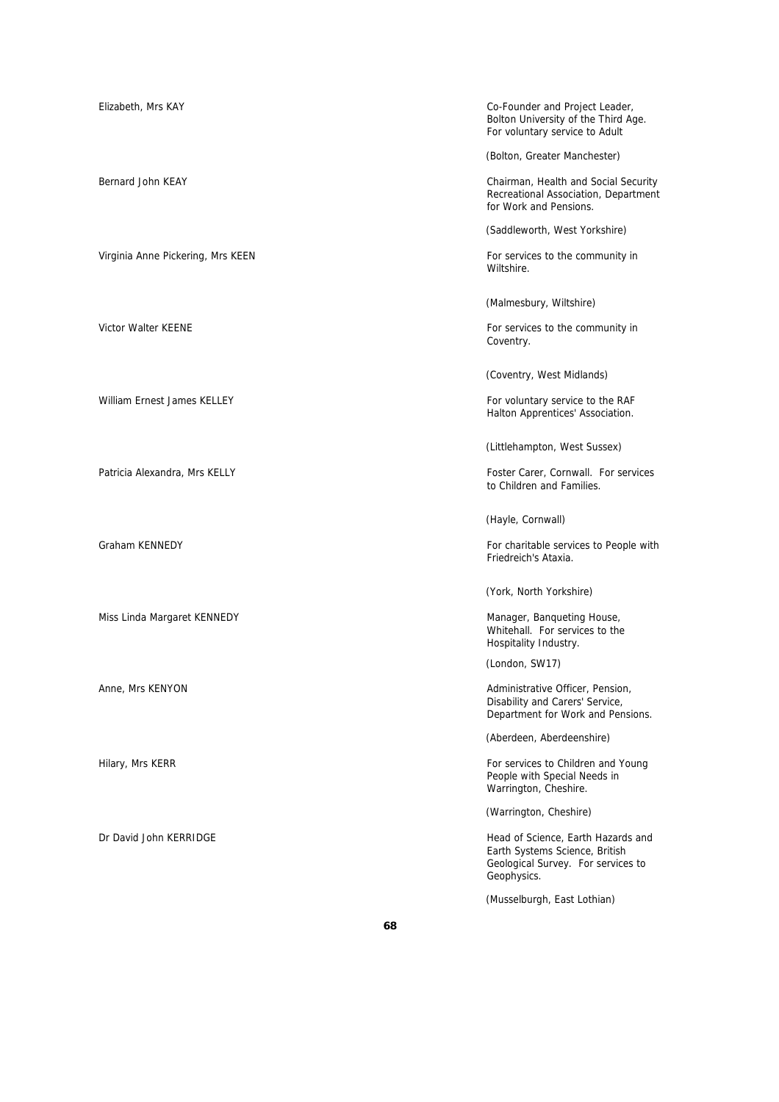| Elizabeth, Mrs KAY                | Co-Founder and Project Leader,<br>Bolton University of the Third Age.<br>For voluntary service to Adult                   |
|-----------------------------------|---------------------------------------------------------------------------------------------------------------------------|
|                                   | (Bolton, Greater Manchester)                                                                                              |
| Bernard John KEAY                 | Chairman, Health and Social Security<br>Recreational Association, Department<br>for Work and Pensions.                    |
|                                   | (Saddleworth, West Yorkshire)                                                                                             |
| Virginia Anne Pickering, Mrs KEEN | For services to the community in<br>Wiltshire.                                                                            |
|                                   | (Malmesbury, Wiltshire)                                                                                                   |
| <b>Victor Walter KEENE</b>        | For services to the community in<br>Coventry.                                                                             |
|                                   | (Coventry, West Midlands)                                                                                                 |
| William Ernest James KELLEY       | For voluntary service to the RAF<br>Halton Apprentices' Association.                                                      |
|                                   | (Littlehampton, West Sussex)                                                                                              |
| Patricia Alexandra, Mrs KELLY     | Foster Carer, Cornwall. For services<br>to Children and Families.                                                         |
|                                   | (Hayle, Cornwall)                                                                                                         |
| Graham KENNEDY                    | For charitable services to People with<br>Friedreich's Ataxia.                                                            |
|                                   | (York, North Yorkshire)                                                                                                   |
| Miss Linda Margaret KENNEDY       | Manager, Banqueting House,<br>Whitehall. For services to the                                                              |
|                                   | Hospitality Industry.                                                                                                     |
|                                   | (London, SW17)                                                                                                            |
| Anne, Mrs KENYON                  | Administrative Officer, Pension,<br>Disability and Carers' Service,<br>Department for Work and Pensions.                  |
|                                   | (Aberdeen, Aberdeenshire)                                                                                                 |
| Hilary, Mrs KERR                  | For services to Children and Young<br>People with Special Needs in<br>Warrington, Cheshire.                               |
|                                   | (Warrington, Cheshire)                                                                                                    |
| Dr David John KERRIDGE            | Head of Science, Earth Hazards and<br>Earth Systems Science, British<br>Geological Survey. For services to<br>Geophysics. |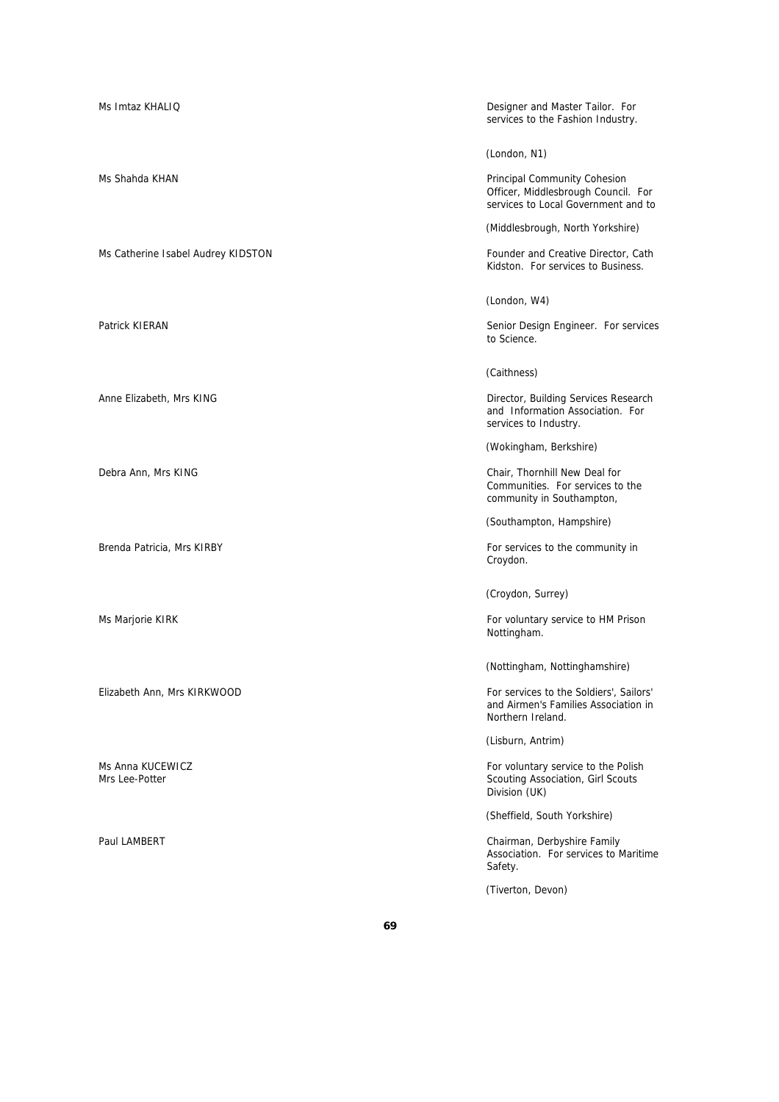| Ms Imtaz KHALIQ                    | Designer and Master Tailor. For<br>services to the Fashion Industry.                                       |
|------------------------------------|------------------------------------------------------------------------------------------------------------|
|                                    | (London, N1)                                                                                               |
| Ms Shahda KHAN                     | Principal Community Cohesion<br>Officer, Middlesbrough Council. For<br>services to Local Government and to |
|                                    | (Middlesbrough, North Yorkshire)                                                                           |
| Ms Catherine Isabel Audrey KIDSTON | Founder and Creative Director, Cath<br>Kidston. For services to Business.                                  |
|                                    | (London, W4)                                                                                               |
| Patrick KIERAN                     | Senior Design Engineer. For services<br>to Science.                                                        |
|                                    | (Caithness)                                                                                                |
| Anne Elizabeth, Mrs KING           | Director, Building Services Research<br>and Information Association. For<br>services to Industry.          |
|                                    | (Wokingham, Berkshire)                                                                                     |
| Debra Ann, Mrs KING                | Chair, Thornhill New Deal for<br>Communities. For services to the<br>community in Southampton,             |
|                                    | (Southampton, Hampshire)                                                                                   |
| Brenda Patricia, Mrs KIRBY         | For services to the community in<br>Croydon.                                                               |
|                                    | (Croydon, Surrey)                                                                                          |
| Ms Marjorie KIRK                   | For voluntary service to HM Prison<br>Nottingham.                                                          |
|                                    | (Nottingham, Nottinghamshire)                                                                              |
| Elizabeth Ann, Mrs KIRKWOOD        | For services to the Soldiers', Sailors'<br>and Airmen's Families Association in<br>Northern Ireland.       |
|                                    | (Lisburn, Antrim)                                                                                          |
| Ms Anna KUCEWICZ<br>Mrs Lee-Potter | For voluntary service to the Polish<br>Scouting Association, Girl Scouts<br>Division (UK)                  |
|                                    | (Sheffield, South Yorkshire)                                                                               |
| Paul LAMBERT                       | Chairman, Derbyshire Family<br>Association. For services to Maritime<br>Safety.                            |
|                                    | (Tiverton, Devon)                                                                                          |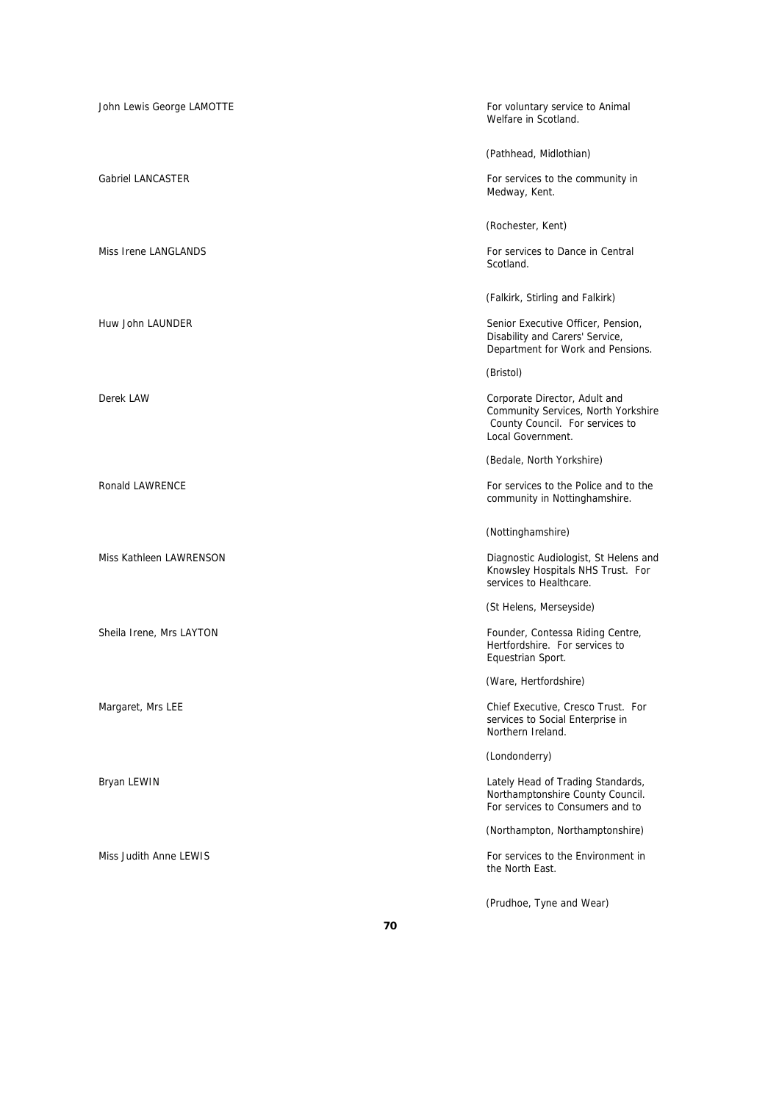| John Lewis George LAMOTTE | For voluntary service to Animal<br>Welfare in Scotland.                                                                      |
|---------------------------|------------------------------------------------------------------------------------------------------------------------------|
|                           | (Pathhead, Midlothian)                                                                                                       |
| <b>Gabriel LANCASTER</b>  | For services to the community in<br>Medway, Kent.                                                                            |
|                           | (Rochester, Kent)                                                                                                            |
| Miss Irene LANGLANDS      | For services to Dance in Central<br>Scotland.                                                                                |
|                           | (Falkirk, Stirling and Falkirk)                                                                                              |
| Huw John LAUNDER          | Senior Executive Officer, Pension,<br>Disability and Carers' Service,<br>Department for Work and Pensions.                   |
|                           | (Bristol)                                                                                                                    |
| Derek LAW                 | Corporate Director, Adult and<br>Community Services, North Yorkshire<br>County Council. For services to<br>Local Government. |
|                           | (Bedale, North Yorkshire)                                                                                                    |
| Ronald LAWRENCE           | For services to the Police and to the<br>community in Nottinghamshire.                                                       |
|                           | (Nottinghamshire)                                                                                                            |
| Miss Kathleen LAWRENSON   | Diagnostic Audiologist, St Helens and<br>Knowsley Hospitals NHS Trust. For<br>services to Healthcare.                        |
|                           | (St Helens, Merseyside)                                                                                                      |
| Sheila Irene, Mrs LAYTON  | Founder, Contessa Riding Centre,<br>Hertfordshire. For services to<br>Equestrian Sport.                                      |
|                           | (Ware, Hertfordshire)                                                                                                        |
| Margaret, Mrs LEE         | Chief Executive, Cresco Trust. For<br>services to Social Enterprise in<br>Northern Ireland.                                  |
|                           | (Londonderry)                                                                                                                |
| Bryan LEWIN               | Lately Head of Trading Standards,<br>Northamptonshire County Council.<br>For services to Consumers and to                    |
|                           | (Northampton, Northamptonshire)                                                                                              |
| Miss Judith Anne LEWIS    | For services to the Environment in<br>the North East.                                                                        |
|                           | (Prudhoe, Tyne and Wear)                                                                                                     |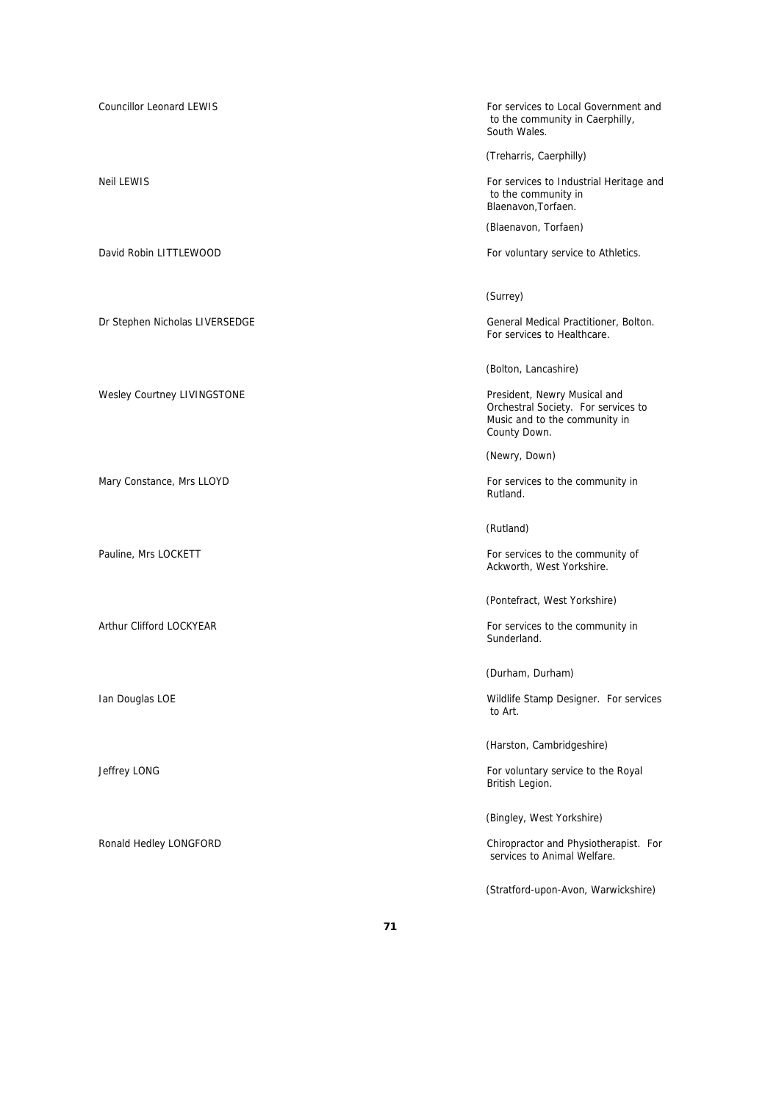Councillor Leonard LEWIS **For services to Local Government and** EWIS to the community in Caerphilly, South Wales. (Treharris, Caerphilly) Neil LEWIS **For services to Industrial Heritage and**  to the community in Blaenavon,Torfaen. (Blaenavon, Torfaen) David Robin LITTLEWOOD **For voluntary service to Athletics**. (Surrey) Dr Stephen Nicholas LIVERSEDGE General Medical Practitioner, Bolton. For services to Healthcare. (Bolton, Lancashire) Wesley Courtney LIVINGSTONE **President**, Newry Musical and Orchestral Society. For services to Music and to the community in County Down. (Newry, Down) Mary Constance, Mrs LLOYD **For services to the community in** For services to the community in Rutland. (Rutland) Pauline, Mrs LOCKETT **For services** to the community of Ackworth, West Yorkshire. (Pontefract, West Yorkshire) Arthur Clifford LOCKYEAR **For services to the community in** Sunderland. (Durham, Durham) Ian Douglas LOE **Internal and Contract Contract Contract Contract Contract Contract Contract Contract Contract Contract Contract Contract Contract Contract Contract Contract Contract Contract Contract Contract Contract Con**  to Art. (Harston, Cambridgeshire) Jeffrey LONG **For voluntary service to the Royal** British Legion. (Bingley, West Yorkshire) Ronald Hedley LONGFORD **Chiropractor and Physiotherapist.** For services to Animal Welfare. (Stratford-upon-Avon, Warwickshire)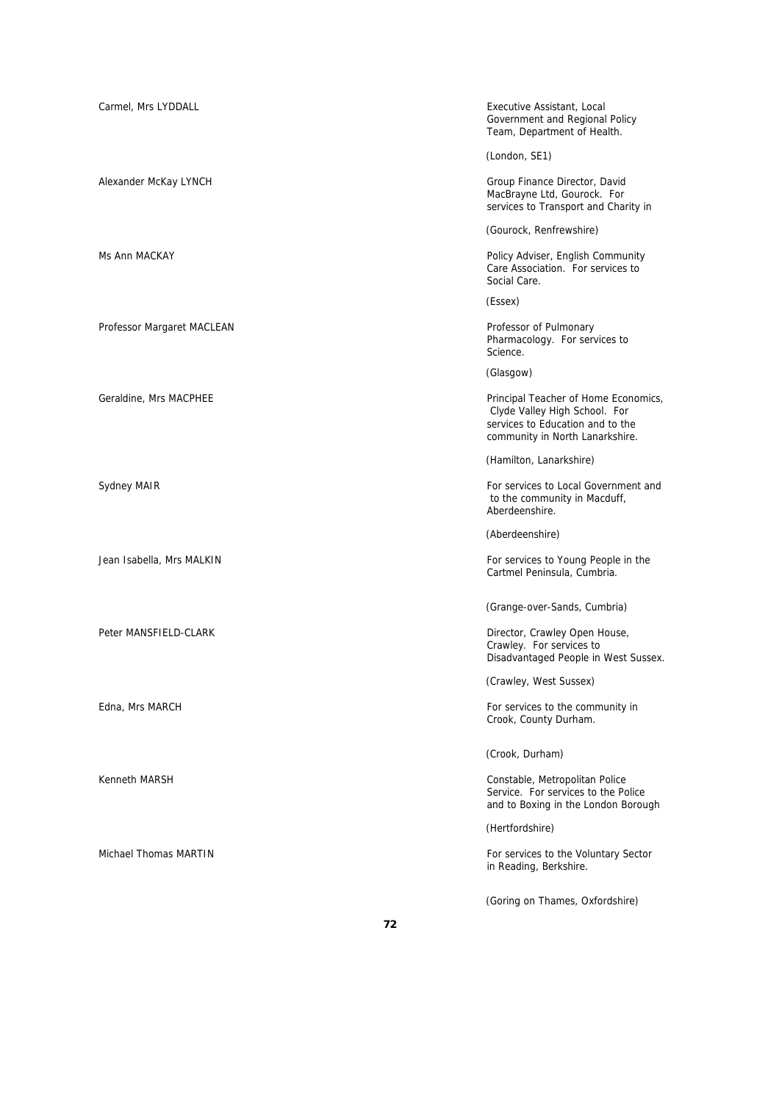| Carmel, Mrs LYDDALL        | Executive Assistant, Local<br>Government and Regional Policy<br>Team, Department of Health.                                                  |
|----------------------------|----------------------------------------------------------------------------------------------------------------------------------------------|
|                            | (London, SE1)                                                                                                                                |
| Alexander McKay LYNCH      | Group Finance Director, David<br>MacBrayne Ltd, Gourock. For<br>services to Transport and Charity in                                         |
|                            | (Gourock, Renfrewshire)                                                                                                                      |
| Ms Ann MACKAY              | Policy Adviser, English Community<br>Care Association. For services to<br>Social Care.                                                       |
|                            | (Essex)                                                                                                                                      |
| Professor Margaret MACLEAN | Professor of Pulmonary<br>Pharmacology. For services to<br>Science.                                                                          |
|                            | (Glasgow)                                                                                                                                    |
| Geraldine, Mrs MACPHEE     | Principal Teacher of Home Economics,<br>Clyde Valley High School. For<br>services to Education and to the<br>community in North Lanarkshire. |
|                            | (Hamilton, Lanarkshire)                                                                                                                      |
| Sydney MAIR                | For services to Local Government and<br>to the community in Macduff,<br>Aberdeenshire.                                                       |
|                            | (Aberdeenshire)                                                                                                                              |
| Jean Isabella, Mrs MALKIN  | For services to Young People in the<br>Cartmel Peninsula, Cumbria.                                                                           |
|                            | (Grange-over-Sands, Cumbria)                                                                                                                 |
| Peter MANSFIELD-CLARK      | Director, Crawley Open House,<br>Crawley. For services to<br>Disadvantaged People in West Sussex.                                            |
|                            | (Crawley, West Sussex)                                                                                                                       |
| Edna, Mrs MARCH            | For services to the community in<br>Crook, County Durham.                                                                                    |
|                            | (Crook, Durham)                                                                                                                              |
| Kenneth MARSH              | Constable, Metropolitan Police<br>Service. For services to the Police<br>and to Boxing in the London Borough                                 |
|                            | (Hertfordshire)                                                                                                                              |
| Michael Thomas MARTIN      | For services to the Voluntary Sector<br>in Reading, Berkshire.                                                                               |
|                            | (Goring on Thames, Oxfordshire)                                                                                                              |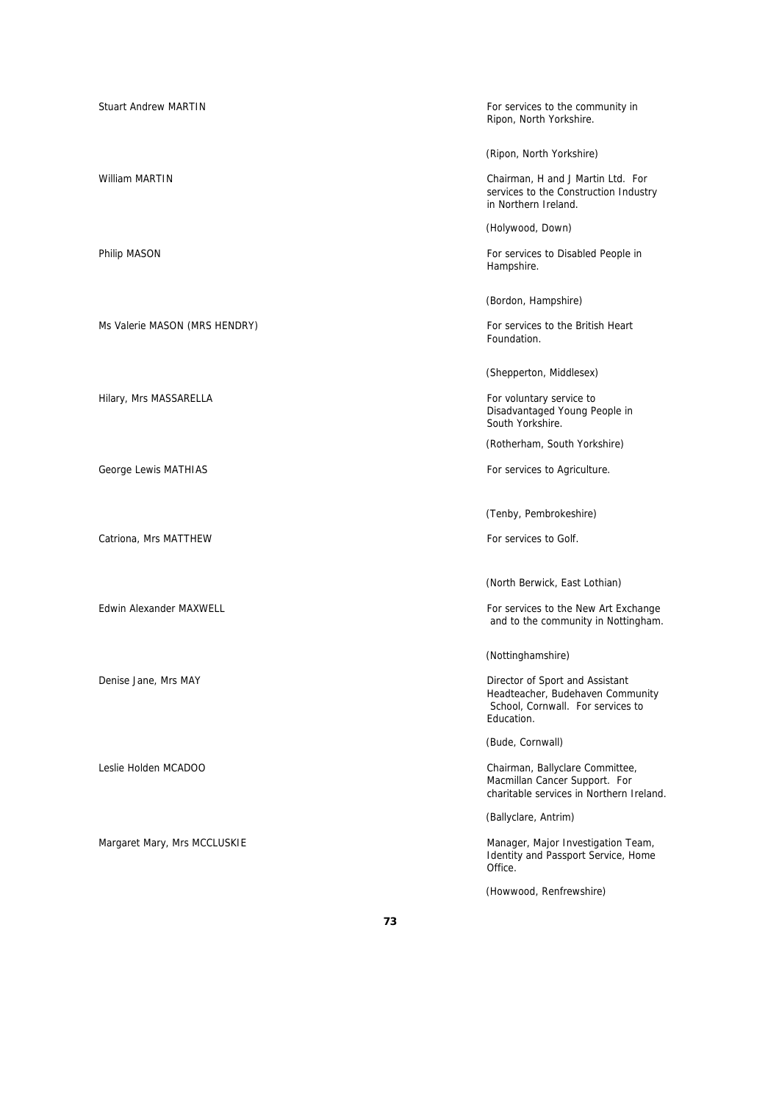| <b>Stuart Andrew MARTIN</b>   | For services to the community in<br>Ripon, North Yorkshire.                                                            |
|-------------------------------|------------------------------------------------------------------------------------------------------------------------|
|                               | (Ripon, North Yorkshire)                                                                                               |
| William MARTIN                | Chairman, H and J Martin Ltd. For<br>services to the Construction Industry<br>in Northern Ireland.                     |
|                               | (Holywood, Down)                                                                                                       |
| Philip MASON                  | For services to Disabled People in<br>Hampshire.                                                                       |
|                               | (Bordon, Hampshire)                                                                                                    |
| Ms Valerie MASON (MRS HENDRY) | For services to the British Heart<br>Foundation.                                                                       |
|                               | (Shepperton, Middlesex)                                                                                                |
| Hilary, Mrs MASSARELLA        | For voluntary service to<br>Disadvantaged Young People in<br>South Yorkshire.                                          |
|                               | (Rotherham, South Yorkshire)                                                                                           |
| George Lewis MATHIAS          | For services to Agriculture.                                                                                           |
|                               | (Tenby, Pembrokeshire)                                                                                                 |
| Catriona, Mrs MATTHEW         | For services to Golf.                                                                                                  |
|                               | (North Berwick, East Lothian)                                                                                          |
| Edwin Alexander MAXWELL       | For services to the New Art Exchange<br>and to the community in Nottingham.                                            |
|                               | (Nottinghamshire)                                                                                                      |
| Denise Jane, Mrs MAY          | Director of Sport and Assistant<br>Headteacher, Budehaven Community<br>School, Cornwall. For services to<br>Education. |
|                               | (Bude, Cornwall)                                                                                                       |
| Leslie Holden MCADOO          | Chairman, Ballyclare Committee,<br>Macmillan Cancer Support. For<br>charitable services in Northern Ireland.           |
|                               | (Ballyclare, Antrim)                                                                                                   |
| Margaret Mary, Mrs MCCLUSKIE  | Manager, Major Investigation Team,<br>Identity and Passport Service, Home<br>Office.                                   |
|                               |                                                                                                                        |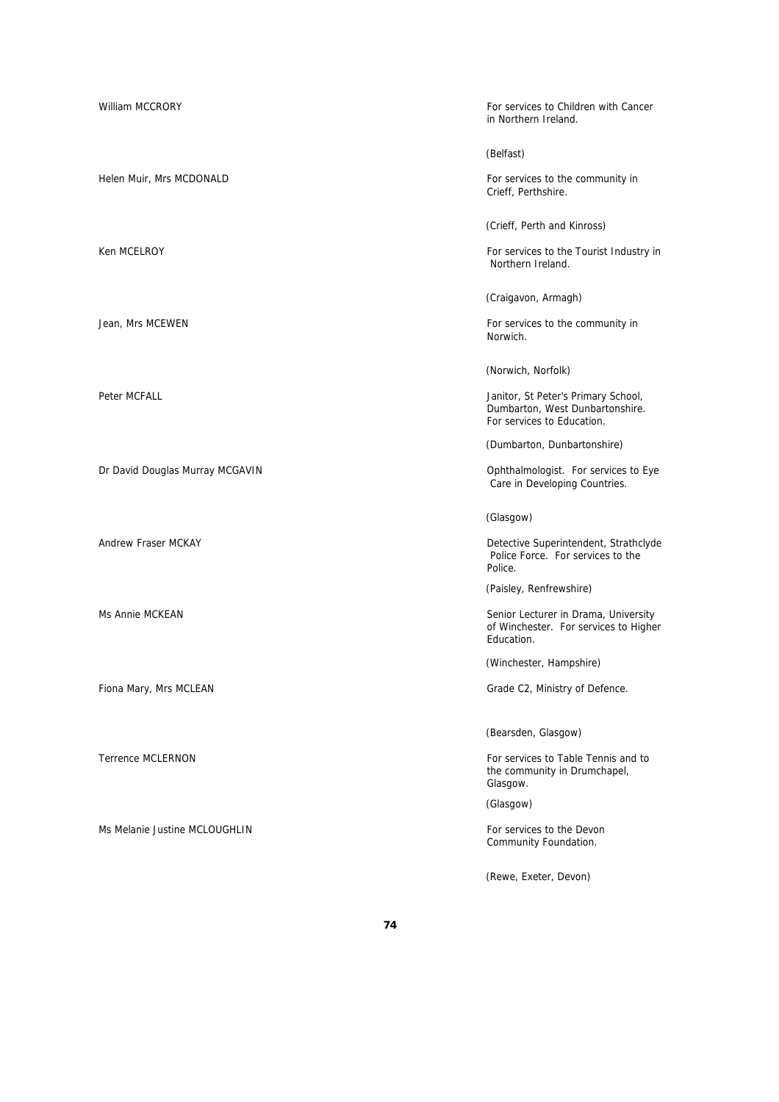| <b>William MCCRORY</b>          | For services to Children with Cancer<br>in Northern Ireland.                                         |
|---------------------------------|------------------------------------------------------------------------------------------------------|
|                                 | (Belfast)                                                                                            |
| Helen Muir, Mrs MCDONALD        | For services to the community in<br>Crieff, Perthshire.                                              |
|                                 | (Crieff, Perth and Kinross)                                                                          |
| Ken MCELROY                     | For services to the Tourist Industry in<br>Northern Ireland.                                         |
|                                 | (Craigavon, Armagh)                                                                                  |
| Jean, Mrs MCEWEN                | For services to the community in<br>Norwich.                                                         |
|                                 | (Norwich, Norfolk)                                                                                   |
| Peter MCFALL                    | Janitor, St Peter's Primary School,<br>Dumbarton, West Dunbartonshire.<br>For services to Education. |
|                                 | (Dumbarton, Dunbartonshire)                                                                          |
| Dr David Douglas Murray MCGAVIN | Ophthalmologist. For services to Eye<br>Care in Developing Countries.                                |
|                                 | (Glasgow)                                                                                            |
| Andrew Fraser MCKAY             | Detective Superintendent, Strathclyde<br>Police Force. For services to the<br>Police.                |
|                                 | (Paisley, Renfrewshire)                                                                              |
| Ms Annie MCKEAN                 | Senior Lecturer in Drama, University<br>of Winchester. For services to Higher<br>Education.          |
|                                 | (Winchester, Hampshire)                                                                              |
| Fiona Mary, Mrs MCLEAN          | Grade C2, Ministry of Defence.                                                                       |
|                                 | (Bearsden, Glasgow)                                                                                  |
| <b>Terrence MCLERNON</b>        | For services to Table Tennis and to<br>the community in Drumchapel,<br>Glasgow.                      |
|                                 | (Glasgow)                                                                                            |
| Ms Melanie Justine MCLOUGHLIN   | For services to the Devon<br>Community Foundation.                                                   |

(Rewe, Exeter, Devon)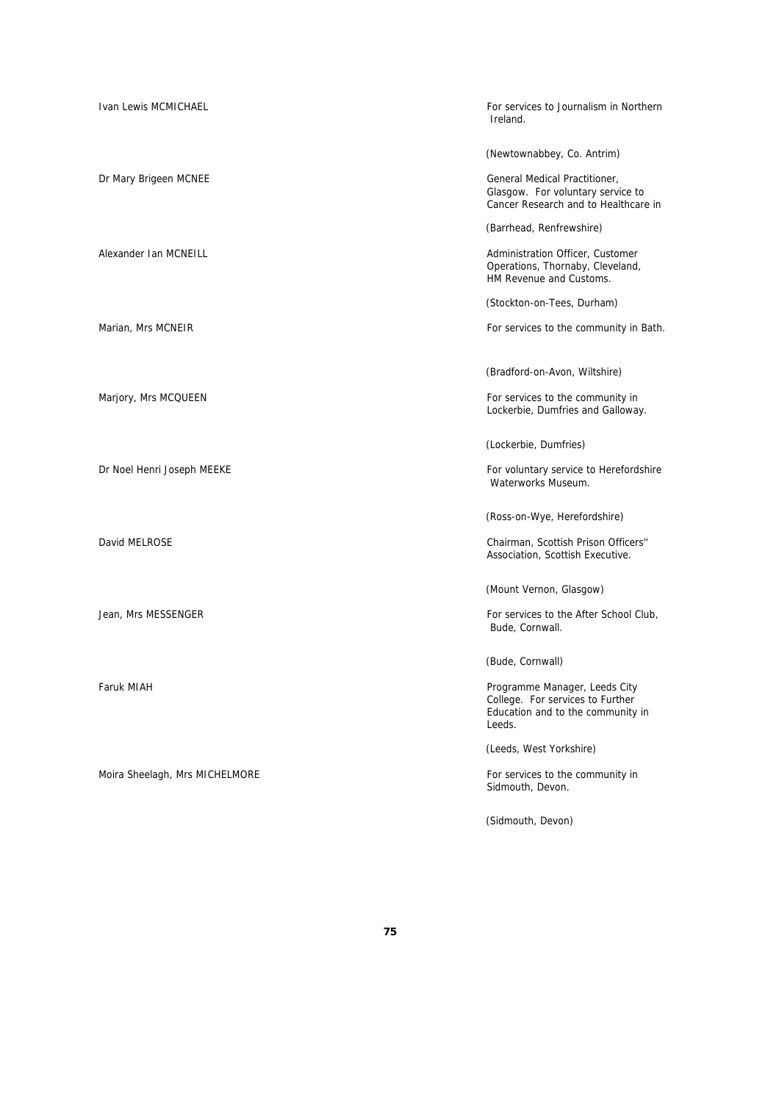| Ivan Lewis MCMICHAEL           | For services to Journalism in Northern<br>Ireland.                                                               |
|--------------------------------|------------------------------------------------------------------------------------------------------------------|
|                                | (Newtownabbey, Co. Antrim)                                                                                       |
| Dr Mary Brigeen MCNEE          | General Medical Practitioner,<br>Glasgow. For voluntary service to<br>Cancer Research and to Healthcare in       |
|                                | (Barrhead, Renfrewshire)                                                                                         |
| Alexander Ian MCNEILL          | Administration Officer, Customer<br>Operations, Thornaby, Cleveland,<br>HM Revenue and Customs.                  |
|                                | (Stockton-on-Tees, Durham)                                                                                       |
| Marian, Mrs MCNEIR             | For services to the community in Bath.                                                                           |
|                                |                                                                                                                  |
|                                | (Bradford-on-Avon, Wiltshire)                                                                                    |
| Marjory, Mrs MCQUEEN           | For services to the community in<br>Lockerbie, Dumfries and Galloway.                                            |
|                                | (Lockerbie, Dumfries)                                                                                            |
| Dr Noel Henri Joseph MEEKE     | For voluntary service to Herefordshire<br>Waterworks Museum.                                                     |
|                                | (Ross-on-Wye, Herefordshire)                                                                                     |
| David MELROSE                  | Chairman, Scottish Prison Officers"<br>Association, Scottish Executive.                                          |
|                                | (Mount Vernon, Glasgow)                                                                                          |
| Jean, Mrs MESSENGER            | For services to the After School Club,<br>Bude, Cornwall.                                                        |
|                                | (Bude, Cornwall)                                                                                                 |
| Faruk MIAH                     | Programme Manager, Leeds City<br>College. For services to Further<br>Education and to the community in<br>Leeds. |
|                                | (Leeds, West Yorkshire)                                                                                          |
| Moira Sheelagh, Mrs MICHELMORE | For services to the community in<br>Sidmouth, Devon.                                                             |

(Sidmouth, Devon)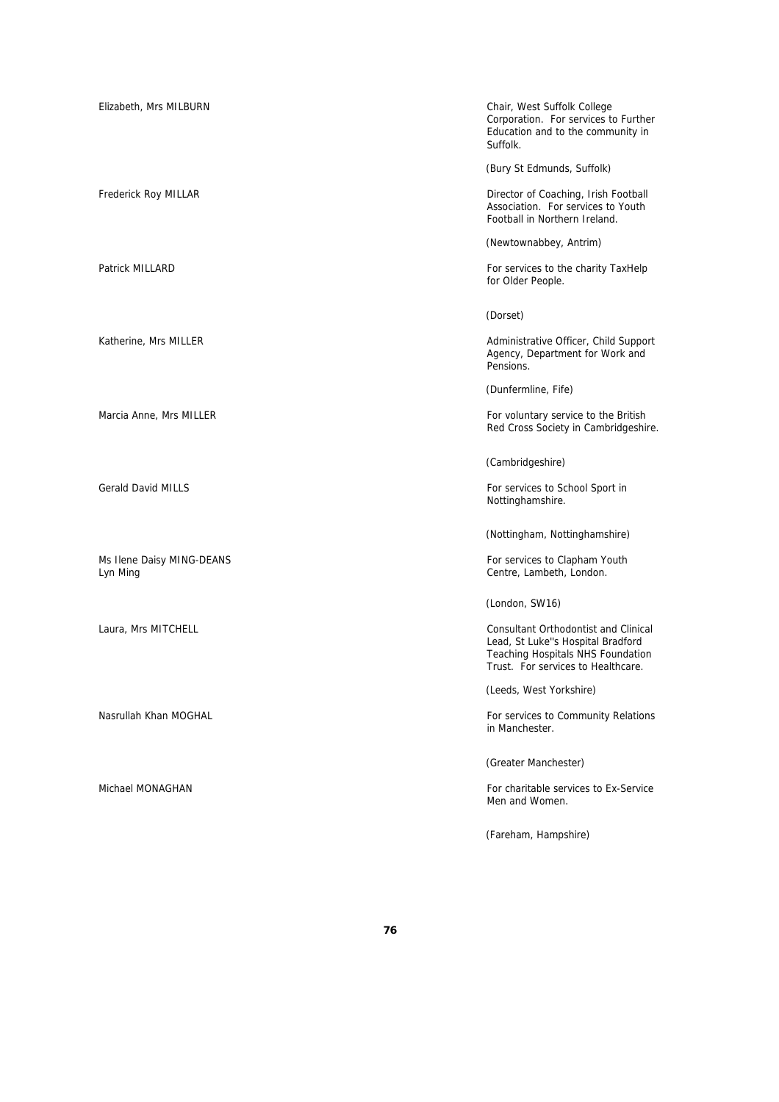Ms Ilene Daisy MING-DEANS **For services to Clapham Youth** For services to Clapham Youth Lyn Ming Centre, Lambeth, London.

Elizabeth, Mrs MILBURN Chair, West Suffolk College Corporation. For services to Further Education and to the community in Suffolk.

(Bury St Edmunds, Suffolk)

Frederick Roy MILLAR Director of Coaching, Irish Football Association. For services to Youth Football in Northern Ireland.

(Newtownabbey, Antrim)

Patrick MILLARD For services to the charity TaxHelp for Older People.

(Dorset)

Katherine, Mrs MILLER **Administrative Officer, Child Support** Administrative Officer, Child Support Agency, Department for Work and Pensions.

(Dunfermline, Fife)

Marcia Anne, Mrs MILLER **For voluntary service to the British** For voluntary service to the British Red Cross Society in Cambridgeshire.

(Cambridgeshire)

Gerald David MILLS **For services** to School Sport in Nottinghamshire.

(Nottingham, Nottinghamshire)

(London, SW16)

Laura, Mrs MITCHELL Consultant Orthodontist and Clinical Lead, St Luke''s Hospital Bradford Teaching Hospitals NHS Foundation Trust. For services to Healthcare.

(Leeds, West Yorkshire)

Nasrullah Khan MOGHAL **For services to Community Relations Nasrullah Khan Moghal** For services to Community Relations in Manchester.

(Greater Manchester)

Michael MONAGHAN For charitable services to Ex-Service Men and Women.

(Fareham, Hampshire)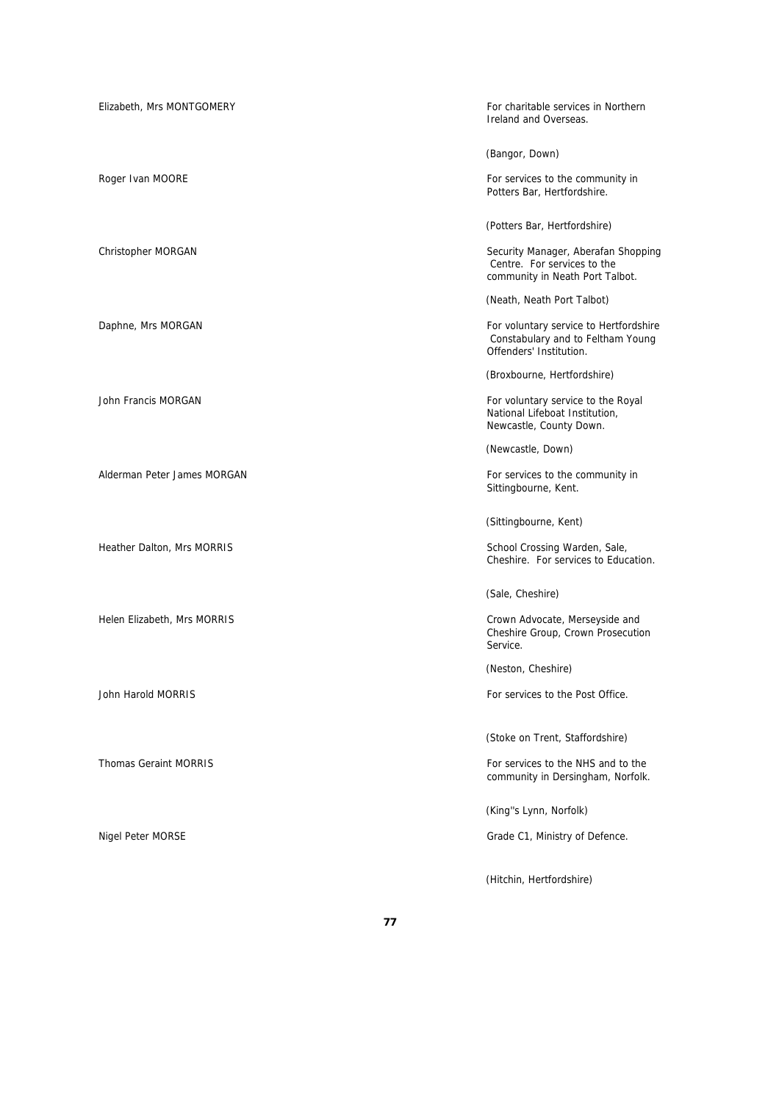| Elizabeth, Mrs MONTGOMERY    | For charitable services in Northern<br>Ireland and Overseas.                                           |
|------------------------------|--------------------------------------------------------------------------------------------------------|
|                              | (Bangor, Down)                                                                                         |
| Roger Ivan MOORE             | For services to the community in<br>Potters Bar, Hertfordshire.                                        |
|                              | (Potters Bar, Hertfordshire)                                                                           |
| Christopher MORGAN           | Security Manager, Aberafan Shopping<br>Centre. For services to the<br>community in Neath Port Talbot.  |
|                              | (Neath, Neath Port Talbot)                                                                             |
| Daphne, Mrs MORGAN           | For voluntary service to Hertfordshire<br>Constabulary and to Feltham Young<br>Offenders' Institution. |
|                              | (Broxbourne, Hertfordshire)                                                                            |
| John Francis MORGAN          | For voluntary service to the Royal<br>National Lifeboat Institution,<br>Newcastle, County Down.        |
|                              | (Newcastle, Down)                                                                                      |
| Alderman Peter James MORGAN  | For services to the community in<br>Sittingbourne, Kent.                                               |
|                              | (Sittingbourne, Kent)                                                                                  |
| Heather Dalton, Mrs MORRIS   | School Crossing Warden, Sale,<br>Cheshire. For services to Education.                                  |
|                              | (Sale, Cheshire)                                                                                       |
| Helen Elizabeth, Mrs MORRIS  | Crown Advocate, Merseyside and<br>Cheshire Group, Crown Prosecution<br>Service.                        |
|                              | (Neston, Cheshire)                                                                                     |
| John Harold MORRIS           | For services to the Post Office.                                                                       |
|                              | (Stoke on Trent, Staffordshire)                                                                        |
| <b>Thomas Geraint MORRIS</b> | For services to the NHS and to the<br>community in Dersingham, Norfolk.                                |
|                              | (King"s Lynn, Norfolk)                                                                                 |
| Nigel Peter MORSE            | Grade C1, Ministry of Defence.                                                                         |
|                              | (Hitchin, Hertfordshire)                                                                               |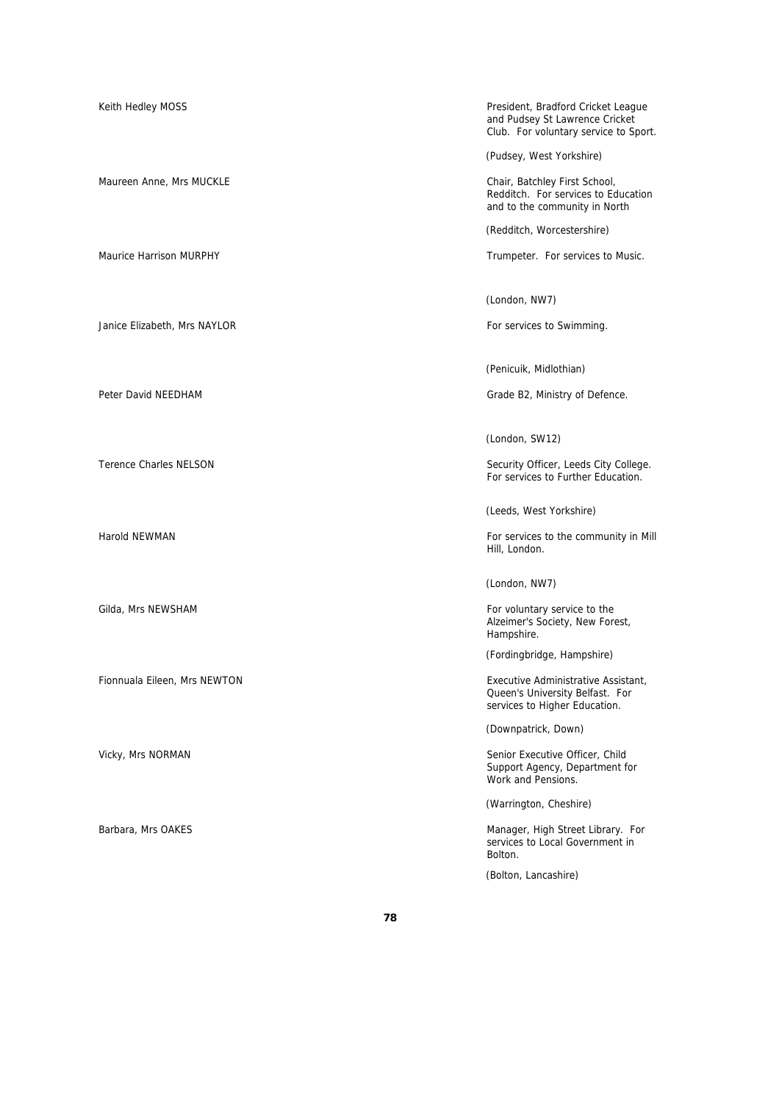Janice Elizabeth, Mrs NAYLOR **For services to Swimming.** 

Fionnuala Eileen, Mrs NEWTON Executive Administrative Assistant,

Keith Hedley MOSS **President, Bradford Cricket League** President, Bradford Cricket League and Pudsey St Lawrence Cricket Club. For voluntary service to Sport.

(Pudsey, West Yorkshire)

Maureen Anne, Mrs MUCKLE **Chair, Batchley First School**, Redditch. For services to Education and to the community in North

(Redditch, Worcestershire)

Maurice Harrison MURPHY **Trumpeter.** For services to Music.

(London, NW7)

(Penicuik, Midlothian)

Peter David NEEDHAM Grade B2, Ministry of Defence.

(London, SW12)

Terence Charles NELSON **Security Officer**, Leeds City College. For services to Further Education.

(Leeds, West Yorkshire)

Harold NEWMAN **For services** to the community in Mill Hill, London.

(London, NW7)

Gilda, Mrs NEWSHAM **For voluntary service to the service** to the service to the service to the service to the service to the service to the service to the service to the service to the service to the service to the service Alzeimer's Society, New Forest, Hampshire.

(Fordingbridge, Hampshire)

Queen's University Belfast. For services to Higher Education.

(Downpatrick, Down)

Vicky, Mrs NORMAN Senior Executive Officer, Child Support Agency, Department for Work and Pensions.

(Warrington, Cheshire)

Barbara, Mrs OAKES **Manager, High Street Library.** For services to Local Government in Bolton.

(Bolton, Lancashire)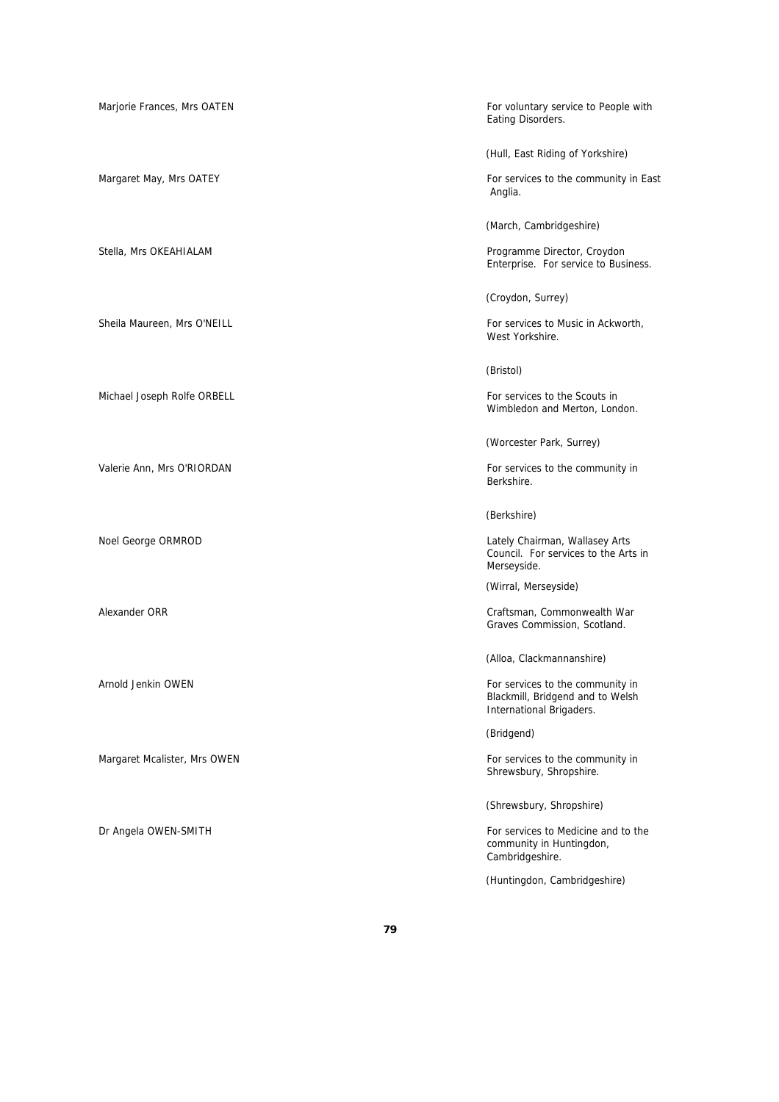Michael Joseph Rolfe ORBELL **For services to the Scouts in** Scouts in

Margaret Mcalister, Mrs OWEN For services to the community in

Marjorie Frances, Mrs OATEN For voluntary service to People with For voluntary service to People with Eating Disorders.

(Hull, East Riding of Yorkshire)

Margaret May, Mrs OATEY For services to the community in East Anglia.

(March, Cambridgeshire)

Stella, Mrs OKEAHIALAM **Programme Director, Croydon** Enterprise. For service to Business.

(Croydon, Surrey)

Sheila Maureen, Mrs O'NEILL For services to Music in Ackworth, West Yorkshire.

(Bristol)

Wimbledon and Merton, London.

(Worcester Park, Surrey)

Valerie Ann, Mrs O'RIORDAN For services to the community in Berkshire.

(Berkshire)

Noel George ORMROD **Notationally Chairman**, Wallasey Arts Council. For services to the Arts in Merseyside.

(Wirral, Merseyside)

Alexander ORR Craftsman, Commonwealth War Graves Commission, Scotland.

(Alloa, Clackmannanshire)

Arnold Jenkin OWEN For services to the community in Blackmill, Bridgend and to Welsh International Brigaders.

(Bridgend)

Shrewsbury, Shropshire.

(Shrewsbury, Shropshire)

Dr Angela OWEN-SMITH For services to Medicine and to the community in Huntingdon, Cambridgeshire.

(Huntingdon, Cambridgeshire)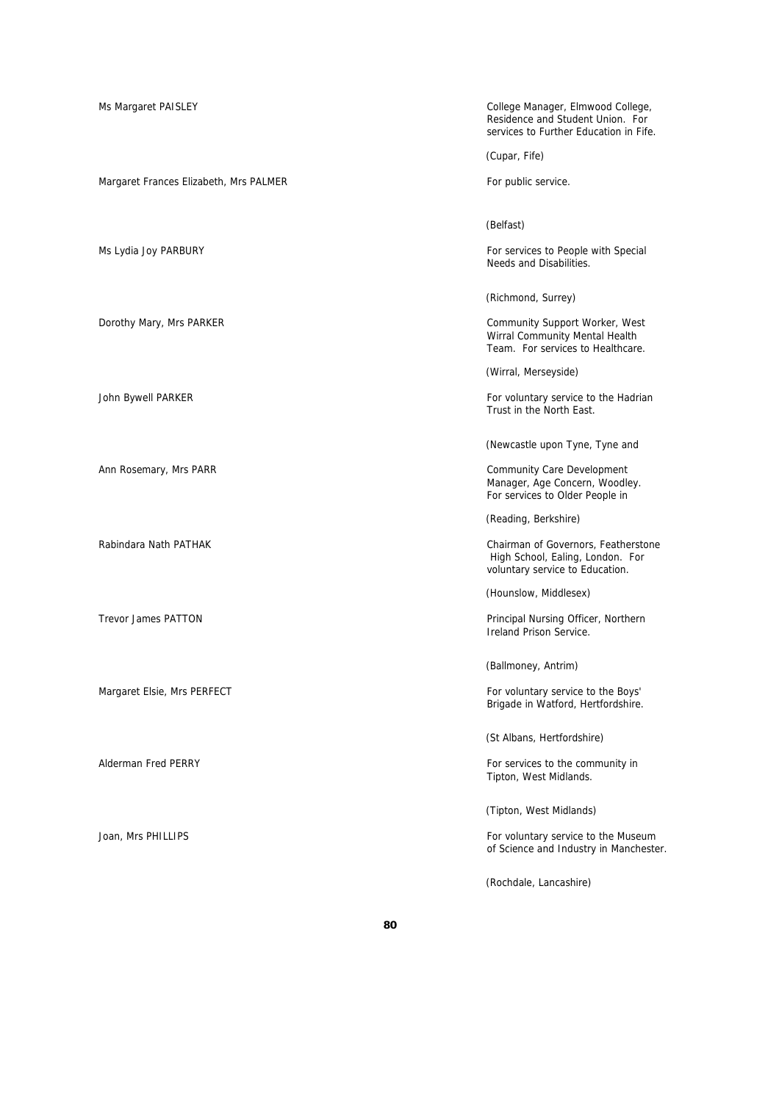Ms Margaret PAISLEY **College Manager, Elmwood College**, Residence and Student Union. For services to Further Education in Fife. (Cupar, Fife) Margaret Frances Elizabeth, Mrs PALMER For public service. (Belfast) Ms Lydia Joy PARBURY **For services to People with Special** Needs and Disabilities. (Richmond, Surrey) Dorothy Mary, Mrs PARKER **Community Support Worker, West** Community Support Worker, West Wirral Community Mental Health Team. For services to Healthcare. (Wirral, Merseyside) John Bywell PARKER For voluntary service to the Hadrian Trust in the North East. (Newcastle upon Tyne, Tyne and Ann Rosemary, Mrs PARR Community Care Development Manager, Age Concern, Woodley. For services to Older People in (Reading, Berkshire) Rabindara Nath PATHAK **Chairman of Governors, Featherstone**  High School, Ealing, London. For voluntary service to Education. (Hounslow, Middlesex) Trevor James PATTON **Principal Nursing Officer, Northern** Principal Nursing Officer, Northern Ireland Prison Service. (Ballmoney, Antrim) Margaret Elsie, Mrs PERFECT For voluntary service to the Boys' Brigade in Watford, Hertfordshire. (St Albans, Hertfordshire) Alderman Fred PERRY **For services** to the community in Tipton, West Midlands. (Tipton, West Midlands) Joan, Mrs PHILLIPS **For voluntary service to the Museum** of Science and Industry in Manchester. (Rochdale, Lancashire)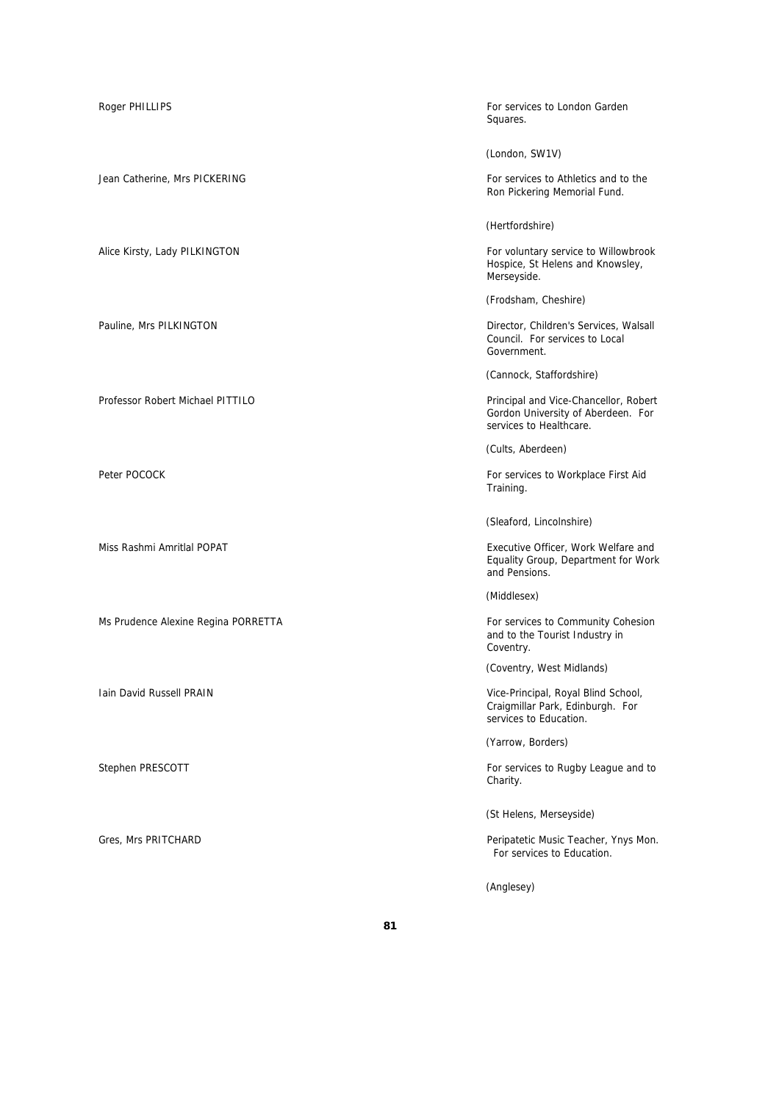Professor Robert Michael PITTILO Principal and Vice-Chancellor, Robert

Ms Prudence Alexine Regina PORRETTA For services to Community Cohesion

Roger PHILLIPS For services to London Garden and The Services to London Garden and The Services to London Garden Squares.

(London, SW1V)

Jean Catherine, Mrs PICKERING For services to Athletics and to the Ron Pickering Memorial Fund.

(Hertfordshire)

Alice Kirsty, Lady PILKINGTON For voluntary service to Willowbrook Hospice, St Helens and Knowsley, Merseyside.

(Frodsham, Cheshire)

Pauline, Mrs PILKINGTON Director, Children's Services, Walsall Council. For services to Local Government.

(Cannock, Staffordshire)

Gordon University of Aberdeen. For services to Healthcare.

(Cults, Aberdeen)

Peter POCOCK For services to Workplace First Aid Training.

(Sleaford, Lincolnshire)

Miss Rashmi Amritlal POPAT **Executive Officer**, Work Welfare and Equality Group, Department for Work and Pensions.

(Middlesex)

and to the Tourist Industry in Coventry.

(Coventry, West Midlands)

Iain David Russell PRAIN **Vice-Principal, Royal Blind School**, Craigmillar Park, Edinburgh. For services to Education.

(Yarrow, Borders)

Stephen PRESCOTT **For services** to Rugby League and to Stephen PRESCOTT Charity.

(St Helens, Merseyside)

Gres, Mrs PRITCHARD Peripatetic Music Teacher, Ynys Mon. For services to Education.

(Anglesey)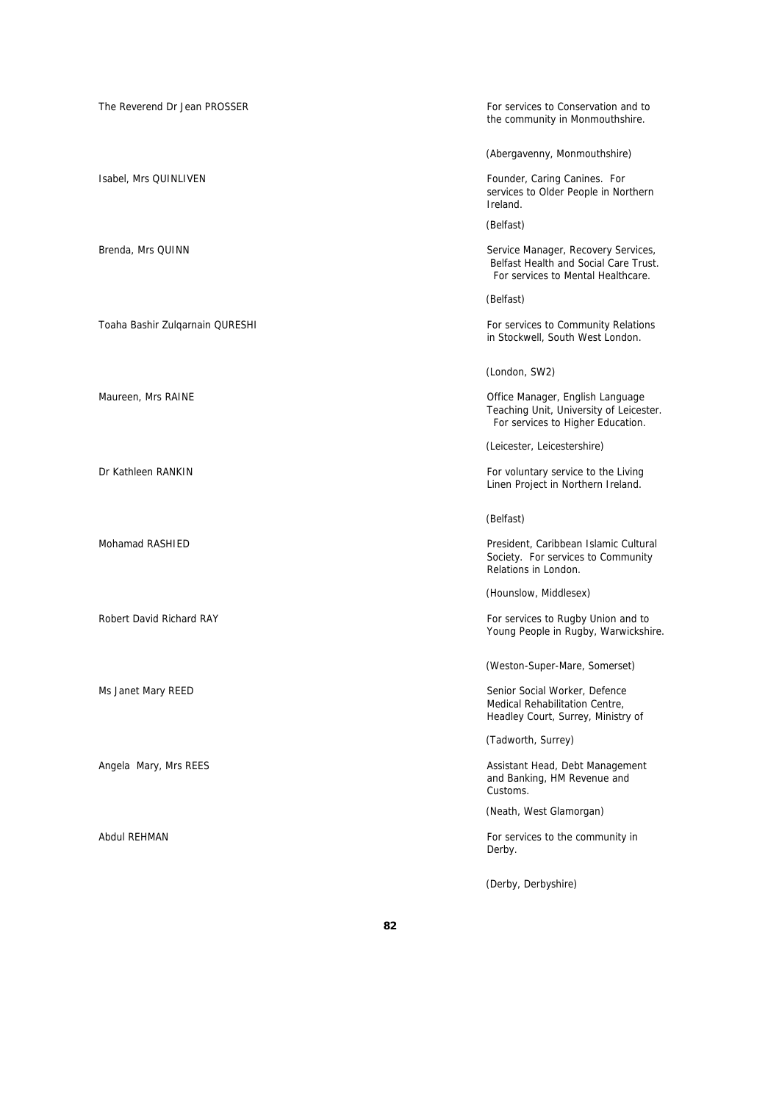| The Reverend Dr Jean PROSSER    | For services to Conservation and to<br>the community in Monmouthshire.                                             |
|---------------------------------|--------------------------------------------------------------------------------------------------------------------|
|                                 | (Abergavenny, Monmouthshire)                                                                                       |
| Isabel, Mrs QUINLIVEN           | Founder, Caring Canines. For<br>services to Older People in Northern<br>Ireland.                                   |
|                                 | (Belfast)                                                                                                          |
| Brenda, Mrs QUINN               | Service Manager, Recovery Services,<br>Belfast Health and Social Care Trust.<br>For services to Mental Healthcare. |
|                                 | (Belfast)                                                                                                          |
| Toaha Bashir Zulgarnain QURESHI | For services to Community Relations<br>in Stockwell, South West London.                                            |
|                                 | (London, SW2)                                                                                                      |
| Maureen, Mrs RAINE              | Office Manager, English Language<br>Teaching Unit, University of Leicester.<br>For services to Higher Education.   |
|                                 | (Leicester, Leicestershire)                                                                                        |
| Dr Kathleen RANKIN              | For voluntary service to the Living<br>Linen Project in Northern Ireland.                                          |
|                                 | (Belfast)                                                                                                          |
| Mohamad RASHIED                 | President, Caribbean Islamic Cultural<br>Society. For services to Community<br>Relations in London.                |
|                                 | (Hounslow, Middlesex)                                                                                              |
| Robert David Richard RAY        | For services to Rugby Union and to<br>Young People in Rugby, Warwickshire.                                         |
|                                 | (Weston-Super-Mare, Somerset)                                                                                      |
| Ms Janet Mary REED              | Senior Social Worker, Defence<br>Medical Rehabilitation Centre,<br>Headley Court, Surrey, Ministry of              |
|                                 | (Tadworth, Surrey)                                                                                                 |
| Angela Mary, Mrs REES           | Assistant Head, Debt Management<br>and Banking, HM Revenue and<br>Customs.                                         |
|                                 | (Neath, West Glamorgan)                                                                                            |
| Abdul REHMAN                    | For services to the community in<br>Derby.                                                                         |
|                                 | (Derby, Derbyshire)                                                                                                |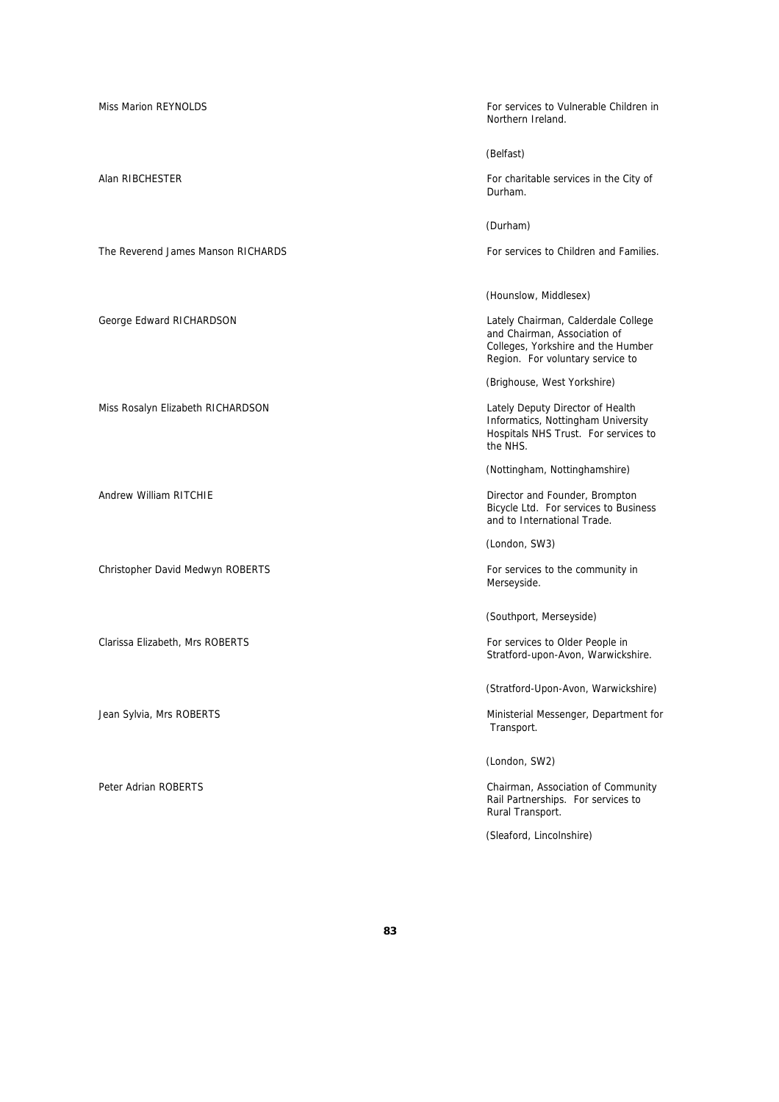The Reverend James Manson RICHARDS For services to Children and Families.

Miss Rosalyn Elizabeth RICHARDSON Lately Deputy Director of Health

Christopher David Medwyn ROBERTS For services to the community in

Clarissa Elizabeth, Mrs ROBERTS For services to Older People in

Miss Marion REYNOLDS **For services to Vulnerable Children in** Northern Ireland.

(Belfast)

Alan RIBCHESTER **For charitable services in the City of** For charitable services in the City of Durham.

(Durham)

(Hounslow, Middlesex)

George Edward RICHARDSON Lately Chairman, Calderdale College and Chairman, Association of Colleges, Yorkshire and the Humber Region. For voluntary service to

(Brighouse, West Yorkshire)

Informatics, Nottingham University Hospitals NHS Trust. For services to the NHS.

(Nottingham, Nottinghamshire)

Andrew William RITCHIE **Example 2018** 2019 12:30 Director and Founder, Brompton Bicycle Ltd. For services to Business and to International Trade.

(London, SW3)

Merseyside.

(Southport, Merseyside)

Stratford-upon-Avon, Warwickshire.

(Stratford-Upon-Avon, Warwickshire)

Jean Sylvia, Mrs ROBERTS **Ministerial Messenger**, Department for Transport.

(London, SW2)

Peter Adrian ROBERTS Chairman, Association of Community Rail Partnerships. For services to Rural Transport.

(Sleaford, Lincolnshire)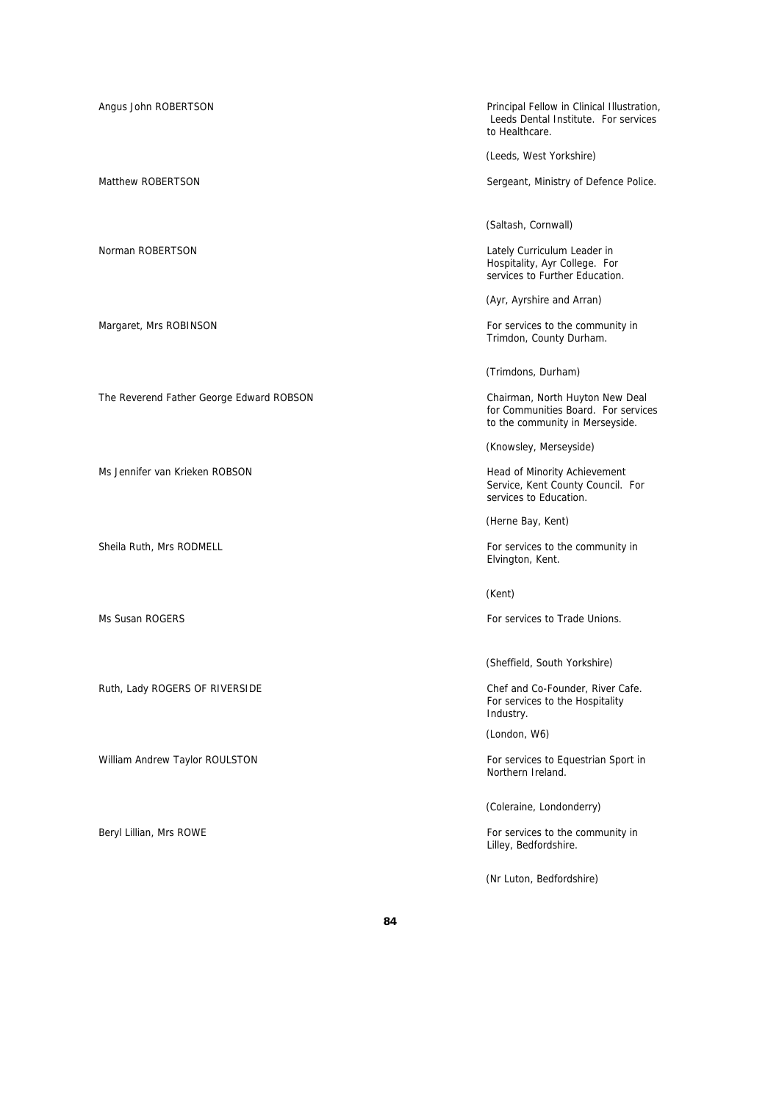Angus John ROBERTSON **Principal Fellow in Clinical Illustration**, Leeds Dental Institute. For services to Healthcare. (Leeds, West Yorkshire) Matthew ROBERTSON **Matthew ROBERTSON** Sergeant, Ministry of Defence Police. (Saltash, Cornwall) Norman ROBERTSON **Norman ROBERTSON** Hospitality, Ayr College. For services to Further Education. (Ayr, Ayrshire and Arran) Margaret, Mrs ROBINSON For services to the community in Trimdon, County Durham. (Trimdons, Durham) The Reverend Father George Edward ROBSON Chairman, North Huyton New Deal for Communities Board. For services to the community in Merseyside. (Knowsley, Merseyside) Ms Jennifer van Krieken ROBSON aan de eerste van de gebeure van de Head of Minority Achievement Service, Kent County Council. For services to Education. (Herne Bay, Kent) Sheila Ruth, Mrs RODMELL **For services to the community in** For services to the community in Elvington, Kent. (Kent) Ms Susan ROGERS For services to Trade Unions. (Sheffield, South Yorkshire) Ruth, Lady ROGERS OF RIVERSIDE Chef and Co-Founder, River Cafe. For services to the Hospitality Industry. (London, W6) William Andrew Taylor ROULSTON For services to Equestrian Sport in Northern Ireland. (Coleraine, Londonderry) Beryl Lillian, Mrs ROWE **For services to the community in** Lilley, Bedfordshire.

(Nr Luton, Bedfordshire)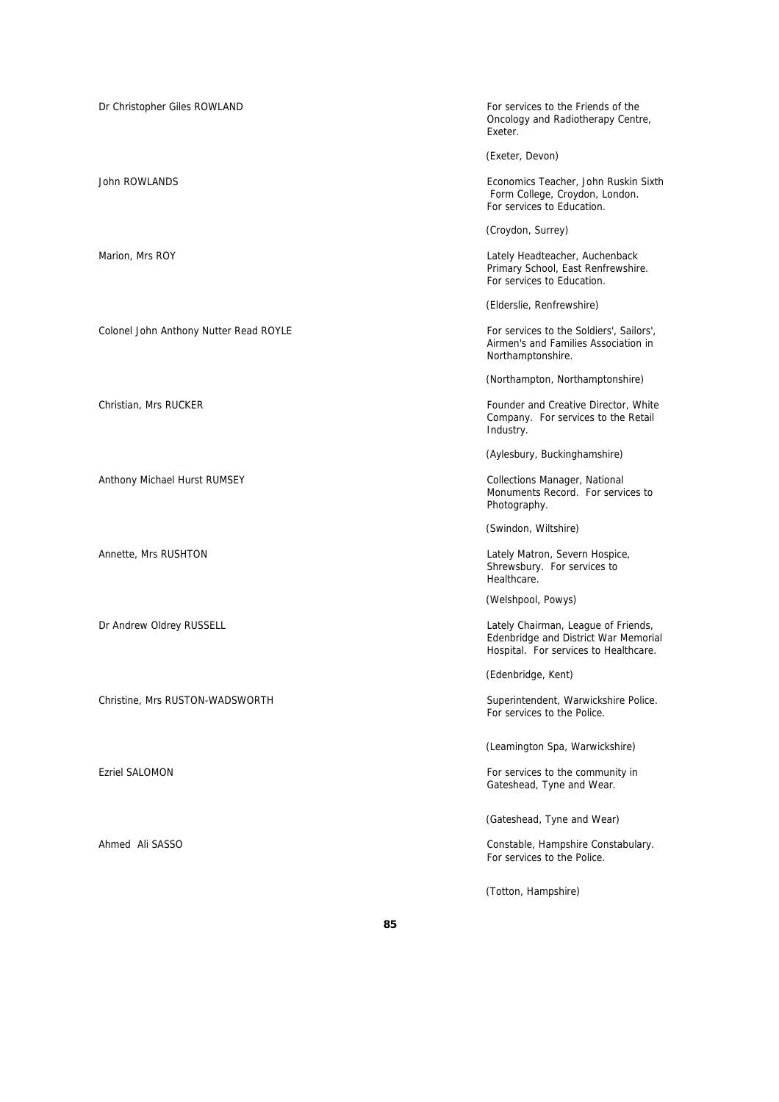Dr Christopher Giles ROWLAND For services to the Friends of the Oncology and Radiotherapy Centre, Exeter. (Exeter, Devon) John ROWLANDS Economics Teacher, John Ruskin Sixth Form College, Croydon, London. For services to Education. (Croydon, Surrey) Marion, Mrs ROY Lately Headteacher, Auchenback Primary School, East Renfrewshire. For services to Education. (Elderslie, Renfrewshire) Colonel John Anthony Nutter Read ROYLE For services to the Soldiers', Sailors', Airmen's and Families Association in Northamptonshire. (Northampton, Northamptonshire) Christian, Mrs RUCKER **Founder and Creative Director**, White Company. For services to the Retail Industry. (Aylesbury, Buckinghamshire) Anthony Michael Hurst RUMSEY **Collections Manager, National** Collections Manager, National Monuments Record. For services to Photography. (Swindon, Wiltshire) Annette, Mrs RUSHTON Lately Matron, Severn Hospice, Shrewsbury. For services to Healthcare. (Welshpool, Powys) Dr Andrew Oldrey RUSSELL **Chairman, League of Friends,** Lately Chairman, League of Friends, Edenbridge and District War Memorial Hospital. For services to Healthcare. (Edenbridge, Kent) Christine, Mrs RUSTON-WADSWORTH Superintendent, Warwickshire Police. For services to the Police. (Leamington Spa, Warwickshire) Ezriel SALOMON For services to the community in Gateshead, Tyne and Wear. (Gateshead, Tyne and Wear) Ahmed Ali SASSO Constable, Hampshire Constabulary. For services to the Police. (Totton, Hampshire)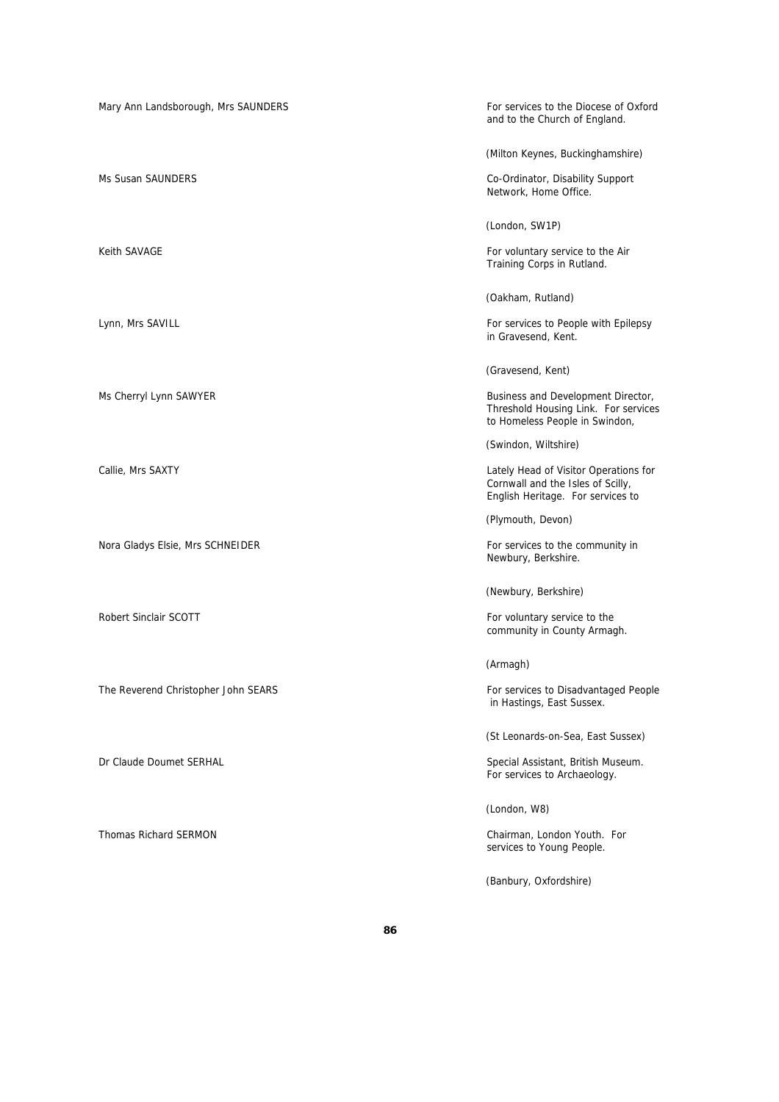Mary Ann Landsborough, Mrs SAUNDERS For services to the Diocese of Oxford and to the Church of England. (Milton Keynes, Buckinghamshire) Ms Susan SAUNDERS **Co-Ordinator, Disability Support** Network, Home Office. (London, SW1P) Keith SAVAGE **For voluntary service to the Air** For voluntary service to the Air Training Corps in Rutland. (Oakham, Rutland) Lynn, Mrs SAVILL **For services to People with Epilepsy** For services to People with Epilepsy in Gravesend, Kent. (Gravesend, Kent) Ms Cherryl Lynn SAWYER **Business and Development Director**, Threshold Housing Link. For services to Homeless People in Swindon, (Swindon, Wiltshire) Callie, Mrs SAXTY Lately Head of Visitor Operations for Cornwall and the Isles of Scilly, English Heritage. For services to (Plymouth, Devon) Nora Gladys Elsie, Mrs SCHNEIDER For services to the community in Newbury, Berkshire. (Newbury, Berkshire) Robert Sinclair SCOTT **For voluntary service to the Robert Sinclair SCOTT For voluntary service to the** community in County Armagh. (Armagh) The Reverend Christopher John SEARS For services to Disadvantaged People and The Reverend Christopher John SEARS in Hastings, East Sussex. (St Leonards-on-Sea, East Sussex) Dr Claude Doumet SERHAL Special Assistant, British Museum. For services to Archaeology. (London, W8) Thomas Richard SERMON Chairman, London Youth. For services to Young People. (Banbury, Oxfordshire)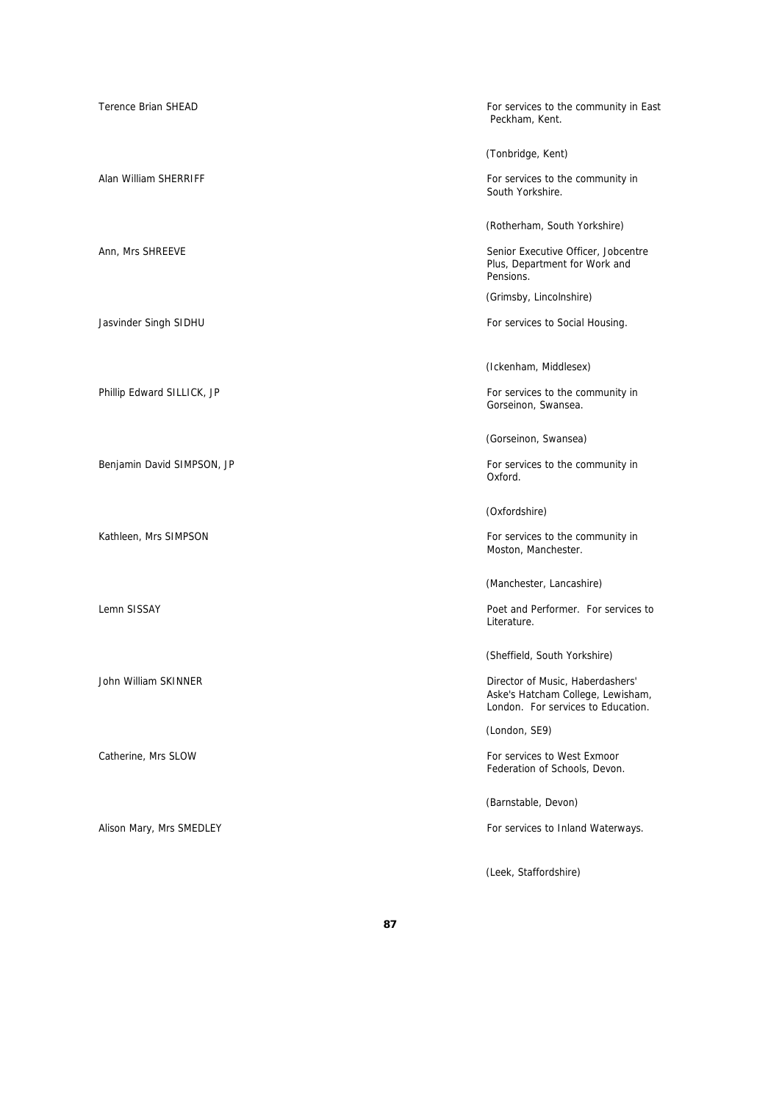| <b>Terence Brian SHEAD</b> | For services to the community in East<br>Peckham, Kent.                                                     |
|----------------------------|-------------------------------------------------------------------------------------------------------------|
|                            | (Tonbridge, Kent)                                                                                           |
| Alan William SHERRIFF      | For services to the community in<br>South Yorkshire.                                                        |
|                            | (Rotherham, South Yorkshire)                                                                                |
| Ann, Mrs SHREEVE           | Senior Executive Officer, Jobcentre<br>Plus, Department for Work and<br>Pensions.                           |
|                            | (Grimsby, Lincolnshire)                                                                                     |
| Jasvinder Singh SIDHU      | For services to Social Housing.                                                                             |
|                            |                                                                                                             |
|                            | (Ickenham, Middlesex)                                                                                       |
| Phillip Edward SILLICK, JP | For services to the community in<br>Gorseinon, Swansea.                                                     |
|                            | (Gorseinon, Swansea)                                                                                        |
| Benjamin David SIMPSON, JP | For services to the community in<br>Oxford.                                                                 |
|                            |                                                                                                             |
|                            | (Oxfordshire)                                                                                               |
| Kathleen, Mrs SIMPSON      | For services to the community in<br>Moston, Manchester.                                                     |
|                            | (Manchester, Lancashire)                                                                                    |
| Lemn SISSAY                | Poet and Performer. For services to<br>Literature.                                                          |
|                            | (Sheffield, South Yorkshire)                                                                                |
| John William SKINNER       | Director of Music, Haberdashers'<br>Aske's Hatcham College, Lewisham,<br>London. For services to Education. |
|                            | (London, SE9)                                                                                               |
| Catherine, Mrs SLOW        | For services to West Exmoor<br>Federation of Schools, Devon.                                                |
|                            | (Barnstable, Devon)                                                                                         |
| Alison Mary, Mrs SMEDLEY   | For services to Inland Waterways.                                                                           |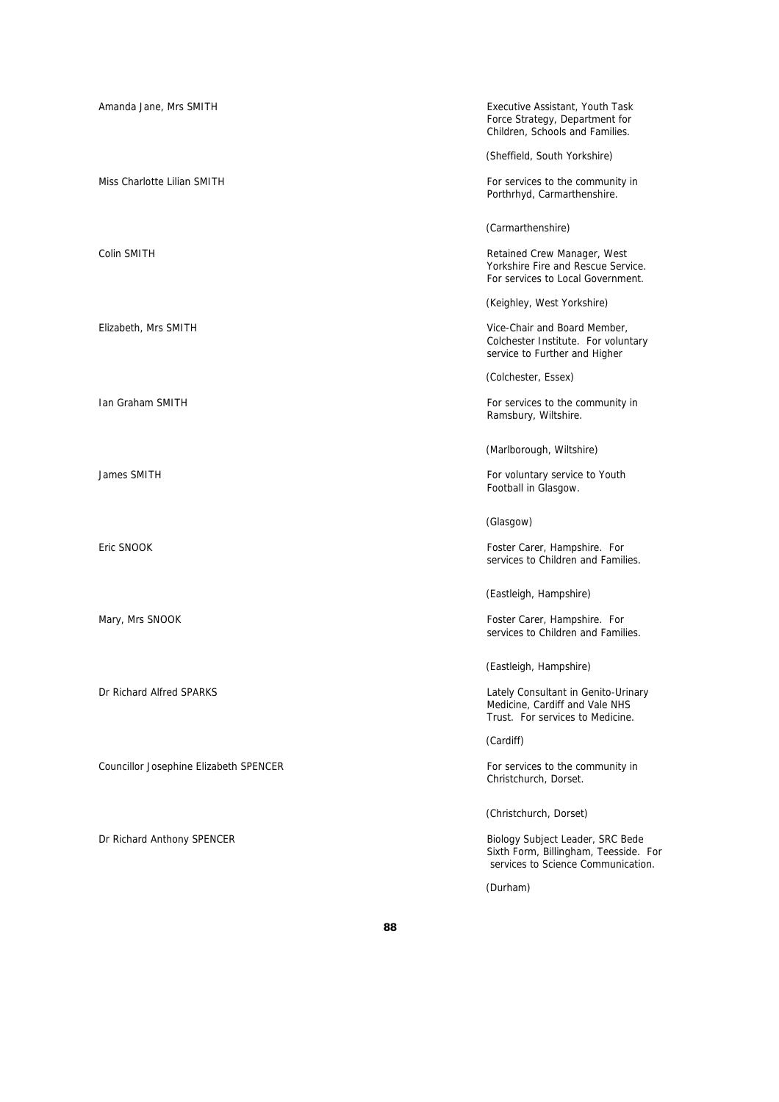| Amanda Jane, Mrs SMITH                 | Executive Assistant, Youth Task<br>Force Strategy, Department for<br>Children, Schools and Families.            |
|----------------------------------------|-----------------------------------------------------------------------------------------------------------------|
|                                        | (Sheffield, South Yorkshire)                                                                                    |
| Miss Charlotte Lilian SMITH            | For services to the community in<br>Porthrhyd, Carmarthenshire.                                                 |
|                                        | (Carmarthenshire)                                                                                               |
| Colin SMITH                            | Retained Crew Manager, West<br>Yorkshire Fire and Rescue Service.<br>For services to Local Government.          |
|                                        | (Keighley, West Yorkshire)                                                                                      |
| Elizabeth, Mrs SMITH                   | Vice-Chair and Board Member,<br>Colchester Institute. For voluntary<br>service to Further and Higher            |
|                                        | (Colchester, Essex)                                                                                             |
| <b>Ian Graham SMITH</b>                | For services to the community in<br>Ramsbury, Wiltshire.                                                        |
|                                        | (Marlborough, Wiltshire)                                                                                        |
| James SMITH                            | For voluntary service to Youth<br>Football in Glasgow.                                                          |
|                                        | (Glasgow)                                                                                                       |
| Eric SNOOK                             | Foster Carer, Hampshire. For<br>services to Children and Families.                                              |
|                                        | (Eastleigh, Hampshire)                                                                                          |
| Mary, Mrs SNOOK                        | Foster Carer, Hampshire. For<br>services to Children and Families.                                              |
|                                        | (Eastleigh, Hampshire)                                                                                          |
| Dr Richard Alfred SPARKS               | Lately Consultant in Genito-Urinary<br>Medicine, Cardiff and Vale NHS<br>Trust. For services to Medicine.       |
|                                        | (Cardiff)                                                                                                       |
| Councillor Josephine Elizabeth SPENCER | For services to the community in<br>Christchurch, Dorset.                                                       |
|                                        | (Christchurch, Dorset)                                                                                          |
| Dr Richard Anthony SPENCER             | Biology Subject Leader, SRC Bede<br>Sixth Form, Billingham, Teesside. For<br>services to Science Communication. |
|                                        | (Durham)                                                                                                        |

**88**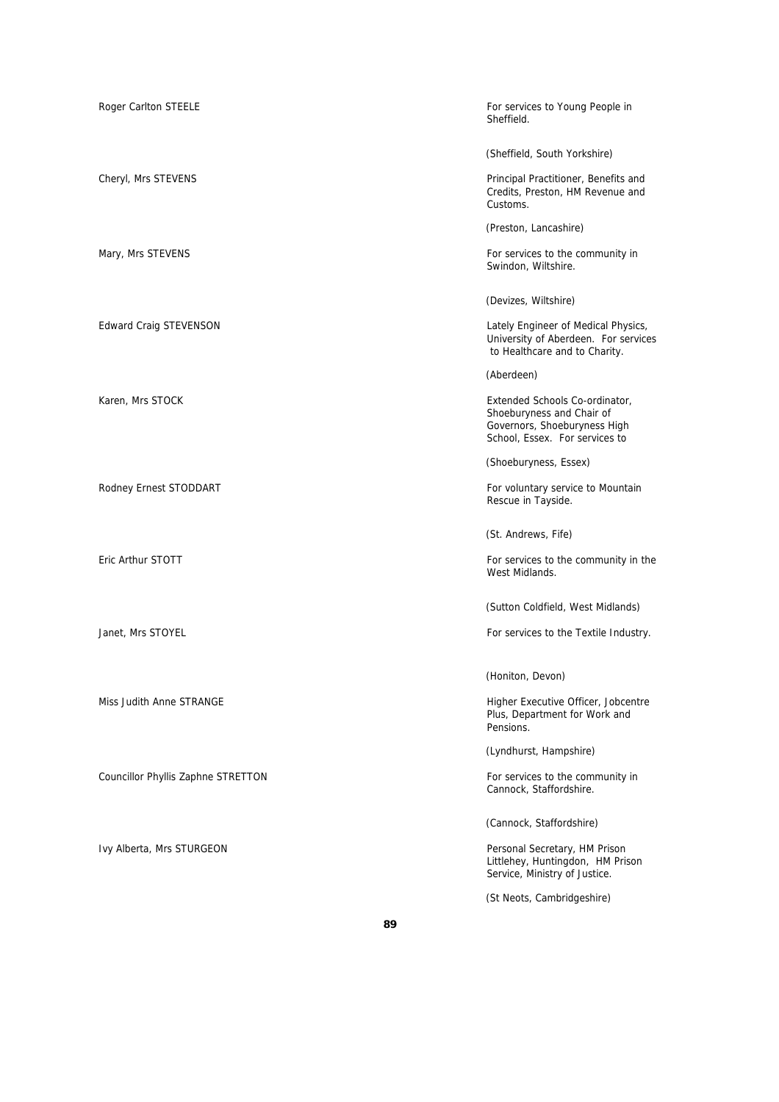| Roger Carlton STEELE               | For services to Young People in<br>Sheffield.                                                                                 |
|------------------------------------|-------------------------------------------------------------------------------------------------------------------------------|
|                                    | (Sheffield, South Yorkshire)                                                                                                  |
| Cheryl, Mrs STEVENS                | Principal Practitioner, Benefits and<br>Credits, Preston, HM Revenue and<br>Customs.                                          |
|                                    | (Preston, Lancashire)                                                                                                         |
| Mary, Mrs STEVENS                  | For services to the community in<br>Swindon, Wiltshire.                                                                       |
|                                    | (Devizes, Wiltshire)                                                                                                          |
| <b>Edward Craig STEVENSON</b>      | Lately Engineer of Medical Physics,<br>University of Aberdeen. For services<br>to Healthcare and to Charity.                  |
|                                    | (Aberdeen)                                                                                                                    |
| Karen, Mrs STOCK                   | Extended Schools Co-ordinator,<br>Shoeburyness and Chair of<br>Governors, Shoeburyness High<br>School, Essex. For services to |
|                                    | (Shoeburyness, Essex)                                                                                                         |
| Rodney Ernest STODDART             | For voluntary service to Mountain<br>Rescue in Tayside.                                                                       |
|                                    | (St. Andrews, Fife)                                                                                                           |
| Eric Arthur STOTT                  | For services to the community in the<br>West Midlands.                                                                        |
|                                    | (Sutton Coldfield, West Midlands)                                                                                             |
| Janet, Mrs STOYEL                  | For services to the Textile Industry.                                                                                         |
|                                    | (Honiton, Devon)                                                                                                              |
| Miss Judith Anne STRANGE           | Higher Executive Officer, Jobcentre<br>Plus, Department for Work and<br>Pensions.                                             |
|                                    | (Lyndhurst, Hampshire)                                                                                                        |
| Councillor Phyllis Zaphne STRETTON | For services to the community in<br>Cannock, Staffordshire.                                                                   |
|                                    | (Cannock, Staffordshire)                                                                                                      |
| Ivy Alberta, Mrs STURGEON          | Personal Secretary, HM Prison<br>Littlehey, Huntingdon, HM Prison<br>Service, Ministry of Justice.                            |
|                                    | (St Neots, Cambridgeshire)                                                                                                    |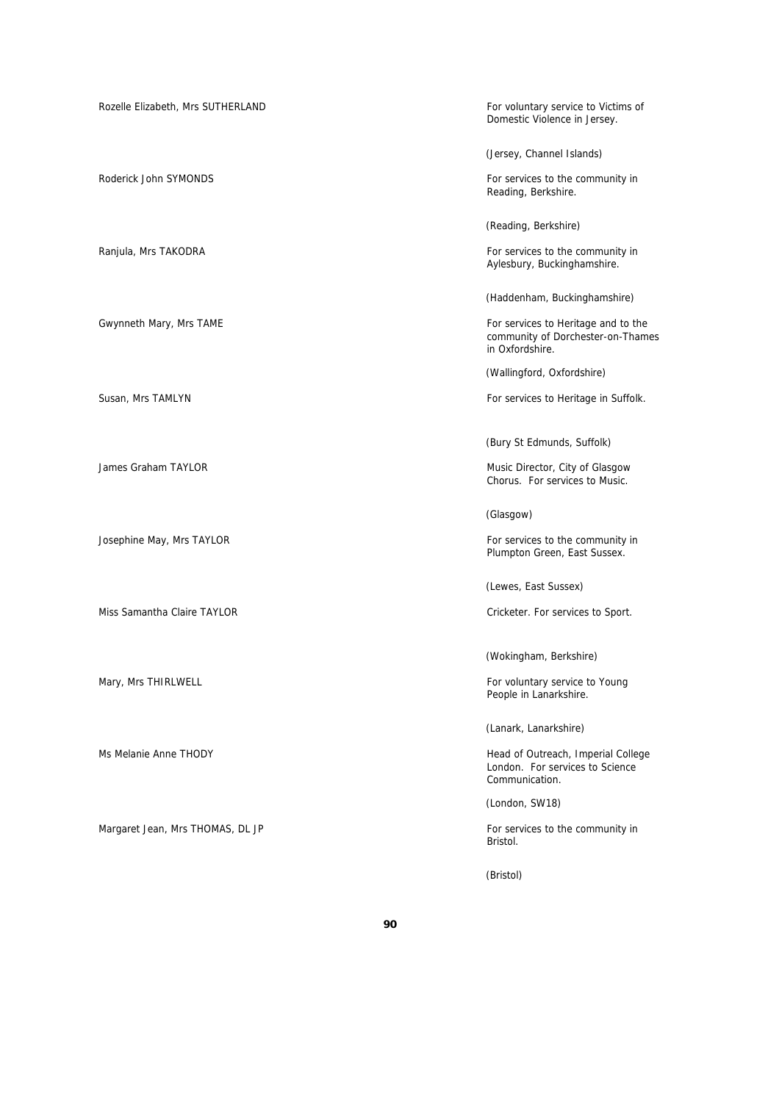| Rozelle Elizabeth, Mrs SUTHERLAND | For voluntary service to Victims of<br>Domestic Violence in Jersey.                         |
|-----------------------------------|---------------------------------------------------------------------------------------------|
|                                   | (Jersey, Channel Islands)                                                                   |
| Roderick John SYMONDS             | For services to the community in<br>Reading, Berkshire.                                     |
|                                   | (Reading, Berkshire)                                                                        |
| Ranjula, Mrs TAKODRA              | For services to the community in<br>Aylesbury, Buckinghamshire.                             |
|                                   | (Haddenham, Buckinghamshire)                                                                |
| Gwynneth Mary, Mrs TAME           | For services to Heritage and to the<br>community of Dorchester-on-Thames<br>in Oxfordshire. |
|                                   | (Wallingford, Oxfordshire)                                                                  |
| Susan, Mrs TAMLYN                 | For services to Heritage in Suffolk.                                                        |
|                                   | (Bury St Edmunds, Suffolk)                                                                  |
| James Graham TAYLOR               | Music Director, City of Glasgow<br>Chorus. For services to Music.                           |
|                                   | (Glasgow)                                                                                   |
| Josephine May, Mrs TAYLOR         | For services to the community in<br>Plumpton Green, East Sussex.                            |
|                                   | (Lewes, East Sussex)                                                                        |
| Miss Samantha Claire TAYLOR       | Cricketer. For services to Sport.                                                           |
|                                   | (Wokingham, Berkshire)                                                                      |
| Mary, Mrs THIRLWELL               | For voluntary service to Young<br>People in Lanarkshire.                                    |
|                                   | (Lanark, Lanarkshire)                                                                       |
| Ms Melanie Anne THODY             | Head of Outreach, Imperial College<br>London. For services to Science<br>Communication.     |
|                                   | (London, SW18)                                                                              |
| Margaret Jean, Mrs THOMAS, DL JP  | For services to the community in<br>Bristol.                                                |
|                                   | (Bristol)                                                                                   |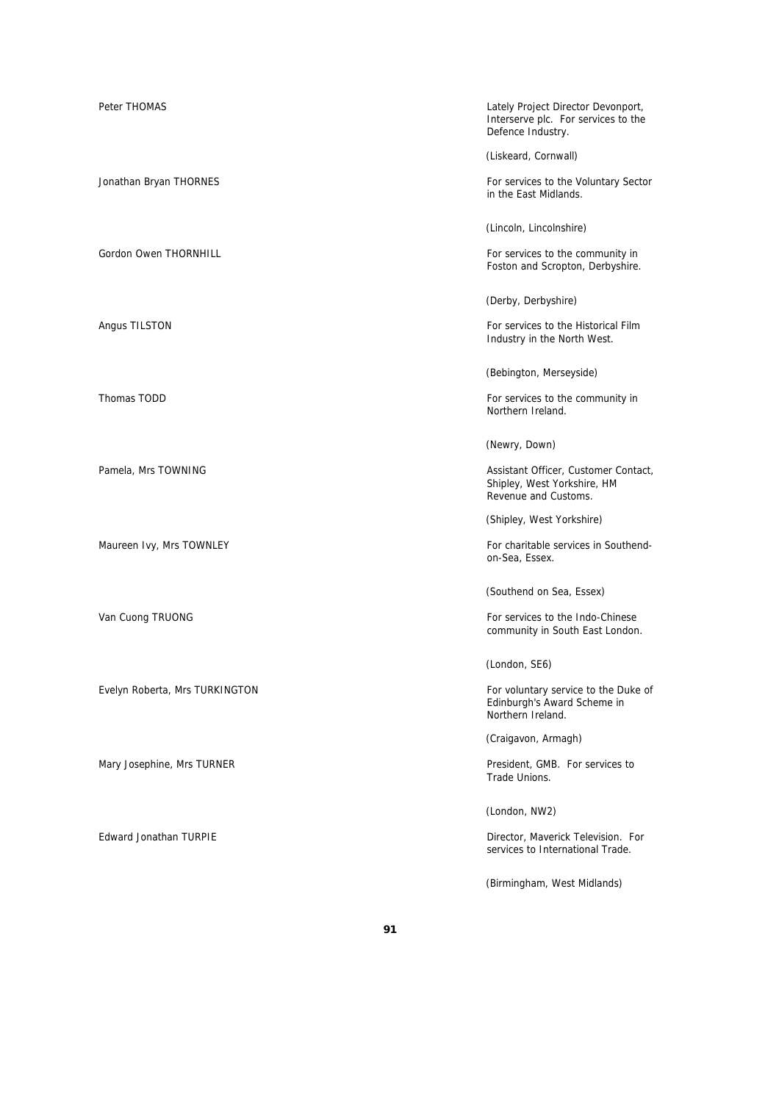| Peter THOMAS                   | Lately Project Director Devonport,<br>Interserve plc. For services to the<br>Defence Industry. |
|--------------------------------|------------------------------------------------------------------------------------------------|
|                                | (Liskeard, Cornwall)                                                                           |
| Jonathan Bryan THORNES         | For services to the Voluntary Sector<br>in the East Midlands.                                  |
|                                | (Lincoln, Lincolnshire)                                                                        |
| Gordon Owen THORNHILL          | For services to the community in<br>Foston and Scropton, Derbyshire.                           |
|                                | (Derby, Derbyshire)                                                                            |
| Angus TILSTON                  | For services to the Historical Film<br>Industry in the North West.                             |
|                                | (Bebington, Merseyside)                                                                        |
| Thomas TODD                    | For services to the community in<br>Northern Ireland.                                          |
|                                | (Newry, Down)                                                                                  |
| Pamela, Mrs TOWNING            | Assistant Officer, Customer Contact,<br>Shipley, West Yorkshire, HM<br>Revenue and Customs.    |
|                                | (Shipley, West Yorkshire)                                                                      |
| Maureen Ivy, Mrs TOWNLEY       | For charitable services in Southend-<br>on-Sea, Essex.                                         |
|                                | (Southend on Sea, Essex)                                                                       |
| Van Cuong TRUONG               | For services to the Indo-Chinese<br>community in South East London.                            |
|                                | (London, SE6)                                                                                  |
| Evelyn Roberta, Mrs TURKINGTON | For voluntary service to the Duke of<br>Edinburgh's Award Scheme in<br>Northern Ireland.       |
|                                | (Craigavon, Armagh)                                                                            |
| Mary Josephine, Mrs TURNER     | President, GMB. For services to<br>Trade Unions.                                               |
|                                | (London, NW2)                                                                                  |
| Edward Jonathan TURPIE         | Director, Maverick Television. For<br>services to International Trade.                         |
|                                | (Birmingham, West Midlands)                                                                    |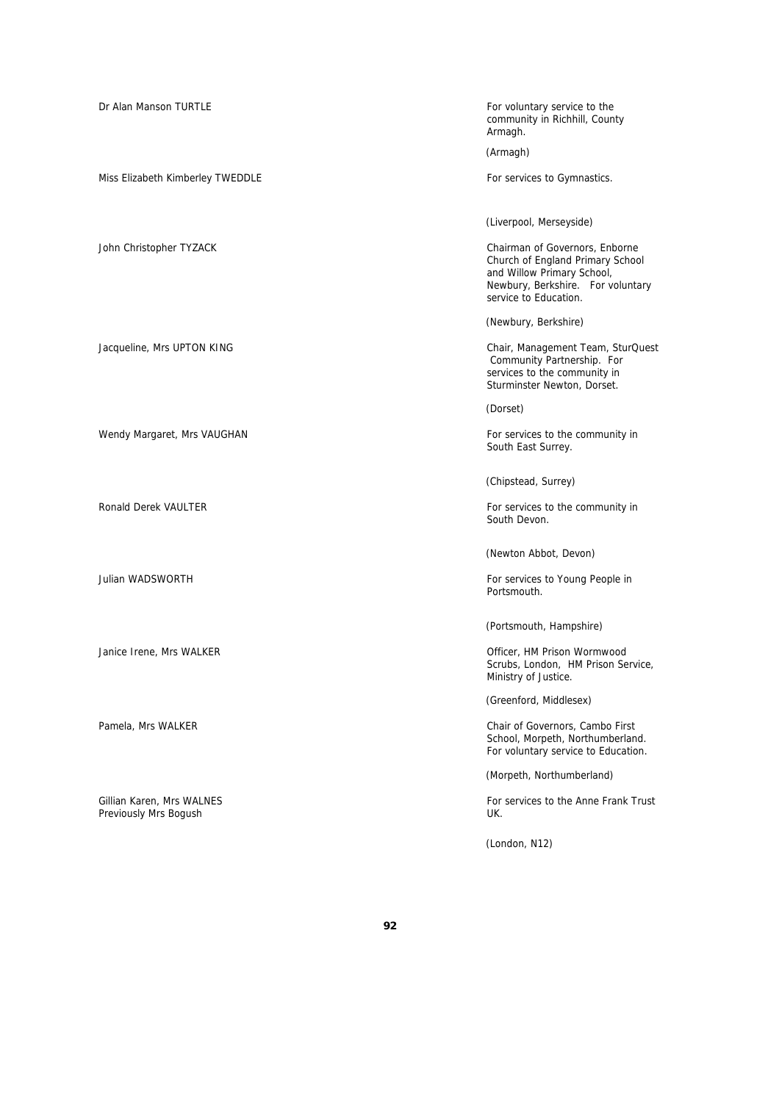Dr Alan Manson TURTLE **For voluntary service to the values** For voluntary service to the Armagh. (Armagh) Miss Elizabeth Kimberley TWEDDLE For services to Gymnastics. John Christopher TYZACK Chairman of Governors, Enborne (Newbury, Berkshire) Jacqueline, Mrs UPTON KING Chair, Management Team, SturQuest (Dorset) Wendy Margaret, Mrs VAUGHAN For services to the community in (Chipstead, Surrey) Ronald Derek VAULTER For services to the community in South Devon. Julian WADSWORTH **For services** to Young People in Portsmouth. Janice Irene, Mrs WALKER **Officer**, HM Prison Wormwood Pamela, Mrs WALKER Chair of Governors, Cambo First Gillian Karen, Mrs WALNES For services to the Anne Frank Trust Previously Mrs Bogush **UK.** 

community in Richhill, County

(Liverpool, Merseyside)

Church of England Primary School and Willow Primary School, Newbury, Berkshire. For voluntary service to Education.

 Community Partnership. For services to the community in Sturminster Newton, Dorset.

South East Surrey.

(Newton Abbot, Devon)

(Portsmouth, Hampshire)

Scrubs, London, HM Prison Service, Ministry of Justice.

(Greenford, Middlesex)

School, Morpeth, Northumberland. For voluntary service to Education.

(Morpeth, Northumberland)

(London, N12)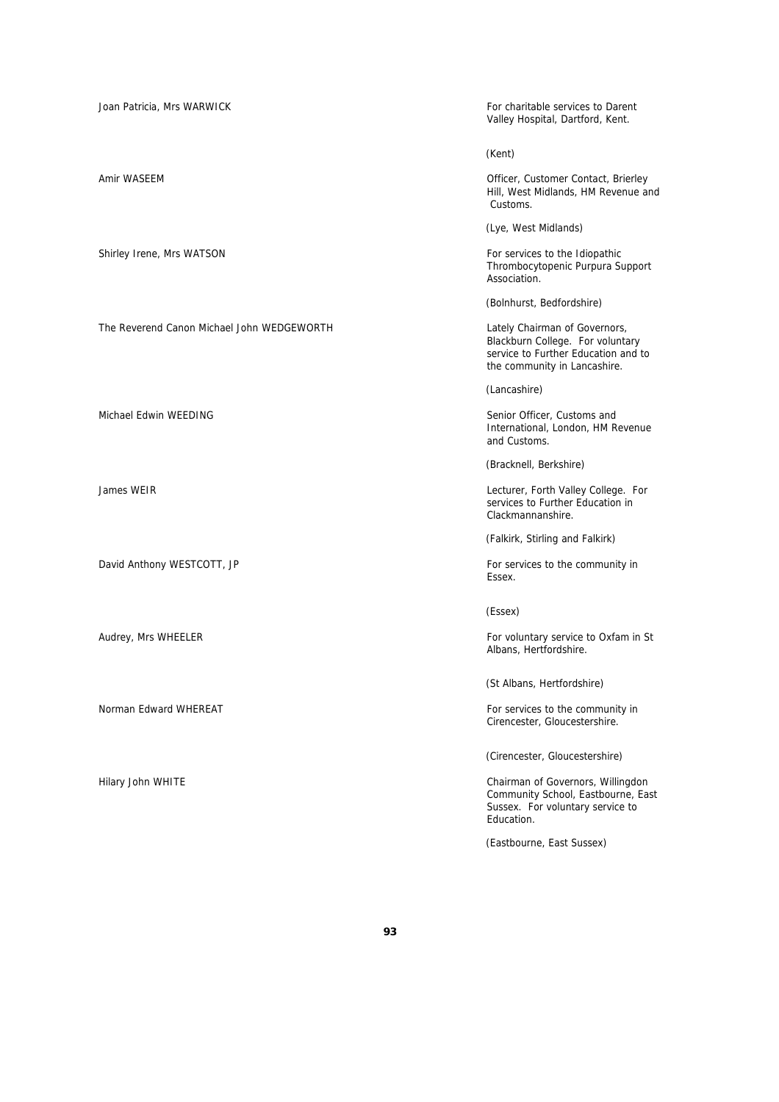Joan Patricia, Mrs WARWICK For charitable services to Darent Valley Hospital, Dartford, Kent. (Kent) Amir WASEEM **Officer**, Customer Contact, Brierley Hill, West Midlands, HM Revenue and Customs. (Lye, West Midlands) Shirley Irene, Mrs WATSON For services to the Idiopathic studies and the Idiopathic Thrombocytopenic Purpura Support Association. (Bolnhurst, Bedfordshire) The Reverend Canon Michael John WEDGEWORTH Lately Chairman of Governors, Blackburn College. For voluntary service to Further Education and to the community in Lancashire. (Lancashire) Michael Edwin WEEDING Senior Officer, Customs and International, London, HM Revenue and Customs. (Bracknell, Berkshire) James WEIR Lecturer, Forth Valley College. For services to Further Education in Clackmannanshire. (Falkirk, Stirling and Falkirk) David Anthony WESTCOTT, JP The services to the community in Essex. (Essex) Audrey, Mrs WHEELER **For voluntary service to Oxfam in St** Albans, Hertfordshire. (St Albans, Hertfordshire) Norman Edward WHEREAT For services to the community in Cirencester, Gloucestershire. (Cirencester, Gloucestershire)

Hilary John WHITE Chairman of Governors, Willingdon Community School, Eastbourne, East Sussex. For voluntary service to Education.

(Eastbourne, East Sussex)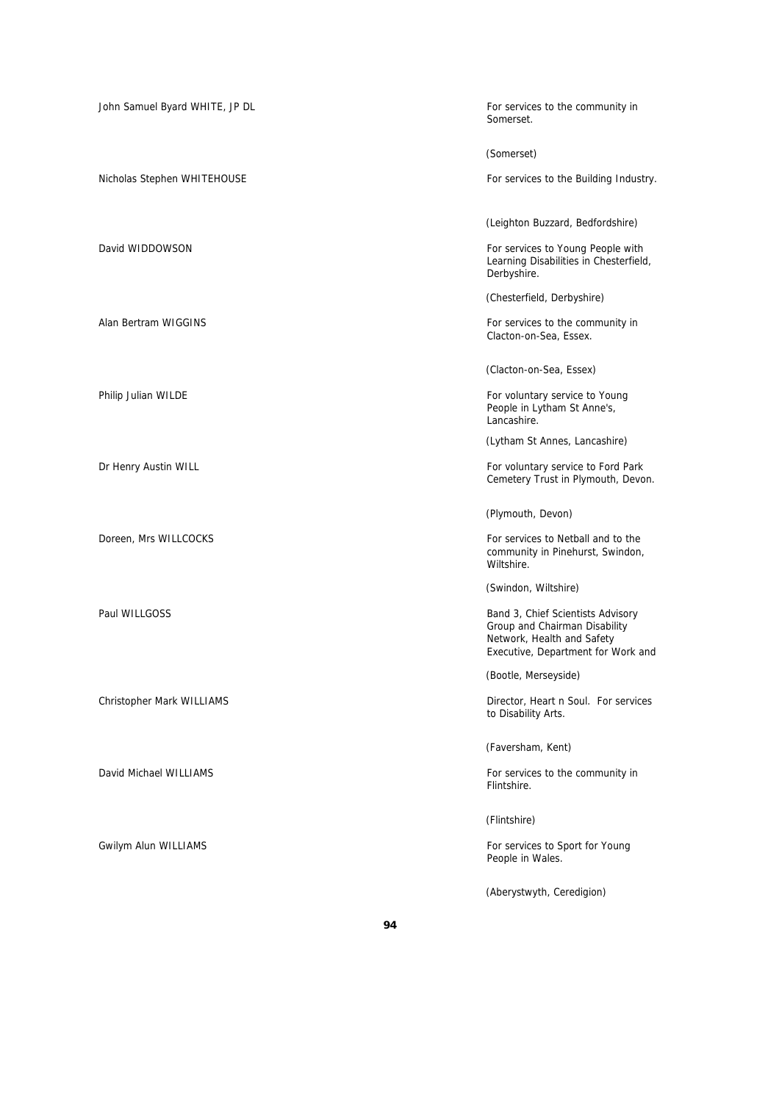| John Samuel Byard WHITE, JP DL | For services to the community in<br>Somerset.                                                                                          |
|--------------------------------|----------------------------------------------------------------------------------------------------------------------------------------|
|                                | (Somerset)                                                                                                                             |
| Nicholas Stephen WHITEHOUSE    | For services to the Building Industry.                                                                                                 |
|                                | (Leighton Buzzard, Bedfordshire)                                                                                                       |
| David WIDDOWSON                | For services to Young People with<br>Learning Disabilities in Chesterfield,<br>Derbyshire.                                             |
|                                | (Chesterfield, Derbyshire)                                                                                                             |
| Alan Bertram WIGGINS           | For services to the community in<br>Clacton-on-Sea, Essex.                                                                             |
|                                | (Clacton-on-Sea, Essex)                                                                                                                |
| Philip Julian WILDE            | For voluntary service to Young<br>People in Lytham St Anne's,<br>Lancashire.                                                           |
|                                | (Lytham St Annes, Lancashire)                                                                                                          |
| Dr Henry Austin WILL           | For voluntary service to Ford Park<br>Cemetery Trust in Plymouth, Devon.                                                               |
|                                | (Plymouth, Devon)                                                                                                                      |
| Doreen, Mrs WILLCOCKS          | For services to Netball and to the<br>community in Pinehurst, Swindon,<br>Wiltshire.                                                   |
|                                | (Swindon, Wiltshire)                                                                                                                   |
| Paul WILLGOSS                  | Band 3, Chief Scientists Advisory<br>Group and Chairman Disability<br>Network, Health and Safety<br>Executive, Department for Work and |
|                                | (Bootle, Merseyside)                                                                                                                   |
| Christopher Mark WILLIAMS      | Director, Heart n Soul. For services<br>to Disability Arts.                                                                            |
|                                | (Faversham, Kent)                                                                                                                      |
| David Michael WILLIAMS         | For services to the community in<br>Flintshire.                                                                                        |
|                                | (Flintshire)                                                                                                                           |
| Gwilym Alun WILLIAMS           | For services to Sport for Young<br>People in Wales.                                                                                    |
|                                | (Aberystwyth, Ceredigion)                                                                                                              |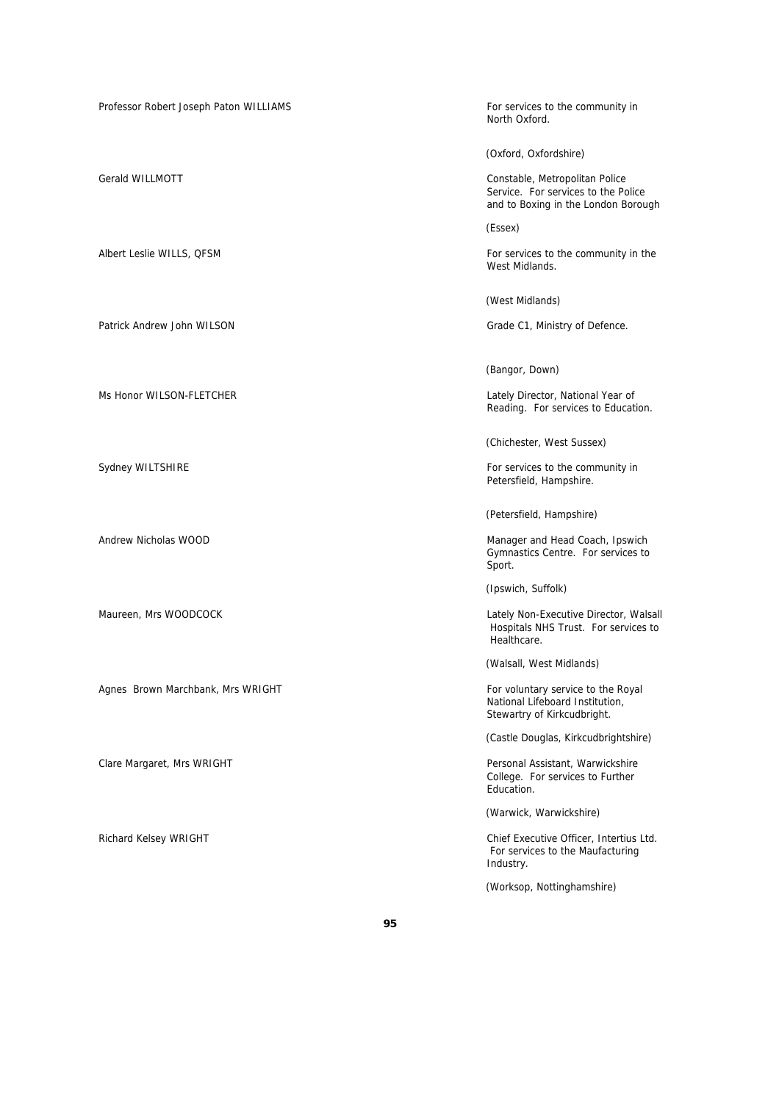Professor Robert Joseph Paton WILLIAMS For services to the community in

Patrick Andrew John WILSON Grade C1, Ministry of Defence.

Agnes Brown Marchbank, Mrs WRIGHT For voluntary service to the Royal

North Oxford.

(Oxford, Oxfordshire)

Gerald WILLMOTT Constable, Metropolitan Police Service. For services to the Police and to Boxing in the London Borough

(Essex)

Albert Leslie WILLS, QFSM For services to the community in the West Midlands.

(West Midlands)

(Bangor, Down)

Ms Honor WILSON-FLETCHER Lately Director, National Year of Reading. For services to Education.

(Chichester, West Sussex)

Sydney WILTSHIRE **For services** to the community in Petersfield, Hampshire.

(Petersfield, Hampshire)

Andrew Nicholas WOOD **Manager and Head Coach, Ipswich** Manager and Head Coach, Ipswich Gymnastics Centre. For services to Sport.

(Ipswich, Suffolk)

Maureen, Mrs WOODCOCK and Contact the Contact of the Cately Non-Executive Director, Walsall Hospitals NHS Trust. For services to Healthcare.

(Walsall, West Midlands)

National Lifeboard Institution, Stewartry of Kirkcudbright.

(Castle Douglas, Kirkcudbrightshire)

Clare Margaret, Mrs WRIGHT **Personal Assistant, Warwickshire** Personal Assistant, Warwickshire College. For services to Further Education.

(Warwick, Warwickshire)

Richard Kelsey WRIGHT Chief Executive Officer, Intertius Ltd. For services to the Maufacturing Industry.

(Worksop, Nottinghamshire)